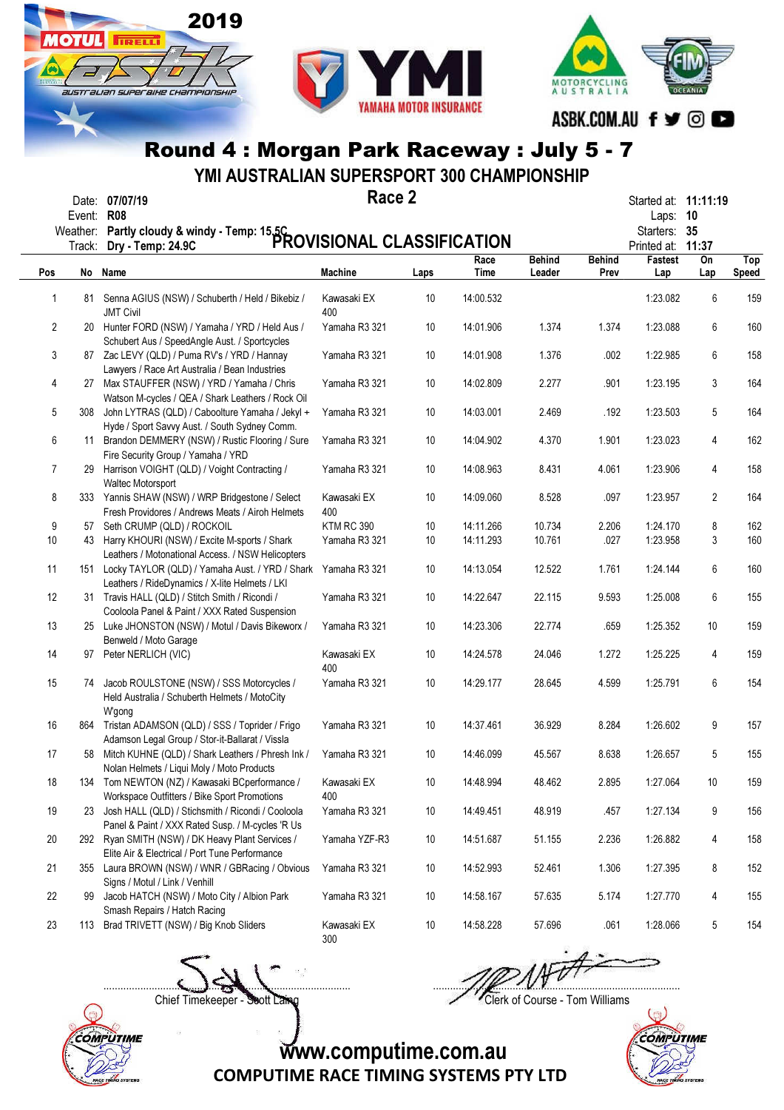



YMI AUSTRALIAN SUPERSPORT 300 CHAMPIONSHIP

| Date:  | 07/07/1    |
|--------|------------|
| Fvent∵ | <b>RUS</b> |

**OTHL** 

**TIRELLI** 

australian superaike championskir

2019

Race 2  $\mathsf{Race}\,2$  Started at: 11:11:19

| Partly cloudy & windy - Temp: 15.5C<br>PROVISIONAL CLASSIFICATION<br><b>Behind</b><br><b>Behind</b><br>Race<br>Fastest<br>On<br>Top<br>No Name<br><b>Machine</b><br>Time<br>Pos<br>Leader<br>Prev<br>Lap<br><b>Speed</b><br>Laps<br>Lap<br>159<br>14:00.532<br>1:23.082<br>6<br>Kawasaki EX<br>10<br>1<br>Senna AGIUS (NSW) / Schuberth / Held / Bikebiz /<br>81.<br><b>JMT Civil</b><br>400<br>160<br>2<br>20 Hunter FORD (NSW) / Yamaha / YRD / Held Aus /<br>Yamaha R3 321<br>10<br>14:01.906<br>1.374<br>1.374<br>1:23.088<br>6<br>Schubert Aus / SpeedAngle Aust. / Sportcycles<br>3<br>14:01.908<br>1.376<br>.002<br>1:22.985<br>6<br>158<br>87 Zac LEVY (QLD) / Puma RV's / YRD / Hannay<br>Yamaha R3 321<br>10<br>Lawyers / Race Art Australia / Bean Industries<br>1:23.195<br>164<br>27 Max STAUFFER (NSW) / YRD / Yamaha / Chris<br>Yamaha R3 321<br>10<br>14:02.809<br>2.277<br>.901<br>3<br>4<br>Watson M-cycles / QEA / Shark Leathers / Rock Oil<br>5<br>14:03.001<br>.192<br>1:23.503<br>5<br>164<br>John LYTRAS (QLD) / Caboolture Yamaha / Jekyl +<br>Yamaha R3 321<br>10<br>2.469<br>308<br>Hyde / Sport Savvy Aust. / South Sydney Comm.<br>6<br>11 Brandon DEMMERY (NSW) / Rustic Flooring / Sure<br>14:04.902<br>1:23.023<br>162<br>Yamaha R3 321<br>10<br>4.370<br>1.901<br>4<br>Fire Security Group / Yamaha / YRD<br>7<br>14:08.963<br>1:23.906<br>158<br>29 Harrison VOIGHT (QLD) / Voight Contracting /<br>Yamaha R3 321<br>10<br>8.431<br>4.061<br>4<br>Waltec Motorsport<br>8<br>333 Yannis SHAW (NSW) / WRP Bridgestone / Select<br>14:09.060<br>8.528<br>.097<br>1:23.957<br>2<br>164<br>Kawasaki EX<br>10<br>400<br>Fresh Providores / Andrews Meats / Airoh Helmets<br>9<br><b>KTM RC 390</b><br>14:11.266<br>10.734<br>2.206<br>1:24.170<br>162<br>Seth CRUMP (QLD) / ROCKOIL<br>10<br>8<br>57<br>10<br>10.761<br>1:23.958<br>3<br>160<br>Harry KHOURI (NSW) / Excite M-sports / Shark<br>Yamaha R3 321<br>10<br>14:11.293<br>.027<br>43<br>Leathers / Motonational Access. / NSW Helicopters<br>11<br>14:13.054<br>12.522<br>1.761<br>1:24.144<br>6<br>160<br>151 Locky TAYLOR (QLD) / Yamaha Aust. / YRD / Shark<br>Yamaha R3 321<br>10<br>Leathers / RideDynamics / X-lite Helmets / LKI<br>14:22.647<br>1:25.008<br>155<br>12<br>31 Travis HALL (QLD) / Stitch Smith / Ricondi /<br>Yamaha R3 321<br>10<br>22.115<br>9.593<br>6<br>Cooloola Panel & Paint / XXX Rated Suspension<br>159<br>13<br>14:23.306<br>22.774<br>.659<br>1:25.352<br>25 Luke JHONSTON (NSW) / Motul / Davis Bikeworx /<br>Yamaha R3 321<br>10<br>10<br>Benweld / Moto Garage<br>159<br>14:24.578<br>24.046<br>1.272<br>1:25.225<br>14<br>Peter NERLICH (VIC)<br>Kawasaki EX<br>10<br>4<br>97<br>400<br>154<br>15<br>Jacob ROULSTONE (NSW) / SSS Motorcycles /<br>14:29.177<br>4.599<br>1:25.791<br>6<br>Yamaha R3 321<br>10<br>28.645<br>74<br>Held Australia / Schuberth Helmets / MotoCity<br>W'gong<br>14:37.461<br>1:26.602<br>9<br>157<br>16<br>864 Tristan ADAMSON (QLD) / SSS / Toprider / Frigo<br>Yamaha R3 321<br>36.929<br>8.284<br>10<br>Adamson Legal Group / Stor-it-Ballarat / Vissla<br>155<br>Mitch KUHNE (QLD) / Shark Leathers / Phresh Ink /<br>14:46.099<br>45.567<br>1:26.657<br>17<br>Yamaha R3 321<br>10<br>8.638<br>5<br>58<br>Nolan Helmets / Liqui Moly / Moto Products<br>159<br>18<br>Kawasaki EX<br>14:48.994<br>2.895<br>1:27.064<br>10<br>Tom NEWTON (NZ) / Kawasaki BCperformance /<br>10<br>48.462<br>134<br>Workspace Outfitters / Bike Sport Promotions<br>400<br>14:49.451<br>48.919<br>1:27.134<br>9<br>19<br>23 Josh HALL (QLD) / Stichsmith / Ricondi / Cooloola<br>Yamaha R3 321<br>10<br>.457<br>156<br>Panel & Paint / XXX Rated Susp. / M-cycles 'R Us<br>1:26.882<br>158<br>20<br>292 Ryan SMITH (NSW) / DK Heavy Plant Services /<br>Yamaha YZF-R3<br>10<br>14:51.687<br>51.155<br>2.236<br>4<br>Elite Air & Electrical / Port Tune Performance<br>355 Laura BROWN (NSW) / WNR / GBRacing / Obvious<br>Yamaha R3 321<br>10<br>14:52.993<br>52.461<br>1.306<br>1:27.395<br>8<br>152<br>21<br>Signs / Motul / Link / Venhill<br>Jacob HATCH (NSW) / Moto City / Albion Park<br>22<br>Yamaha R3 321<br>10<br>14:58.167<br>57.635<br>5.174<br>1:27.770<br>155<br>4<br>99<br>Smash Repairs / Hatch Racing | Event: R08<br>Weather: |  |    |           |        |      | Laps:<br>Starters: | 10<br>35 |  |
|-----------------------------------------------------------------------------------------------------------------------------------------------------------------------------------------------------------------------------------------------------------------------------------------------------------------------------------------------------------------------------------------------------------------------------------------------------------------------------------------------------------------------------------------------------------------------------------------------------------------------------------------------------------------------------------------------------------------------------------------------------------------------------------------------------------------------------------------------------------------------------------------------------------------------------------------------------------------------------------------------------------------------------------------------------------------------------------------------------------------------------------------------------------------------------------------------------------------------------------------------------------------------------------------------------------------------------------------------------------------------------------------------------------------------------------------------------------------------------------------------------------------------------------------------------------------------------------------------------------------------------------------------------------------------------------------------------------------------------------------------------------------------------------------------------------------------------------------------------------------------------------------------------------------------------------------------------------------------------------------------------------------------------------------------------------------------------------------------------------------------------------------------------------------------------------------------------------------------------------------------------------------------------------------------------------------------------------------------------------------------------------------------------------------------------------------------------------------------------------------------------------------------------------------------------------------------------------------------------------------------------------------------------------------------------------------------------------------------------------------------------------------------------------------------------------------------------------------------------------------------------------------------------------------------------------------------------------------------------------------------------------------------------------------------------------------------------------------------------------------------------------------------------------------------------------------------------------------------------------------------------------------------------------------------------------------------------------------------------------------------------------------------------------------------------------------------------------------------------------------------------------------------------------------------------------------------------------------------------------------------------------------------------------------------------------------------------------------------------------------------------------------------------------------------------------------------------------------------------------------------------------------------------------------------------------------------------------------------------------------------------------------------------------------------------------------------------------------------------------------------------------------------------------------------------------------------------------------------------------------------------------------|------------------------|--|----|-----------|--------|------|--------------------|----------|--|
|                                                                                                                                                                                                                                                                                                                                                                                                                                                                                                                                                                                                                                                                                                                                                                                                                                                                                                                                                                                                                                                                                                                                                                                                                                                                                                                                                                                                                                                                                                                                                                                                                                                                                                                                                                                                                                                                                                                                                                                                                                                                                                                                                                                                                                                                                                                                                                                                                                                                                                                                                                                                                                                                                                                                                                                                                                                                                                                                                                                                                                                                                                                                                                                                                                                                                                                                                                                                                                                                                                                                                                                                                                                                                                                                                                                                                                                                                                                                                                                                                                                                                                                                                                                                                                                                 | Track:                 |  |    |           |        |      | Printed at:        | 11:37    |  |
|                                                                                                                                                                                                                                                                                                                                                                                                                                                                                                                                                                                                                                                                                                                                                                                                                                                                                                                                                                                                                                                                                                                                                                                                                                                                                                                                                                                                                                                                                                                                                                                                                                                                                                                                                                                                                                                                                                                                                                                                                                                                                                                                                                                                                                                                                                                                                                                                                                                                                                                                                                                                                                                                                                                                                                                                                                                                                                                                                                                                                                                                                                                                                                                                                                                                                                                                                                                                                                                                                                                                                                                                                                                                                                                                                                                                                                                                                                                                                                                                                                                                                                                                                                                                                                                                 |                        |  |    |           |        |      |                    |          |  |
|                                                                                                                                                                                                                                                                                                                                                                                                                                                                                                                                                                                                                                                                                                                                                                                                                                                                                                                                                                                                                                                                                                                                                                                                                                                                                                                                                                                                                                                                                                                                                                                                                                                                                                                                                                                                                                                                                                                                                                                                                                                                                                                                                                                                                                                                                                                                                                                                                                                                                                                                                                                                                                                                                                                                                                                                                                                                                                                                                                                                                                                                                                                                                                                                                                                                                                                                                                                                                                                                                                                                                                                                                                                                                                                                                                                                                                                                                                                                                                                                                                                                                                                                                                                                                                                                 |                        |  |    |           |        |      |                    |          |  |
|                                                                                                                                                                                                                                                                                                                                                                                                                                                                                                                                                                                                                                                                                                                                                                                                                                                                                                                                                                                                                                                                                                                                                                                                                                                                                                                                                                                                                                                                                                                                                                                                                                                                                                                                                                                                                                                                                                                                                                                                                                                                                                                                                                                                                                                                                                                                                                                                                                                                                                                                                                                                                                                                                                                                                                                                                                                                                                                                                                                                                                                                                                                                                                                                                                                                                                                                                                                                                                                                                                                                                                                                                                                                                                                                                                                                                                                                                                                                                                                                                                                                                                                                                                                                                                                                 |                        |  |    |           |        |      |                    |          |  |
|                                                                                                                                                                                                                                                                                                                                                                                                                                                                                                                                                                                                                                                                                                                                                                                                                                                                                                                                                                                                                                                                                                                                                                                                                                                                                                                                                                                                                                                                                                                                                                                                                                                                                                                                                                                                                                                                                                                                                                                                                                                                                                                                                                                                                                                                                                                                                                                                                                                                                                                                                                                                                                                                                                                                                                                                                                                                                                                                                                                                                                                                                                                                                                                                                                                                                                                                                                                                                                                                                                                                                                                                                                                                                                                                                                                                                                                                                                                                                                                                                                                                                                                                                                                                                                                                 |                        |  |    |           |        |      |                    |          |  |
|                                                                                                                                                                                                                                                                                                                                                                                                                                                                                                                                                                                                                                                                                                                                                                                                                                                                                                                                                                                                                                                                                                                                                                                                                                                                                                                                                                                                                                                                                                                                                                                                                                                                                                                                                                                                                                                                                                                                                                                                                                                                                                                                                                                                                                                                                                                                                                                                                                                                                                                                                                                                                                                                                                                                                                                                                                                                                                                                                                                                                                                                                                                                                                                                                                                                                                                                                                                                                                                                                                                                                                                                                                                                                                                                                                                                                                                                                                                                                                                                                                                                                                                                                                                                                                                                 |                        |  |    |           |        |      |                    |          |  |
|                                                                                                                                                                                                                                                                                                                                                                                                                                                                                                                                                                                                                                                                                                                                                                                                                                                                                                                                                                                                                                                                                                                                                                                                                                                                                                                                                                                                                                                                                                                                                                                                                                                                                                                                                                                                                                                                                                                                                                                                                                                                                                                                                                                                                                                                                                                                                                                                                                                                                                                                                                                                                                                                                                                                                                                                                                                                                                                                                                                                                                                                                                                                                                                                                                                                                                                                                                                                                                                                                                                                                                                                                                                                                                                                                                                                                                                                                                                                                                                                                                                                                                                                                                                                                                                                 |                        |  |    |           |        |      |                    |          |  |
|                                                                                                                                                                                                                                                                                                                                                                                                                                                                                                                                                                                                                                                                                                                                                                                                                                                                                                                                                                                                                                                                                                                                                                                                                                                                                                                                                                                                                                                                                                                                                                                                                                                                                                                                                                                                                                                                                                                                                                                                                                                                                                                                                                                                                                                                                                                                                                                                                                                                                                                                                                                                                                                                                                                                                                                                                                                                                                                                                                                                                                                                                                                                                                                                                                                                                                                                                                                                                                                                                                                                                                                                                                                                                                                                                                                                                                                                                                                                                                                                                                                                                                                                                                                                                                                                 |                        |  |    |           |        |      |                    |          |  |
|                                                                                                                                                                                                                                                                                                                                                                                                                                                                                                                                                                                                                                                                                                                                                                                                                                                                                                                                                                                                                                                                                                                                                                                                                                                                                                                                                                                                                                                                                                                                                                                                                                                                                                                                                                                                                                                                                                                                                                                                                                                                                                                                                                                                                                                                                                                                                                                                                                                                                                                                                                                                                                                                                                                                                                                                                                                                                                                                                                                                                                                                                                                                                                                                                                                                                                                                                                                                                                                                                                                                                                                                                                                                                                                                                                                                                                                                                                                                                                                                                                                                                                                                                                                                                                                                 |                        |  |    |           |        |      |                    |          |  |
|                                                                                                                                                                                                                                                                                                                                                                                                                                                                                                                                                                                                                                                                                                                                                                                                                                                                                                                                                                                                                                                                                                                                                                                                                                                                                                                                                                                                                                                                                                                                                                                                                                                                                                                                                                                                                                                                                                                                                                                                                                                                                                                                                                                                                                                                                                                                                                                                                                                                                                                                                                                                                                                                                                                                                                                                                                                                                                                                                                                                                                                                                                                                                                                                                                                                                                                                                                                                                                                                                                                                                                                                                                                                                                                                                                                                                                                                                                                                                                                                                                                                                                                                                                                                                                                                 |                        |  |    |           |        |      |                    |          |  |
|                                                                                                                                                                                                                                                                                                                                                                                                                                                                                                                                                                                                                                                                                                                                                                                                                                                                                                                                                                                                                                                                                                                                                                                                                                                                                                                                                                                                                                                                                                                                                                                                                                                                                                                                                                                                                                                                                                                                                                                                                                                                                                                                                                                                                                                                                                                                                                                                                                                                                                                                                                                                                                                                                                                                                                                                                                                                                                                                                                                                                                                                                                                                                                                                                                                                                                                                                                                                                                                                                                                                                                                                                                                                                                                                                                                                                                                                                                                                                                                                                                                                                                                                                                                                                                                                 |                        |  |    |           |        |      |                    |          |  |
|                                                                                                                                                                                                                                                                                                                                                                                                                                                                                                                                                                                                                                                                                                                                                                                                                                                                                                                                                                                                                                                                                                                                                                                                                                                                                                                                                                                                                                                                                                                                                                                                                                                                                                                                                                                                                                                                                                                                                                                                                                                                                                                                                                                                                                                                                                                                                                                                                                                                                                                                                                                                                                                                                                                                                                                                                                                                                                                                                                                                                                                                                                                                                                                                                                                                                                                                                                                                                                                                                                                                                                                                                                                                                                                                                                                                                                                                                                                                                                                                                                                                                                                                                                                                                                                                 |                        |  |    |           |        |      |                    |          |  |
|                                                                                                                                                                                                                                                                                                                                                                                                                                                                                                                                                                                                                                                                                                                                                                                                                                                                                                                                                                                                                                                                                                                                                                                                                                                                                                                                                                                                                                                                                                                                                                                                                                                                                                                                                                                                                                                                                                                                                                                                                                                                                                                                                                                                                                                                                                                                                                                                                                                                                                                                                                                                                                                                                                                                                                                                                                                                                                                                                                                                                                                                                                                                                                                                                                                                                                                                                                                                                                                                                                                                                                                                                                                                                                                                                                                                                                                                                                                                                                                                                                                                                                                                                                                                                                                                 |                        |  |    |           |        |      |                    |          |  |
|                                                                                                                                                                                                                                                                                                                                                                                                                                                                                                                                                                                                                                                                                                                                                                                                                                                                                                                                                                                                                                                                                                                                                                                                                                                                                                                                                                                                                                                                                                                                                                                                                                                                                                                                                                                                                                                                                                                                                                                                                                                                                                                                                                                                                                                                                                                                                                                                                                                                                                                                                                                                                                                                                                                                                                                                                                                                                                                                                                                                                                                                                                                                                                                                                                                                                                                                                                                                                                                                                                                                                                                                                                                                                                                                                                                                                                                                                                                                                                                                                                                                                                                                                                                                                                                                 |                        |  |    |           |        |      |                    |          |  |
|                                                                                                                                                                                                                                                                                                                                                                                                                                                                                                                                                                                                                                                                                                                                                                                                                                                                                                                                                                                                                                                                                                                                                                                                                                                                                                                                                                                                                                                                                                                                                                                                                                                                                                                                                                                                                                                                                                                                                                                                                                                                                                                                                                                                                                                                                                                                                                                                                                                                                                                                                                                                                                                                                                                                                                                                                                                                                                                                                                                                                                                                                                                                                                                                                                                                                                                                                                                                                                                                                                                                                                                                                                                                                                                                                                                                                                                                                                                                                                                                                                                                                                                                                                                                                                                                 |                        |  |    |           |        |      |                    |          |  |
|                                                                                                                                                                                                                                                                                                                                                                                                                                                                                                                                                                                                                                                                                                                                                                                                                                                                                                                                                                                                                                                                                                                                                                                                                                                                                                                                                                                                                                                                                                                                                                                                                                                                                                                                                                                                                                                                                                                                                                                                                                                                                                                                                                                                                                                                                                                                                                                                                                                                                                                                                                                                                                                                                                                                                                                                                                                                                                                                                                                                                                                                                                                                                                                                                                                                                                                                                                                                                                                                                                                                                                                                                                                                                                                                                                                                                                                                                                                                                                                                                                                                                                                                                                                                                                                                 |                        |  |    |           |        |      |                    |          |  |
|                                                                                                                                                                                                                                                                                                                                                                                                                                                                                                                                                                                                                                                                                                                                                                                                                                                                                                                                                                                                                                                                                                                                                                                                                                                                                                                                                                                                                                                                                                                                                                                                                                                                                                                                                                                                                                                                                                                                                                                                                                                                                                                                                                                                                                                                                                                                                                                                                                                                                                                                                                                                                                                                                                                                                                                                                                                                                                                                                                                                                                                                                                                                                                                                                                                                                                                                                                                                                                                                                                                                                                                                                                                                                                                                                                                                                                                                                                                                                                                                                                                                                                                                                                                                                                                                 |                        |  |    |           |        |      |                    |          |  |
|                                                                                                                                                                                                                                                                                                                                                                                                                                                                                                                                                                                                                                                                                                                                                                                                                                                                                                                                                                                                                                                                                                                                                                                                                                                                                                                                                                                                                                                                                                                                                                                                                                                                                                                                                                                                                                                                                                                                                                                                                                                                                                                                                                                                                                                                                                                                                                                                                                                                                                                                                                                                                                                                                                                                                                                                                                                                                                                                                                                                                                                                                                                                                                                                                                                                                                                                                                                                                                                                                                                                                                                                                                                                                                                                                                                                                                                                                                                                                                                                                                                                                                                                                                                                                                                                 |                        |  |    |           |        |      |                    |          |  |
|                                                                                                                                                                                                                                                                                                                                                                                                                                                                                                                                                                                                                                                                                                                                                                                                                                                                                                                                                                                                                                                                                                                                                                                                                                                                                                                                                                                                                                                                                                                                                                                                                                                                                                                                                                                                                                                                                                                                                                                                                                                                                                                                                                                                                                                                                                                                                                                                                                                                                                                                                                                                                                                                                                                                                                                                                                                                                                                                                                                                                                                                                                                                                                                                                                                                                                                                                                                                                                                                                                                                                                                                                                                                                                                                                                                                                                                                                                                                                                                                                                                                                                                                                                                                                                                                 |                        |  |    |           |        |      |                    |          |  |
|                                                                                                                                                                                                                                                                                                                                                                                                                                                                                                                                                                                                                                                                                                                                                                                                                                                                                                                                                                                                                                                                                                                                                                                                                                                                                                                                                                                                                                                                                                                                                                                                                                                                                                                                                                                                                                                                                                                                                                                                                                                                                                                                                                                                                                                                                                                                                                                                                                                                                                                                                                                                                                                                                                                                                                                                                                                                                                                                                                                                                                                                                                                                                                                                                                                                                                                                                                                                                                                                                                                                                                                                                                                                                                                                                                                                                                                                                                                                                                                                                                                                                                                                                                                                                                                                 |                        |  |    |           |        |      |                    |          |  |
|                                                                                                                                                                                                                                                                                                                                                                                                                                                                                                                                                                                                                                                                                                                                                                                                                                                                                                                                                                                                                                                                                                                                                                                                                                                                                                                                                                                                                                                                                                                                                                                                                                                                                                                                                                                                                                                                                                                                                                                                                                                                                                                                                                                                                                                                                                                                                                                                                                                                                                                                                                                                                                                                                                                                                                                                                                                                                                                                                                                                                                                                                                                                                                                                                                                                                                                                                                                                                                                                                                                                                                                                                                                                                                                                                                                                                                                                                                                                                                                                                                                                                                                                                                                                                                                                 |                        |  |    |           |        |      |                    |          |  |
|                                                                                                                                                                                                                                                                                                                                                                                                                                                                                                                                                                                                                                                                                                                                                                                                                                                                                                                                                                                                                                                                                                                                                                                                                                                                                                                                                                                                                                                                                                                                                                                                                                                                                                                                                                                                                                                                                                                                                                                                                                                                                                                                                                                                                                                                                                                                                                                                                                                                                                                                                                                                                                                                                                                                                                                                                                                                                                                                                                                                                                                                                                                                                                                                                                                                                                                                                                                                                                                                                                                                                                                                                                                                                                                                                                                                                                                                                                                                                                                                                                                                                                                                                                                                                                                                 |                        |  |    |           |        |      |                    |          |  |
|                                                                                                                                                                                                                                                                                                                                                                                                                                                                                                                                                                                                                                                                                                                                                                                                                                                                                                                                                                                                                                                                                                                                                                                                                                                                                                                                                                                                                                                                                                                                                                                                                                                                                                                                                                                                                                                                                                                                                                                                                                                                                                                                                                                                                                                                                                                                                                                                                                                                                                                                                                                                                                                                                                                                                                                                                                                                                                                                                                                                                                                                                                                                                                                                                                                                                                                                                                                                                                                                                                                                                                                                                                                                                                                                                                                                                                                                                                                                                                                                                                                                                                                                                                                                                                                                 |                        |  |    |           |        |      |                    |          |  |
|                                                                                                                                                                                                                                                                                                                                                                                                                                                                                                                                                                                                                                                                                                                                                                                                                                                                                                                                                                                                                                                                                                                                                                                                                                                                                                                                                                                                                                                                                                                                                                                                                                                                                                                                                                                                                                                                                                                                                                                                                                                                                                                                                                                                                                                                                                                                                                                                                                                                                                                                                                                                                                                                                                                                                                                                                                                                                                                                                                                                                                                                                                                                                                                                                                                                                                                                                                                                                                                                                                                                                                                                                                                                                                                                                                                                                                                                                                                                                                                                                                                                                                                                                                                                                                                                 |                        |  |    |           |        |      |                    |          |  |
|                                                                                                                                                                                                                                                                                                                                                                                                                                                                                                                                                                                                                                                                                                                                                                                                                                                                                                                                                                                                                                                                                                                                                                                                                                                                                                                                                                                                                                                                                                                                                                                                                                                                                                                                                                                                                                                                                                                                                                                                                                                                                                                                                                                                                                                                                                                                                                                                                                                                                                                                                                                                                                                                                                                                                                                                                                                                                                                                                                                                                                                                                                                                                                                                                                                                                                                                                                                                                                                                                                                                                                                                                                                                                                                                                                                                                                                                                                                                                                                                                                                                                                                                                                                                                                                                 |                        |  |    |           |        |      |                    |          |  |
|                                                                                                                                                                                                                                                                                                                                                                                                                                                                                                                                                                                                                                                                                                                                                                                                                                                                                                                                                                                                                                                                                                                                                                                                                                                                                                                                                                                                                                                                                                                                                                                                                                                                                                                                                                                                                                                                                                                                                                                                                                                                                                                                                                                                                                                                                                                                                                                                                                                                                                                                                                                                                                                                                                                                                                                                                                                                                                                                                                                                                                                                                                                                                                                                                                                                                                                                                                                                                                                                                                                                                                                                                                                                                                                                                                                                                                                                                                                                                                                                                                                                                                                                                                                                                                                                 |                        |  |    |           |        |      |                    |          |  |
|                                                                                                                                                                                                                                                                                                                                                                                                                                                                                                                                                                                                                                                                                                                                                                                                                                                                                                                                                                                                                                                                                                                                                                                                                                                                                                                                                                                                                                                                                                                                                                                                                                                                                                                                                                                                                                                                                                                                                                                                                                                                                                                                                                                                                                                                                                                                                                                                                                                                                                                                                                                                                                                                                                                                                                                                                                                                                                                                                                                                                                                                                                                                                                                                                                                                                                                                                                                                                                                                                                                                                                                                                                                                                                                                                                                                                                                                                                                                                                                                                                                                                                                                                                                                                                                                 |                        |  |    |           |        |      |                    |          |  |
|                                                                                                                                                                                                                                                                                                                                                                                                                                                                                                                                                                                                                                                                                                                                                                                                                                                                                                                                                                                                                                                                                                                                                                                                                                                                                                                                                                                                                                                                                                                                                                                                                                                                                                                                                                                                                                                                                                                                                                                                                                                                                                                                                                                                                                                                                                                                                                                                                                                                                                                                                                                                                                                                                                                                                                                                                                                                                                                                                                                                                                                                                                                                                                                                                                                                                                                                                                                                                                                                                                                                                                                                                                                                                                                                                                                                                                                                                                                                                                                                                                                                                                                                                                                                                                                                 |                        |  |    |           |        |      |                    |          |  |
|                                                                                                                                                                                                                                                                                                                                                                                                                                                                                                                                                                                                                                                                                                                                                                                                                                                                                                                                                                                                                                                                                                                                                                                                                                                                                                                                                                                                                                                                                                                                                                                                                                                                                                                                                                                                                                                                                                                                                                                                                                                                                                                                                                                                                                                                                                                                                                                                                                                                                                                                                                                                                                                                                                                                                                                                                                                                                                                                                                                                                                                                                                                                                                                                                                                                                                                                                                                                                                                                                                                                                                                                                                                                                                                                                                                                                                                                                                                                                                                                                                                                                                                                                                                                                                                                 |                        |  |    |           |        |      |                    |          |  |
|                                                                                                                                                                                                                                                                                                                                                                                                                                                                                                                                                                                                                                                                                                                                                                                                                                                                                                                                                                                                                                                                                                                                                                                                                                                                                                                                                                                                                                                                                                                                                                                                                                                                                                                                                                                                                                                                                                                                                                                                                                                                                                                                                                                                                                                                                                                                                                                                                                                                                                                                                                                                                                                                                                                                                                                                                                                                                                                                                                                                                                                                                                                                                                                                                                                                                                                                                                                                                                                                                                                                                                                                                                                                                                                                                                                                                                                                                                                                                                                                                                                                                                                                                                                                                                                                 |                        |  |    |           |        |      |                    |          |  |
|                                                                                                                                                                                                                                                                                                                                                                                                                                                                                                                                                                                                                                                                                                                                                                                                                                                                                                                                                                                                                                                                                                                                                                                                                                                                                                                                                                                                                                                                                                                                                                                                                                                                                                                                                                                                                                                                                                                                                                                                                                                                                                                                                                                                                                                                                                                                                                                                                                                                                                                                                                                                                                                                                                                                                                                                                                                                                                                                                                                                                                                                                                                                                                                                                                                                                                                                                                                                                                                                                                                                                                                                                                                                                                                                                                                                                                                                                                                                                                                                                                                                                                                                                                                                                                                                 |                        |  |    |           |        |      |                    |          |  |
|                                                                                                                                                                                                                                                                                                                                                                                                                                                                                                                                                                                                                                                                                                                                                                                                                                                                                                                                                                                                                                                                                                                                                                                                                                                                                                                                                                                                                                                                                                                                                                                                                                                                                                                                                                                                                                                                                                                                                                                                                                                                                                                                                                                                                                                                                                                                                                                                                                                                                                                                                                                                                                                                                                                                                                                                                                                                                                                                                                                                                                                                                                                                                                                                                                                                                                                                                                                                                                                                                                                                                                                                                                                                                                                                                                                                                                                                                                                                                                                                                                                                                                                                                                                                                                                                 |                        |  |    |           |        |      |                    |          |  |
|                                                                                                                                                                                                                                                                                                                                                                                                                                                                                                                                                                                                                                                                                                                                                                                                                                                                                                                                                                                                                                                                                                                                                                                                                                                                                                                                                                                                                                                                                                                                                                                                                                                                                                                                                                                                                                                                                                                                                                                                                                                                                                                                                                                                                                                                                                                                                                                                                                                                                                                                                                                                                                                                                                                                                                                                                                                                                                                                                                                                                                                                                                                                                                                                                                                                                                                                                                                                                                                                                                                                                                                                                                                                                                                                                                                                                                                                                                                                                                                                                                                                                                                                                                                                                                                                 |                        |  |    |           |        |      |                    |          |  |
|                                                                                                                                                                                                                                                                                                                                                                                                                                                                                                                                                                                                                                                                                                                                                                                                                                                                                                                                                                                                                                                                                                                                                                                                                                                                                                                                                                                                                                                                                                                                                                                                                                                                                                                                                                                                                                                                                                                                                                                                                                                                                                                                                                                                                                                                                                                                                                                                                                                                                                                                                                                                                                                                                                                                                                                                                                                                                                                                                                                                                                                                                                                                                                                                                                                                                                                                                                                                                                                                                                                                                                                                                                                                                                                                                                                                                                                                                                                                                                                                                                                                                                                                                                                                                                                                 |                        |  |    |           |        |      |                    |          |  |
|                                                                                                                                                                                                                                                                                                                                                                                                                                                                                                                                                                                                                                                                                                                                                                                                                                                                                                                                                                                                                                                                                                                                                                                                                                                                                                                                                                                                                                                                                                                                                                                                                                                                                                                                                                                                                                                                                                                                                                                                                                                                                                                                                                                                                                                                                                                                                                                                                                                                                                                                                                                                                                                                                                                                                                                                                                                                                                                                                                                                                                                                                                                                                                                                                                                                                                                                                                                                                                                                                                                                                                                                                                                                                                                                                                                                                                                                                                                                                                                                                                                                                                                                                                                                                                                                 |                        |  |    |           |        |      |                    |          |  |
|                                                                                                                                                                                                                                                                                                                                                                                                                                                                                                                                                                                                                                                                                                                                                                                                                                                                                                                                                                                                                                                                                                                                                                                                                                                                                                                                                                                                                                                                                                                                                                                                                                                                                                                                                                                                                                                                                                                                                                                                                                                                                                                                                                                                                                                                                                                                                                                                                                                                                                                                                                                                                                                                                                                                                                                                                                                                                                                                                                                                                                                                                                                                                                                                                                                                                                                                                                                                                                                                                                                                                                                                                                                                                                                                                                                                                                                                                                                                                                                                                                                                                                                                                                                                                                                                 |                        |  |    |           |        |      |                    |          |  |
|                                                                                                                                                                                                                                                                                                                                                                                                                                                                                                                                                                                                                                                                                                                                                                                                                                                                                                                                                                                                                                                                                                                                                                                                                                                                                                                                                                                                                                                                                                                                                                                                                                                                                                                                                                                                                                                                                                                                                                                                                                                                                                                                                                                                                                                                                                                                                                                                                                                                                                                                                                                                                                                                                                                                                                                                                                                                                                                                                                                                                                                                                                                                                                                                                                                                                                                                                                                                                                                                                                                                                                                                                                                                                                                                                                                                                                                                                                                                                                                                                                                                                                                                                                                                                                                                 |                        |  |    |           |        |      |                    |          |  |
|                                                                                                                                                                                                                                                                                                                                                                                                                                                                                                                                                                                                                                                                                                                                                                                                                                                                                                                                                                                                                                                                                                                                                                                                                                                                                                                                                                                                                                                                                                                                                                                                                                                                                                                                                                                                                                                                                                                                                                                                                                                                                                                                                                                                                                                                                                                                                                                                                                                                                                                                                                                                                                                                                                                                                                                                                                                                                                                                                                                                                                                                                                                                                                                                                                                                                                                                                                                                                                                                                                                                                                                                                                                                                                                                                                                                                                                                                                                                                                                                                                                                                                                                                                                                                                                                 |                        |  |    |           |        |      |                    |          |  |
|                                                                                                                                                                                                                                                                                                                                                                                                                                                                                                                                                                                                                                                                                                                                                                                                                                                                                                                                                                                                                                                                                                                                                                                                                                                                                                                                                                                                                                                                                                                                                                                                                                                                                                                                                                                                                                                                                                                                                                                                                                                                                                                                                                                                                                                                                                                                                                                                                                                                                                                                                                                                                                                                                                                                                                                                                                                                                                                                                                                                                                                                                                                                                                                                                                                                                                                                                                                                                                                                                                                                                                                                                                                                                                                                                                                                                                                                                                                                                                                                                                                                                                                                                                                                                                                                 |                        |  |    |           |        |      |                    |          |  |
|                                                                                                                                                                                                                                                                                                                                                                                                                                                                                                                                                                                                                                                                                                                                                                                                                                                                                                                                                                                                                                                                                                                                                                                                                                                                                                                                                                                                                                                                                                                                                                                                                                                                                                                                                                                                                                                                                                                                                                                                                                                                                                                                                                                                                                                                                                                                                                                                                                                                                                                                                                                                                                                                                                                                                                                                                                                                                                                                                                                                                                                                                                                                                                                                                                                                                                                                                                                                                                                                                                                                                                                                                                                                                                                                                                                                                                                                                                                                                                                                                                                                                                                                                                                                                                                                 |                        |  |    |           |        |      |                    |          |  |
|                                                                                                                                                                                                                                                                                                                                                                                                                                                                                                                                                                                                                                                                                                                                                                                                                                                                                                                                                                                                                                                                                                                                                                                                                                                                                                                                                                                                                                                                                                                                                                                                                                                                                                                                                                                                                                                                                                                                                                                                                                                                                                                                                                                                                                                                                                                                                                                                                                                                                                                                                                                                                                                                                                                                                                                                                                                                                                                                                                                                                                                                                                                                                                                                                                                                                                                                                                                                                                                                                                                                                                                                                                                                                                                                                                                                                                                                                                                                                                                                                                                                                                                                                                                                                                                                 |                        |  |    |           |        |      |                    |          |  |
|                                                                                                                                                                                                                                                                                                                                                                                                                                                                                                                                                                                                                                                                                                                                                                                                                                                                                                                                                                                                                                                                                                                                                                                                                                                                                                                                                                                                                                                                                                                                                                                                                                                                                                                                                                                                                                                                                                                                                                                                                                                                                                                                                                                                                                                                                                                                                                                                                                                                                                                                                                                                                                                                                                                                                                                                                                                                                                                                                                                                                                                                                                                                                                                                                                                                                                                                                                                                                                                                                                                                                                                                                                                                                                                                                                                                                                                                                                                                                                                                                                                                                                                                                                                                                                                                 |                        |  | 10 | 14:58.228 | 57.696 | .061 | 1:28.066           | 5        |  |
| Brad TRIVETT (NSW) / Big Knob Sliders<br>Kawasaki EX<br>154<br>23<br>113<br>300                                                                                                                                                                                                                                                                                                                                                                                                                                                                                                                                                                                                                                                                                                                                                                                                                                                                                                                                                                                                                                                                                                                                                                                                                                                                                                                                                                                                                                                                                                                                                                                                                                                                                                                                                                                                                                                                                                                                                                                                                                                                                                                                                                                                                                                                                                                                                                                                                                                                                                                                                                                                                                                                                                                                                                                                                                                                                                                                                                                                                                                                                                                                                                                                                                                                                                                                                                                                                                                                                                                                                                                                                                                                                                                                                                                                                                                                                                                                                                                                                                                                                                                                                                                 |                        |  |    |           |        |      |                    |          |  |

Chief Timekeeper - Soott Laing Chief Timekeeper - Soott Laing

 $\Box$ 



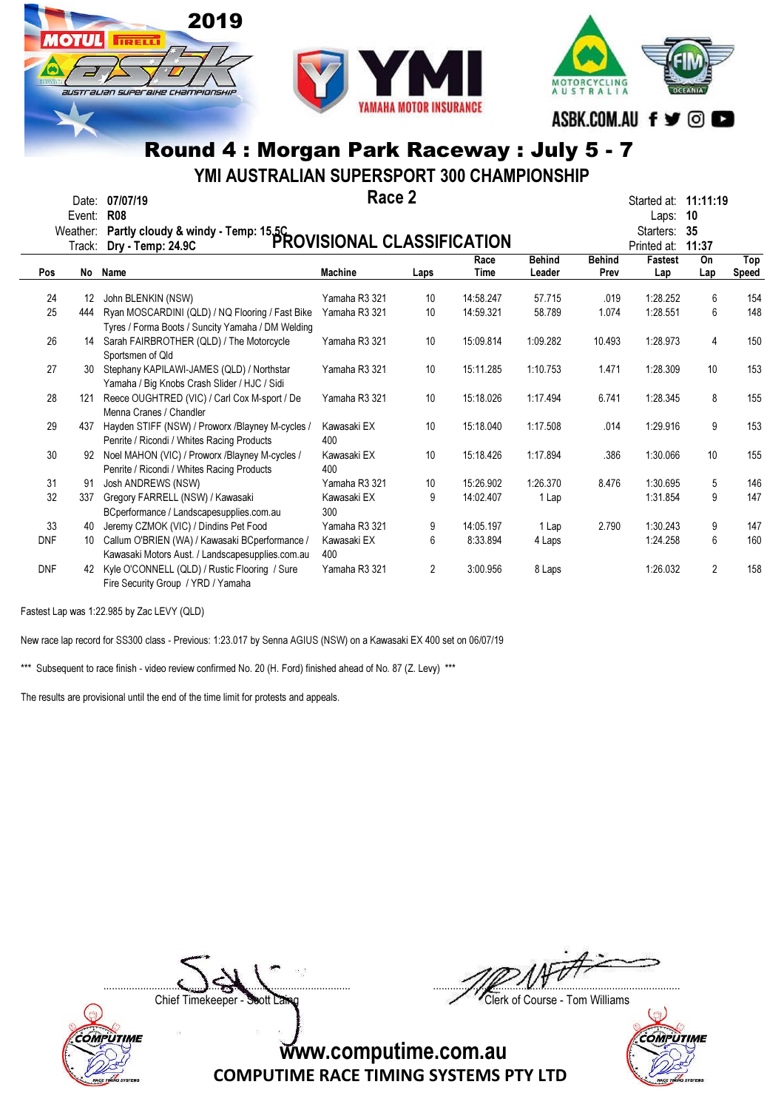

YMI AUSTRALIAN SUPERSPORT 300 CHAMPIONSHIP

|            | Date:<br>Event:    | 07/07/19<br><b>R08</b>                                                                               | Race 2             |                 |           |               |               | Started at:<br>Laps:          | 11:11:19<br>10 |              |
|------------|--------------------|------------------------------------------------------------------------------------------------------|--------------------|-----------------|-----------|---------------|---------------|-------------------------------|----------------|--------------|
|            | Weather:<br>Track: | Partly cloudy & windy - Temp: 15.5C<br>PROVISIONAL CLASSIFICATION                                    |                    |                 |           |               |               | Starters:                     | 35<br>11:37    |              |
|            |                    |                                                                                                      |                    |                 | Race      | <b>Behind</b> | <b>Behind</b> | Printed at:<br><b>Fastest</b> | On             | Top          |
| Pos        |                    | No Name                                                                                              | <b>Machine</b>     | Laps            | Time      | Leader        | Prev          | Lap                           | Lap            | <b>Speed</b> |
| 24         | 12                 | John BLENKIN (NSW)                                                                                   | Yamaha R3 321      | 10              | 14:58.247 | 57.715        | .019          | 1:28.252                      | 6              | 154          |
| 25         | 444                | Ryan MOSCARDINI (QLD) / NQ Flooring / Fast Bike<br>Tyres / Forma Boots / Suncity Yamaha / DM Welding | Yamaha R3 321      | 10              | 14:59.321 | 58.789        | 1.074         | 1:28.551                      | 6              | 148          |
| 26         | 14                 | Sarah FAIRBROTHER (QLD) / The Motorcycle<br>Sportsmen of Qld                                         | Yamaha R3 321      | 10              | 15:09.814 | 1:09.282      | 10.493        | 1:28.973                      | 4              | 150          |
| 27         | 30                 | Stephany KAPILAWI-JAMES (QLD) / Northstar<br>Yamaha / Big Knobs Crash Slider / HJC / Sidi            | Yamaha R3 321      | 10              | 15:11.285 | 1:10.753      | 1.471         | 1:28.309                      | 10             | 153          |
| 28         | 121                | Reece OUGHTRED (VIC) / Carl Cox M-sport / De<br>Menna Cranes / Chandler                              | Yamaha R3 321      | 10 <sup>°</sup> | 15:18.026 | 1:17.494      | 6.741         | 1:28.345                      | 8              | 155          |
| 29         | 437                | Hayden STIFF (NSW) / Proworx /Blayney M-cycles /<br>Penrite / Ricondi / Whites Racing Products       | Kawasaki EX<br>400 | 10              | 15:18.040 | 1:17.508      | .014          | 1:29.916                      | 9              | 153          |
| 30         | 92                 | Noel MAHON (VIC) / Proworx /Blayney M-cycles /<br>Penrite / Ricondi / Whites Racing Products         | Kawasaki EX<br>400 | 10              | 15:18.426 | 1:17.894      | .386          | 1:30.066                      | 10             | 155          |
| 31         | 91                 | Josh ANDREWS (NSW)                                                                                   | Yamaha R3 321      | 10              | 15:26.902 | 1:26.370      | 8.476         | 1:30.695                      | 5              | 146          |
| 32         | 337                | Gregory FARRELL (NSW) / Kawasaki<br>BCperformance / Landscapesupplies.com.au                         | Kawasaki EX<br>300 | 9               | 14:02.407 | 1 Lap         |               | 1:31.854                      | 9              | 147          |
| 33         | 40                 | Jeremy CZMOK (VIC) / Dindins Pet Food                                                                | Yamaha R3 321      | 9               | 14:05.197 | 1 Lap         | 2.790         | 1:30.243                      | 9              | 147          |
| <b>DNF</b> | 10                 | Callum O'BRIEN (WA) / Kawasaki BCperformance /<br>Kawasaki Motors Aust. / Landscapesupplies.com.au   | Kawasaki EX<br>400 | 6               | 8:33.894  | 4 Laps        |               | 1:24.258                      | 6              | 160          |
| <b>DNF</b> | 42                 | Kyle O'CONNELL (QLD) / Rustic Flooring / Sure<br>Fire Security Group / YRD / Yamaha                  | Yamaha R3 321      | 2               | 3:00.956  | 8 Laps        |               | 1:26.032                      | $\overline{2}$ | 158          |

Fastest Lap was 1:22.985 by Zac LEVY (QLD)

COMPUTIME

New race lap record for SS300 class - Previous: 1:23.017 by Senna AGIUS (NSW) on a Kawasaki EX 400 set on 06/07/19

\*\*\* Subsequent to race finish - video review confirmed No. 20 (H. Ford) finished ahead of No. 87 (Z. Levy) \*\*\*

The results are provisional until the end of the time limit for protests and appeals.

 $\Box$ 

Chief Timekeeper - Soott Laing Chief Timekeeper - Soott Laing

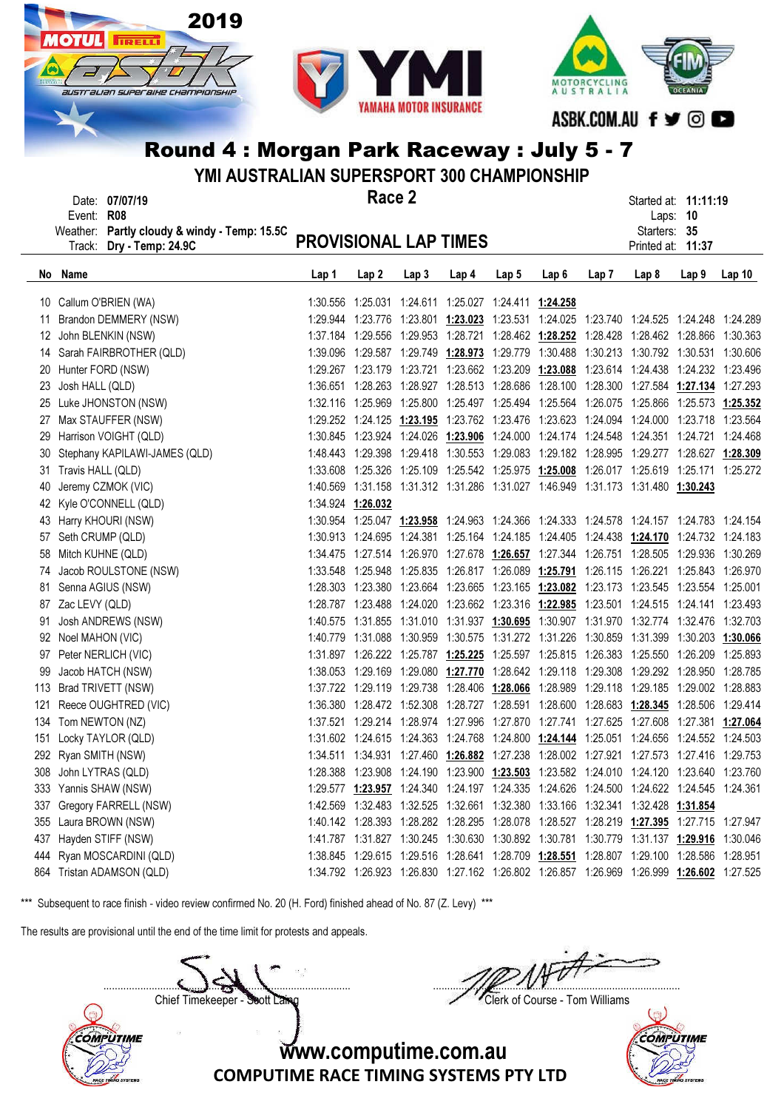



YMI AUSTRALIAN SUPERSPORT 300 CHAMPIONSHIP

| Race 2<br>Date: 07/07/19<br>Started at: 11:11:19<br>Event: R08<br>Laps: 10<br>Weather: Partly cloudy & windy - Temp: 15.5C<br>Starters: 35<br><b>PROVISIONAL LAP TIMES</b><br>Track: Dry - Temp: 24.9C<br>Printed at: 11:37<br>No Name<br>Lap <sub>2</sub><br>Lap <sub>3</sub><br>Lap 5<br>Lap 8<br>Lap 9<br>Lap 1<br>Lap <sub>4</sub><br>Lap6<br>Lap7<br>10 Callum O'BRIEN (WA)<br>1:30.556  1:25.031  1:24.611  1:25.027  1:24.411  1:24.258<br>Brandon DEMMERY (NSW)<br>1:29.944 1:23.776 1:23.801 1:23.023 1:23.531 1:24.025 1:23.740 1:24.525 1:24.248 1:24.289<br>11<br>1:37.184 1:29.556 1:29.953 1:28.721 1:28.462 1:28.252 1:28.428 1:28.462 1:28.866 1:30.363<br>12 John BLENKIN (NSW)<br>1:39.096 1:29.587 1:29.749 1:28.973 1:29.779 1:30.488 1:30.213 1:30.792 1:30.531 1:30.606<br>14 Sarah FAIRBROTHER (QLD)<br>1:29.267 1:23.179 1:23.721 1:23.662 1:23.209 1:23.088 1:23.614 1:24.438 1:24.232 1:23.496<br>20 Hunter FORD (NSW)<br>1:36.651 1:28.263 1:28.927 1:28.513 1:28.686 1:28.100 1:28.300 1:27.584 1:27.134 1:27.293<br>Josh HALL (QLD)<br>23<br>1:32.116 1:25.969 1:25.800 1:25.497 1:25.494 1:25.564 1:26.075 1:25.866 1:25.573 1:25.352<br>25 Luke JHONSTON (NSW)<br>1:29.252 1:24.125 1:23.195 1:23.762 1:23.476 1:23.623 1:24.094 1:24.000 1:23.718 1:23.564<br>27 Max STAUFFER (NSW)<br>29 Harrison VOIGHT (QLD)<br>1:30.845 1:23.924 1:24.026 1:23.906 1:24.000 1:24.174 1:24.548 1:24.351 1:24.721 1:24.468<br>30 Stephany KAPILAWI-JAMES (QLD)<br>1:48.443 1:29.398 1:29.418 1:30.553 1:29.083 1:29.182 1:28.995 1:29.277 1:28.627 1:28.309<br>1:33.608 1:25.326 1:25.109 1:25.542 1:25.975 1:25.008 1:26.017 1:25.619 1:25.171 1:25.272<br>31 Travis HALL (QLD)<br>40 Jeremy CZMOK (VIC)<br>1:40.569 1:31.158 1:31.312 1:31.286 1:31.027 1:46.949 1:31.173 1:31.480 1:30.243<br>42 Kyle O'CONNELL (QLD)<br>1:34.924 1:26.032<br>1:30.954 1:25.047 1:23.958 1:24.963 1:24.366 1:24.333 1:24.578 1:24.157 1:24.783 1:24.154<br>43 Harry KHOURI (NSW)<br>1:30.913 1:24.695 1:24.381 1:25.164 1:24.185 1:24.405 1:24.438 1:24.170 1:24.732 1:24.183<br>57 Seth CRUMP (QLD)<br>58 Mitch KUHNE (QLD)<br>1:34.475 1:27.514 1:26.970 1:27.678 1:26.657 1:27.344 1:26.751 1:28.505 1:29.936 1:30.269<br>74 Jacob ROULSTONE (NSW)<br>1:33.548 1:25.948 1:25.835 1:26.817 1:26.089 1:25.791 1:26.115 1:26.221 1:25.843 1:26.970<br>Senna AGIUS (NSW)<br>1:28.303 1:23.380 1:23.664 1:23.665 1:23.165 1:23.082 1:23.173 1:23.545 1:23.554 1:25.001<br>81<br>1:28.787 1:23.488 1:24.020 1:23.662 1:23.316 1:22.985 1:23.501 1:24.515 1:24.141 1:23.493<br>87 Zac LEVY (QLD)<br>1:40.575 1:31.855 1:31.010 1:31.937 1:30.695 1:30.907 1:31.970 1:32.774 1:32.476<br>Josh ANDREWS (NSW)<br>91<br>1:40.779 1:31.088 1:30.959 1:30.575 1:31.272 1:31.226 1:30.859 1:31.399 1:30.203 1:30.066<br>92 Noel MAHON (VIC) | YMI AUSTRALIAN SUPERSPORT 300 CHAMPIONSHIP |  |  |  |  |  |  |  |  |  |  |                   |  |
|---------------------------------------------------------------------------------------------------------------------------------------------------------------------------------------------------------------------------------------------------------------------------------------------------------------------------------------------------------------------------------------------------------------------------------------------------------------------------------------------------------------------------------------------------------------------------------------------------------------------------------------------------------------------------------------------------------------------------------------------------------------------------------------------------------------------------------------------------------------------------------------------------------------------------------------------------------------------------------------------------------------------------------------------------------------------------------------------------------------------------------------------------------------------------------------------------------------------------------------------------------------------------------------------------------------------------------------------------------------------------------------------------------------------------------------------------------------------------------------------------------------------------------------------------------------------------------------------------------------------------------------------------------------------------------------------------------------------------------------------------------------------------------------------------------------------------------------------------------------------------------------------------------------------------------------------------------------------------------------------------------------------------------------------------------------------------------------------------------------------------------------------------------------------------------------------------------------------------------------------------------------------------------------------------------------------------------------------------------------------------------------------------------------------------------------------------------------------------------------------------------------------------------------------------------------------------------------------------------------------------------------------------------------------------------------------------------------------------------------------------------------------------------------------------------------------------------------|--------------------------------------------|--|--|--|--|--|--|--|--|--|--|-------------------|--|
|                                                                                                                                                                                                                                                                                                                                                                                                                                                                                                                                                                                                                                                                                                                                                                                                                                                                                                                                                                                                                                                                                                                                                                                                                                                                                                                                                                                                                                                                                                                                                                                                                                                                                                                                                                                                                                                                                                                                                                                                                                                                                                                                                                                                                                                                                                                                                                                                                                                                                                                                                                                                                                                                                                                                                                                                                                       |                                            |  |  |  |  |  |  |  |  |  |  |                   |  |
|                                                                                                                                                                                                                                                                                                                                                                                                                                                                                                                                                                                                                                                                                                                                                                                                                                                                                                                                                                                                                                                                                                                                                                                                                                                                                                                                                                                                                                                                                                                                                                                                                                                                                                                                                                                                                                                                                                                                                                                                                                                                                                                                                                                                                                                                                                                                                                                                                                                                                                                                                                                                                                                                                                                                                                                                                                       |                                            |  |  |  |  |  |  |  |  |  |  |                   |  |
|                                                                                                                                                                                                                                                                                                                                                                                                                                                                                                                                                                                                                                                                                                                                                                                                                                                                                                                                                                                                                                                                                                                                                                                                                                                                                                                                                                                                                                                                                                                                                                                                                                                                                                                                                                                                                                                                                                                                                                                                                                                                                                                                                                                                                                                                                                                                                                                                                                                                                                                                                                                                                                                                                                                                                                                                                                       |                                            |  |  |  |  |  |  |  |  |  |  | Lap <sub>10</sub> |  |
|                                                                                                                                                                                                                                                                                                                                                                                                                                                                                                                                                                                                                                                                                                                                                                                                                                                                                                                                                                                                                                                                                                                                                                                                                                                                                                                                                                                                                                                                                                                                                                                                                                                                                                                                                                                                                                                                                                                                                                                                                                                                                                                                                                                                                                                                                                                                                                                                                                                                                                                                                                                                                                                                                                                                                                                                                                       |                                            |  |  |  |  |  |  |  |  |  |  |                   |  |
|                                                                                                                                                                                                                                                                                                                                                                                                                                                                                                                                                                                                                                                                                                                                                                                                                                                                                                                                                                                                                                                                                                                                                                                                                                                                                                                                                                                                                                                                                                                                                                                                                                                                                                                                                                                                                                                                                                                                                                                                                                                                                                                                                                                                                                                                                                                                                                                                                                                                                                                                                                                                                                                                                                                                                                                                                                       |                                            |  |  |  |  |  |  |  |  |  |  |                   |  |
|                                                                                                                                                                                                                                                                                                                                                                                                                                                                                                                                                                                                                                                                                                                                                                                                                                                                                                                                                                                                                                                                                                                                                                                                                                                                                                                                                                                                                                                                                                                                                                                                                                                                                                                                                                                                                                                                                                                                                                                                                                                                                                                                                                                                                                                                                                                                                                                                                                                                                                                                                                                                                                                                                                                                                                                                                                       |                                            |  |  |  |  |  |  |  |  |  |  |                   |  |
|                                                                                                                                                                                                                                                                                                                                                                                                                                                                                                                                                                                                                                                                                                                                                                                                                                                                                                                                                                                                                                                                                                                                                                                                                                                                                                                                                                                                                                                                                                                                                                                                                                                                                                                                                                                                                                                                                                                                                                                                                                                                                                                                                                                                                                                                                                                                                                                                                                                                                                                                                                                                                                                                                                                                                                                                                                       |                                            |  |  |  |  |  |  |  |  |  |  |                   |  |
|                                                                                                                                                                                                                                                                                                                                                                                                                                                                                                                                                                                                                                                                                                                                                                                                                                                                                                                                                                                                                                                                                                                                                                                                                                                                                                                                                                                                                                                                                                                                                                                                                                                                                                                                                                                                                                                                                                                                                                                                                                                                                                                                                                                                                                                                                                                                                                                                                                                                                                                                                                                                                                                                                                                                                                                                                                       |                                            |  |  |  |  |  |  |  |  |  |  |                   |  |
|                                                                                                                                                                                                                                                                                                                                                                                                                                                                                                                                                                                                                                                                                                                                                                                                                                                                                                                                                                                                                                                                                                                                                                                                                                                                                                                                                                                                                                                                                                                                                                                                                                                                                                                                                                                                                                                                                                                                                                                                                                                                                                                                                                                                                                                                                                                                                                                                                                                                                                                                                                                                                                                                                                                                                                                                                                       |                                            |  |  |  |  |  |  |  |  |  |  |                   |  |
|                                                                                                                                                                                                                                                                                                                                                                                                                                                                                                                                                                                                                                                                                                                                                                                                                                                                                                                                                                                                                                                                                                                                                                                                                                                                                                                                                                                                                                                                                                                                                                                                                                                                                                                                                                                                                                                                                                                                                                                                                                                                                                                                                                                                                                                                                                                                                                                                                                                                                                                                                                                                                                                                                                                                                                                                                                       |                                            |  |  |  |  |  |  |  |  |  |  |                   |  |
|                                                                                                                                                                                                                                                                                                                                                                                                                                                                                                                                                                                                                                                                                                                                                                                                                                                                                                                                                                                                                                                                                                                                                                                                                                                                                                                                                                                                                                                                                                                                                                                                                                                                                                                                                                                                                                                                                                                                                                                                                                                                                                                                                                                                                                                                                                                                                                                                                                                                                                                                                                                                                                                                                                                                                                                                                                       |                                            |  |  |  |  |  |  |  |  |  |  |                   |  |
|                                                                                                                                                                                                                                                                                                                                                                                                                                                                                                                                                                                                                                                                                                                                                                                                                                                                                                                                                                                                                                                                                                                                                                                                                                                                                                                                                                                                                                                                                                                                                                                                                                                                                                                                                                                                                                                                                                                                                                                                                                                                                                                                                                                                                                                                                                                                                                                                                                                                                                                                                                                                                                                                                                                                                                                                                                       |                                            |  |  |  |  |  |  |  |  |  |  |                   |  |
|                                                                                                                                                                                                                                                                                                                                                                                                                                                                                                                                                                                                                                                                                                                                                                                                                                                                                                                                                                                                                                                                                                                                                                                                                                                                                                                                                                                                                                                                                                                                                                                                                                                                                                                                                                                                                                                                                                                                                                                                                                                                                                                                                                                                                                                                                                                                                                                                                                                                                                                                                                                                                                                                                                                                                                                                                                       |                                            |  |  |  |  |  |  |  |  |  |  |                   |  |
|                                                                                                                                                                                                                                                                                                                                                                                                                                                                                                                                                                                                                                                                                                                                                                                                                                                                                                                                                                                                                                                                                                                                                                                                                                                                                                                                                                                                                                                                                                                                                                                                                                                                                                                                                                                                                                                                                                                                                                                                                                                                                                                                                                                                                                                                                                                                                                                                                                                                                                                                                                                                                                                                                                                                                                                                                                       |                                            |  |  |  |  |  |  |  |  |  |  |                   |  |
|                                                                                                                                                                                                                                                                                                                                                                                                                                                                                                                                                                                                                                                                                                                                                                                                                                                                                                                                                                                                                                                                                                                                                                                                                                                                                                                                                                                                                                                                                                                                                                                                                                                                                                                                                                                                                                                                                                                                                                                                                                                                                                                                                                                                                                                                                                                                                                                                                                                                                                                                                                                                                                                                                                                                                                                                                                       |                                            |  |  |  |  |  |  |  |  |  |  |                   |  |
|                                                                                                                                                                                                                                                                                                                                                                                                                                                                                                                                                                                                                                                                                                                                                                                                                                                                                                                                                                                                                                                                                                                                                                                                                                                                                                                                                                                                                                                                                                                                                                                                                                                                                                                                                                                                                                                                                                                                                                                                                                                                                                                                                                                                                                                                                                                                                                                                                                                                                                                                                                                                                                                                                                                                                                                                                                       |                                            |  |  |  |  |  |  |  |  |  |  |                   |  |
|                                                                                                                                                                                                                                                                                                                                                                                                                                                                                                                                                                                                                                                                                                                                                                                                                                                                                                                                                                                                                                                                                                                                                                                                                                                                                                                                                                                                                                                                                                                                                                                                                                                                                                                                                                                                                                                                                                                                                                                                                                                                                                                                                                                                                                                                                                                                                                                                                                                                                                                                                                                                                                                                                                                                                                                                                                       |                                            |  |  |  |  |  |  |  |  |  |  |                   |  |
|                                                                                                                                                                                                                                                                                                                                                                                                                                                                                                                                                                                                                                                                                                                                                                                                                                                                                                                                                                                                                                                                                                                                                                                                                                                                                                                                                                                                                                                                                                                                                                                                                                                                                                                                                                                                                                                                                                                                                                                                                                                                                                                                                                                                                                                                                                                                                                                                                                                                                                                                                                                                                                                                                                                                                                                                                                       |                                            |  |  |  |  |  |  |  |  |  |  |                   |  |
|                                                                                                                                                                                                                                                                                                                                                                                                                                                                                                                                                                                                                                                                                                                                                                                                                                                                                                                                                                                                                                                                                                                                                                                                                                                                                                                                                                                                                                                                                                                                                                                                                                                                                                                                                                                                                                                                                                                                                                                                                                                                                                                                                                                                                                                                                                                                                                                                                                                                                                                                                                                                                                                                                                                                                                                                                                       |                                            |  |  |  |  |  |  |  |  |  |  |                   |  |
|                                                                                                                                                                                                                                                                                                                                                                                                                                                                                                                                                                                                                                                                                                                                                                                                                                                                                                                                                                                                                                                                                                                                                                                                                                                                                                                                                                                                                                                                                                                                                                                                                                                                                                                                                                                                                                                                                                                                                                                                                                                                                                                                                                                                                                                                                                                                                                                                                                                                                                                                                                                                                                                                                                                                                                                                                                       |                                            |  |  |  |  |  |  |  |  |  |  |                   |  |
|                                                                                                                                                                                                                                                                                                                                                                                                                                                                                                                                                                                                                                                                                                                                                                                                                                                                                                                                                                                                                                                                                                                                                                                                                                                                                                                                                                                                                                                                                                                                                                                                                                                                                                                                                                                                                                                                                                                                                                                                                                                                                                                                                                                                                                                                                                                                                                                                                                                                                                                                                                                                                                                                                                                                                                                                                                       |                                            |  |  |  |  |  |  |  |  |  |  |                   |  |
|                                                                                                                                                                                                                                                                                                                                                                                                                                                                                                                                                                                                                                                                                                                                                                                                                                                                                                                                                                                                                                                                                                                                                                                                                                                                                                                                                                                                                                                                                                                                                                                                                                                                                                                                                                                                                                                                                                                                                                                                                                                                                                                                                                                                                                                                                                                                                                                                                                                                                                                                                                                                                                                                                                                                                                                                                                       |                                            |  |  |  |  |  |  |  |  |  |  |                   |  |
|                                                                                                                                                                                                                                                                                                                                                                                                                                                                                                                                                                                                                                                                                                                                                                                                                                                                                                                                                                                                                                                                                                                                                                                                                                                                                                                                                                                                                                                                                                                                                                                                                                                                                                                                                                                                                                                                                                                                                                                                                                                                                                                                                                                                                                                                                                                                                                                                                                                                                                                                                                                                                                                                                                                                                                                                                                       |                                            |  |  |  |  |  |  |  |  |  |  | 1:32.703          |  |
|                                                                                                                                                                                                                                                                                                                                                                                                                                                                                                                                                                                                                                                                                                                                                                                                                                                                                                                                                                                                                                                                                                                                                                                                                                                                                                                                                                                                                                                                                                                                                                                                                                                                                                                                                                                                                                                                                                                                                                                                                                                                                                                                                                                                                                                                                                                                                                                                                                                                                                                                                                                                                                                                                                                                                                                                                                       |                                            |  |  |  |  |  |  |  |  |  |  |                   |  |
| 1:31.897 1:26.222 1:25.787 1:25.225 1:25.597 1:25.815 1:26.383 1:25.550 1:26.209<br>97 Peter NERLICH (VIC)                                                                                                                                                                                                                                                                                                                                                                                                                                                                                                                                                                                                                                                                                                                                                                                                                                                                                                                                                                                                                                                                                                                                                                                                                                                                                                                                                                                                                                                                                                                                                                                                                                                                                                                                                                                                                                                                                                                                                                                                                                                                                                                                                                                                                                                                                                                                                                                                                                                                                                                                                                                                                                                                                                                            |                                            |  |  |  |  |  |  |  |  |  |  | 1:25.893          |  |
| 1:38.053 1:29.169 1:29.080 1:27.770 1:28.642 1:29.118 1:29.308 1:29.292 1:28.950 1:28.785<br>Jacob HATCH (NSW)<br>99                                                                                                                                                                                                                                                                                                                                                                                                                                                                                                                                                                                                                                                                                                                                                                                                                                                                                                                                                                                                                                                                                                                                                                                                                                                                                                                                                                                                                                                                                                                                                                                                                                                                                                                                                                                                                                                                                                                                                                                                                                                                                                                                                                                                                                                                                                                                                                                                                                                                                                                                                                                                                                                                                                                  |                                            |  |  |  |  |  |  |  |  |  |  |                   |  |
| 113 Brad TRIVETT (NSW)<br>1:37.722 1:29.119 1:29.738 1:28.406 1:28.066 1:28.989 1:29.118 1:29.185 1:29.002 1:28.883                                                                                                                                                                                                                                                                                                                                                                                                                                                                                                                                                                                                                                                                                                                                                                                                                                                                                                                                                                                                                                                                                                                                                                                                                                                                                                                                                                                                                                                                                                                                                                                                                                                                                                                                                                                                                                                                                                                                                                                                                                                                                                                                                                                                                                                                                                                                                                                                                                                                                                                                                                                                                                                                                                                   |                                            |  |  |  |  |  |  |  |  |  |  |                   |  |
| 1:36.380 1:28.472 1:52.308 1:28.727 1:28.591 1:28.600 1:28.683 1:28.345 1:28.506 1:29.414<br>Reece OUGHTRED (VIC)<br>121                                                                                                                                                                                                                                                                                                                                                                                                                                                                                                                                                                                                                                                                                                                                                                                                                                                                                                                                                                                                                                                                                                                                                                                                                                                                                                                                                                                                                                                                                                                                                                                                                                                                                                                                                                                                                                                                                                                                                                                                                                                                                                                                                                                                                                                                                                                                                                                                                                                                                                                                                                                                                                                                                                              |                                            |  |  |  |  |  |  |  |  |  |  |                   |  |
| 134 Tom NEWTON (NZ)<br>1:37.521 1:29.214 1:28.974 1:27.996 1:27.870 1:27.741 1:27.625 1:27.608 1:27.381 1:27.064                                                                                                                                                                                                                                                                                                                                                                                                                                                                                                                                                                                                                                                                                                                                                                                                                                                                                                                                                                                                                                                                                                                                                                                                                                                                                                                                                                                                                                                                                                                                                                                                                                                                                                                                                                                                                                                                                                                                                                                                                                                                                                                                                                                                                                                                                                                                                                                                                                                                                                                                                                                                                                                                                                                      |                                            |  |  |  |  |  |  |  |  |  |  |                   |  |
| Locky TAYLOR (QLD)<br>1:31.602 1:24.615 1:24.363 1:24.768 1:24.800 1:24.144 1:25.051 1:24.656 1:24.552 1:24.503<br>151                                                                                                                                                                                                                                                                                                                                                                                                                                                                                                                                                                                                                                                                                                                                                                                                                                                                                                                                                                                                                                                                                                                                                                                                                                                                                                                                                                                                                                                                                                                                                                                                                                                                                                                                                                                                                                                                                                                                                                                                                                                                                                                                                                                                                                                                                                                                                                                                                                                                                                                                                                                                                                                                                                                |                                            |  |  |  |  |  |  |  |  |  |  |                   |  |
| 292 Ryan SMITH (NSW)<br>1:34.511 1:34.931 1:27.460 1:26.882 1:27.238 1:28.002 1:27.921 1:27.573 1:27.416 1:29.753                                                                                                                                                                                                                                                                                                                                                                                                                                                                                                                                                                                                                                                                                                                                                                                                                                                                                                                                                                                                                                                                                                                                                                                                                                                                                                                                                                                                                                                                                                                                                                                                                                                                                                                                                                                                                                                                                                                                                                                                                                                                                                                                                                                                                                                                                                                                                                                                                                                                                                                                                                                                                                                                                                                     |                                            |  |  |  |  |  |  |  |  |  |  |                   |  |
| 308 John LYTRAS (QLD)<br>1:28.388 1:23.908 1:24.190 1:23.900 1:23.503 1:23.582 1:24.010 1:24.120 1:23.640 1:23.760                                                                                                                                                                                                                                                                                                                                                                                                                                                                                                                                                                                                                                                                                                                                                                                                                                                                                                                                                                                                                                                                                                                                                                                                                                                                                                                                                                                                                                                                                                                                                                                                                                                                                                                                                                                                                                                                                                                                                                                                                                                                                                                                                                                                                                                                                                                                                                                                                                                                                                                                                                                                                                                                                                                    |                                            |  |  |  |  |  |  |  |  |  |  |                   |  |
| 333 Yannis SHAW (NSW)<br>1:29.577 1:23.957 1:24.340 1:24.197 1:24.335 1:24.626 1:24.500 1:24.622 1:24.545 1:24.361                                                                                                                                                                                                                                                                                                                                                                                                                                                                                                                                                                                                                                                                                                                                                                                                                                                                                                                                                                                                                                                                                                                                                                                                                                                                                                                                                                                                                                                                                                                                                                                                                                                                                                                                                                                                                                                                                                                                                                                                                                                                                                                                                                                                                                                                                                                                                                                                                                                                                                                                                                                                                                                                                                                    |                                            |  |  |  |  |  |  |  |  |  |  |                   |  |
| Gregory FARRELL (NSW)<br>1:42.569  1:32.483  1:32.525  1:32.661  1:32.380  1:33.166  1:32.341  1:32.428  1:31.854<br>337                                                                                                                                                                                                                                                                                                                                                                                                                                                                                                                                                                                                                                                                                                                                                                                                                                                                                                                                                                                                                                                                                                                                                                                                                                                                                                                                                                                                                                                                                                                                                                                                                                                                                                                                                                                                                                                                                                                                                                                                                                                                                                                                                                                                                                                                                                                                                                                                                                                                                                                                                                                                                                                                                                              |                                            |  |  |  |  |  |  |  |  |  |  |                   |  |
| 355 Laura BROWN (NSW)<br>1:40.142 1:28.393 1:28.282 1:28.295 1:28.078 1:28.527 1:28.219 1:27.395 1:27.715 1:27.947                                                                                                                                                                                                                                                                                                                                                                                                                                                                                                                                                                                                                                                                                                                                                                                                                                                                                                                                                                                                                                                                                                                                                                                                                                                                                                                                                                                                                                                                                                                                                                                                                                                                                                                                                                                                                                                                                                                                                                                                                                                                                                                                                                                                                                                                                                                                                                                                                                                                                                                                                                                                                                                                                                                    |                                            |  |  |  |  |  |  |  |  |  |  |                   |  |
| Hayden STIFF (NSW)<br>1:41.787 1:31.827 1:30.245 1:30.630 1:30.892 1:30.781 1:30.779 1:31.137 1:29.916 1:30.046<br>437                                                                                                                                                                                                                                                                                                                                                                                                                                                                                                                                                                                                                                                                                                                                                                                                                                                                                                                                                                                                                                                                                                                                                                                                                                                                                                                                                                                                                                                                                                                                                                                                                                                                                                                                                                                                                                                                                                                                                                                                                                                                                                                                                                                                                                                                                                                                                                                                                                                                                                                                                                                                                                                                                                                |                                            |  |  |  |  |  |  |  |  |  |  |                   |  |
| 1:38.845 1:29.615 1:29.516 1:28.641 1:28.709 1:28.551 1:28.807 1:29.100 1:28.586 1:28.951<br>444 Ryan MOSCARDINI (QLD)                                                                                                                                                                                                                                                                                                                                                                                                                                                                                                                                                                                                                                                                                                                                                                                                                                                                                                                                                                                                                                                                                                                                                                                                                                                                                                                                                                                                                                                                                                                                                                                                                                                                                                                                                                                                                                                                                                                                                                                                                                                                                                                                                                                                                                                                                                                                                                                                                                                                                                                                                                                                                                                                                                                |                                            |  |  |  |  |  |  |  |  |  |  |                   |  |
| 864 Tristan ADAMSON (QLD)<br>1:24.792 1:26.923 1:26.830 1:27.162 1:26.802 1:26.857 1:26.969 1:26.999 1:26.602 1:27.525                                                                                                                                                                                                                                                                                                                                                                                                                                                                                                                                                                                                                                                                                                                                                                                                                                                                                                                                                                                                                                                                                                                                                                                                                                                                                                                                                                                                                                                                                                                                                                                                                                                                                                                                                                                                                                                                                                                                                                                                                                                                                                                                                                                                                                                                                                                                                                                                                                                                                                                                                                                                                                                                                                                |                                            |  |  |  |  |  |  |  |  |  |  |                   |  |

\*\*\* Subsequent to race finish - video review confirmed No. 20 (H. Ford) finished ahead of No. 87 (Z. Levy) \*\*\*

The results are provisional until the end of the time limit for protests and appeals.

COMPUTIME

Chief Timekeeper - Soott Laing Chief Timekeeper - Soott Laing

 $\Box$ 

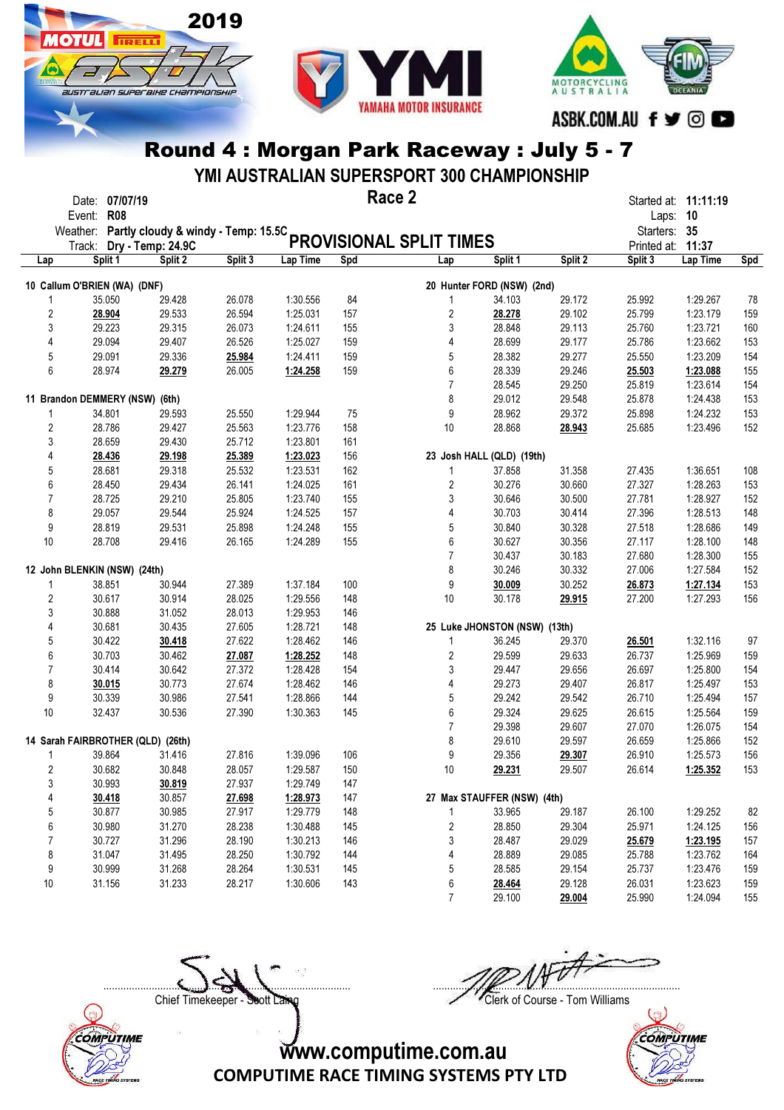

**OTHL** 

**TRELL** 

australian superaike championskir



## Round 4 : Morgan Park Raceway : July 5 - 7

YMI AUSTRALIAN SUPERSPORT 300 CHAMPIONSHIP

|                         | Date: 07/07/19<br><b>R08</b><br>Event:       |                   |         |          | Race 2 |                                |                               |         | Laps: 10     | Started at: 11:11:19 |     |
|-------------------------|----------------------------------------------|-------------------|---------|----------|--------|--------------------------------|-------------------------------|---------|--------------|----------------------|-----|
|                         | Weather: Partly cloudy & windy - Temp: 15.5C |                   |         |          |        |                                |                               |         | Starters: 35 |                      |     |
|                         | Track:                                       | Dry - Temp: 24.9C |         |          |        | <b>PROVISIONAL SPLIT TIMES</b> |                               |         | Printed at:  | 11:37                |     |
| Lap                     | Split 1                                      | Split 2           | Split 3 | Lap Time | Spd    | Lap                            | Split 1                       | Split 2 | Split 3      | Lap Time             | Spd |
|                         | 10 Callum O'BRIEN (WA) (DNF)                 |                   |         |          |        |                                | 20 Hunter FORD (NSW) (2nd)    |         |              |                      |     |
|                         | 35.050                                       | 29.428            | 26.078  | 1:30.556 | 84     | 1                              | 34.103                        | 29.172  | 25.992       | 1:29.267             | 78  |
| $\sqrt{2}$              | 28.904                                       | 29.533            | 26.594  | 1:25.031 | 157    | 2                              | 28.278                        | 29.102  | 25.799       | 1:23.179             | 159 |
| 3                       | 29.223                                       | 29.315            | 26.073  | 1:24.611 | 155    | 3                              | 28.848                        | 29.113  | 25.760       | 1:23.721             | 160 |
| 4                       | 29.094                                       | 29.407            | 26.526  | 1:25.027 | 159    | 4                              | 28.699                        | 29.177  | 25.786       | 1:23.662             | 153 |
| 5                       | 29.091                                       | 29.336            | 25.984  | 1:24.411 | 159    | 5                              | 28.382                        | 29.277  | 25.550       | 1:23.209             | 154 |
| 6                       | 28.974                                       | 29.279            | 26.005  | 1:24.258 | 159    | 6                              | 28.339                        | 29.246  | 25.503       | 1:23.088             | 155 |
|                         |                                              |                   |         |          |        | $\overline{7}$                 | 28.545                        | 29.250  | 25.819       | 1:23.614             | 154 |
|                         | 11 Brandon DEMMERY (NSW) (6th)               |                   |         |          |        | 8                              | 29.012                        | 29.548  | 25.878       | 1:24.438             | 153 |
| 1                       | 34.801                                       | 29.593            | 25.550  | 1:29.944 | 75     | 9                              | 28.962                        | 29.372  | 25.898       | 1:24.232             | 153 |
| $\overline{\mathbf{c}}$ | 28.786                                       | 29.427            | 25.563  | 1:23.776 | 158    | 10                             | 28.868                        | 28.943  | 25.685       | 1:23.496             | 152 |
| 3                       | 28.659                                       | 29.430            | 25.712  | 1:23.801 | 161    |                                |                               |         |              |                      |     |
| 4                       | 28.436                                       | 29.198            | 25.389  | 1:23.023 | 156    |                                | 23 Josh HALL (QLD) (19th)     |         |              |                      |     |
| 5                       | 28.681                                       | 29.318            | 25.532  | 1:23.531 | 162    | 1                              | 37.858                        | 31.358  | 27.435       | 1:36.651             | 108 |
| 6                       | 28.450                                       | 29.434            | 26.141  | 1:24.025 | 161    | 2                              | 30.276                        | 30.660  | 27.327       | 1:28.263             | 153 |
| 7                       | 28.725                                       | 29.210            | 25.805  | 1:23.740 | 155    | 3                              | 30.646                        | 30.500  | 27.781       | 1:28.927             | 152 |
| 8                       | 29.057                                       | 29.544            | 25.924  | 1:24.525 | 157    | 4                              | 30.703                        | 30.414  | 27.396       | 1:28.513             | 148 |
| 9                       | 28.819                                       | 29.531            | 25.898  | 1:24.248 | 155    | 5                              | 30.840                        | 30.328  | 27.518       | 1:28.686             | 149 |
| 10                      | 28.708                                       | 29.416            | 26.165  | 1:24.289 | 155    | 6                              | 30.627                        | 30.356  | 27.117       | 1:28.100             | 148 |
|                         |                                              |                   |         |          |        | $\overline{7}$                 | 30.437                        | 30.183  | 27.680       | 1:28.300             | 155 |
|                         | 12 John BLENKIN (NSW) (24th)                 |                   |         |          |        | 8                              | 30.246                        | 30.332  | 27.006       | 1:27.584             | 152 |
|                         | 38.851                                       | 30.944            | 27.389  | 1:37.184 | 100    | 9                              | 30.009                        | 30.252  | 26.873       | 1:27.134             | 153 |
| $\sqrt{2}$              | 30.617                                       | 30.914            | 28.025  | 1:29.556 | 148    | 10                             | 30.178                        | 29.915  | 27.200       | 1:27.293             | 156 |
| 3                       | 30.888                                       | 31.052            | 28.013  | 1:29.953 | 146    |                                |                               |         |              |                      |     |
| 4                       | 30.681                                       | 30.435            | 27.605  | 1:28.721 | 148    |                                | 25 Luke JHONSTON (NSW) (13th) |         |              |                      |     |
| 5                       | 30.422                                       | 30.418            | 27.622  | 1:28.462 | 146    | 1                              | 36.245                        | 29.370  | 26.501       | 1:32.116             | 97  |
| 6                       | 30.703                                       | 30.462            | 27.087  | 1:28.252 | 148    | 2                              | 29.599                        | 29.633  | 26.737       | 1:25.969             | 159 |
| 7                       | 30.414                                       | 30.642            | 27.372  | 1:28.428 | 154    | 3                              | 29.447                        | 29.656  | 26.697       | 1:25.800             | 154 |
| 8                       | 30.015                                       | 30.773            | 27.674  | 1:28.462 | 146    | 4                              | 29.273                        | 29.407  | 26.817       | 1:25.497             | 153 |
| 9                       | 30.339                                       | 30.986            | 27.541  | 1:28.866 | 144    | 5                              | 29.242                        | 29.542  | 26.710       | 1:25.494             | 157 |
| 10                      | 32.437                                       | 30.536            | 27.390  | 1:30.363 | 145    | 6                              | 29.324                        | 29.625  | 26.615       | 1:25.564             | 159 |
|                         |                                              |                   |         |          |        | $\overline{7}$                 | 29.398                        | 29.607  | 27.070       | 1:26.075             | 154 |
|                         | 14 Sarah FAIRBROTHER (QLD) (26th)            |                   |         |          |        | 8                              | 29.610                        | 29.597  | 26.659       | 1:25.866             | 152 |
| 1                       | 39.864                                       | 31.416            | 27.816  | 1:39.096 | 106    | 9                              | 29.356                        | 29.307  | 26.910       | 1:25.573             | 156 |
| 2                       | 30.682                                       | 30.848            | 28.057  | 1:29.587 | 150    | 10                             | 29.231                        | 29.507  | 26.614       | 1:25.352             | 153 |
| 3                       | 30.993                                       | 30.819            | 27.937  | 1:29.749 | 147    |                                |                               |         |              |                      |     |
| 4                       | 30.418                                       | 30.857            | 27.698  | 1:28.973 | 147    |                                | 27 Max STAUFFER (NSW) (4th)   |         |              |                      |     |
| 5                       | 30.877                                       | 30.985            | 27.917  | 1:29.779 | 148    | 1                              | 33.965                        | 29.187  | 26.100       | 1:29.252             | 82  |
| 6                       | 30.980                                       | 31.270            | 28.238  | 1:30.488 | 145    | $\sqrt{2}$                     | 28.850                        | 29.304  | 25.971       | 1:24.125             | 156 |
| 7                       | 30.727                                       | 31.296            | 28.190  | 1:30.213 | 146    | 3                              | 28.487                        | 29.029  | 25.679       | 1:23.195             | 157 |
| 8                       | 31.047                                       | 31.495            | 28.250  | 1:30.792 | 144    | 4                              | 28.889                        | 29.085  | 25.788       | 1:23.762             | 164 |
| 9                       | 30.999                                       | 31.268            | 28.264  | 1:30.531 | 145    | 5                              | 28.585                        | 29.154  | 25.737       | 1:23.476             | 159 |
| 10                      | 31.156                                       | 31.233            | 28.217  | 1:30.606 | 143    | 6                              | 28.464                        | 29.128  | 26.031       | 1:23.623             | 159 |
|                         |                                              |                   |         |          |        | $\overline{7}$                 | 29.100                        | 29.004  | 25.990       | 1:24.094             | 155 |

Chief Timekeeper - Soott Laing Chief Timekeeper - Soott Laing



 $\Box$ 

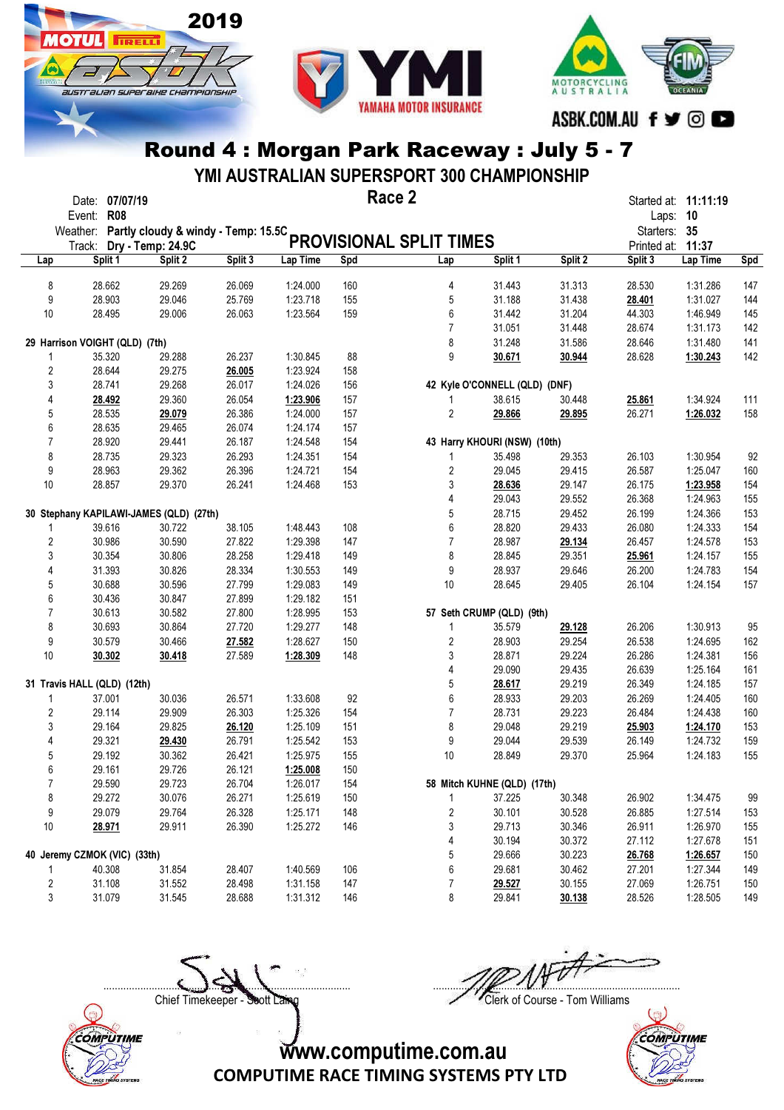

Іотіі

**TRELL** 

australian superaike championskik



Round 4 : Morgan Park Raceway : July 5 - 7

YMI AUSTRALIAN SUPERSPORT 300 CHAMPIONSHIP

|     | Event: R08                     | Date: 07/07/19 |                                              |         |          | Race 2 |                         |                               |         | Laps: 10     | Started at: 11:11:19 |            |
|-----|--------------------------------|----------------|----------------------------------------------|---------|----------|--------|-------------------------|-------------------------------|---------|--------------|----------------------|------------|
|     |                                |                | Weather: Partly cloudy & windy - Temp: 15.5C |         |          |        |                         |                               |         | Starters: 35 |                      |            |
|     |                                |                | Track: Dry - Temp: 24.9C                     |         |          |        | PROVISIONAL SPLIT TIMES |                               |         | Printed at:  | 11:37                |            |
| Lap |                                | Split 1        | Split 2                                      | Split 3 | Lap Time | Spd    | Lap                     | Split 1                       | Split 2 | Split 3      | Lap Time             | <b>Spd</b> |
|     |                                |                |                                              |         |          |        |                         |                               |         |              |                      |            |
|     | 8                              | 28.662         | 29.269                                       | 26.069  | 1:24.000 | 160    | 4                       | 31.443                        | 31.313  | 28.530       | 1:31.286             | 147        |
|     | 9                              | 28.903         | 29.046                                       | 25.769  | 1:23.718 | 155    | 5                       | 31.188                        | 31.438  | 28.401       | 1:31.027             | 144        |
|     | 10                             | 28.495         | 29.006                                       | 26.063  | 1:23.564 | 159    | 6                       | 31.442                        | 31.204  | 44.303       | 1:46.949             | 145        |
|     |                                |                |                                              |         |          |        | $\overline{7}$          | 31.051                        | 31.448  | 28.674       | 1:31.173             | 142        |
|     | 29 Harrison VOIGHT (QLD) (7th) |                |                                              |         |          |        | 8                       | 31.248                        | 31.586  | 28.646       | 1:31.480             | 141        |
|     | 1                              | 35.320         | 29.288                                       | 26.237  | 1:30.845 | 88     | 9                       | 30.671                        | 30.944  | 28.628       | 1:30.243             | 142        |
|     | $\overline{\mathbf{c}}$        | 28.644         | 29.275                                       | 26.005  | 1:23.924 | 158    |                         |                               |         |              |                      |            |
|     | 3                              | 28.741         | 29.268                                       | 26.017  | 1:24.026 | 156    |                         | 42 Kyle O'CONNELL (QLD) (DNF) |         |              |                      |            |
|     | 4                              | 28.492         | 29.360                                       | 26.054  | 1:23.906 | 157    | 1                       | 38.615                        | 30.448  | 25.861       | 1:34.924             | 111        |
|     | 5                              | 28.535         | 29.079                                       | 26.386  | 1:24.000 | 157    | 2                       | 29.866                        | 29.895  | 26.271       | 1:26.032             | 158        |
|     | 6                              | 28.635         | 29.465                                       | 26.074  | 1:24.174 | 157    |                         |                               |         |              |                      |            |
|     | $\overline{7}$                 | 28.920         | 29.441                                       | 26.187  | 1:24.548 | 154    |                         | 43 Harry KHOURI (NSW) (10th)  |         |              |                      |            |
|     | 8                              | 28.735         | 29.323                                       | 26.293  | 1:24.351 | 154    | 1                       | 35.498                        | 29.353  | 26.103       | 1:30.954             | 92         |
|     | 9                              | 28.963         | 29.362                                       | 26.396  | 1:24.721 | 154    | $\overline{c}$          | 29.045                        | 29.415  | 26.587       | 1:25.047             | 160        |
|     | 10                             | 28.857         | 29.370                                       | 26.241  | 1:24.468 | 153    | 3                       | 28.636                        | 29.147  | 26.175       | 1:23.958             | 154        |
|     |                                |                |                                              |         |          |        | 4                       | 29.043                        | 29.552  | 26.368       | 1:24.963             | 155        |
|     |                                |                | 30 Stephany KAPILAWI-JAMES (QLD) (27th)      |         |          |        | 5                       | 28.715                        | 29.452  | 26.199       | 1:24.366             | 153        |
|     | 1                              | 39.616         | 30.722                                       | 38.105  | 1:48.443 | 108    | 6                       | 28.820                        | 29.433  | 26.080       | 1:24.333             | 154        |
|     | $\overline{\mathbf{c}}$        | 30.986         | 30.590                                       | 27.822  | 1:29.398 | 147    | $\overline{7}$          | 28.987                        | 29.134  | 26.457       | 1:24.578             | 153        |
|     | 3                              | 30.354         | 30.806                                       | 28.258  | 1:29.418 | 149    | 8                       | 28.845                        | 29.351  | 25.961       | 1:24.157             | 155        |
|     | 4                              | 31.393         | 30.826                                       | 28.334  | 1:30.553 | 149    | 9                       | 28.937                        | 29.646  | 26.200       | 1:24.783             | 154        |
|     | 5                              | 30.688         | 30.596                                       | 27.799  | 1:29.083 | 149    | 10                      | 28.645                        | 29.405  | 26.104       | 1:24.154             | 157        |
|     | 6                              | 30.436         | 30.847                                       | 27.899  | 1:29.182 | 151    |                         |                               |         |              |                      |            |
|     | $\overline{7}$                 | 30.613         | 30.582                                       | 27.800  | 1:28.995 | 153    |                         | 57 Seth CRUMP (QLD) (9th)     |         |              |                      |            |
|     | 8                              | 30.693         | 30.864                                       | 27.720  | 1:29.277 | 148    | 1                       | 35.579                        | 29.128  | 26.206       | 1:30.913             | 95         |
|     | 9                              | 30.579         | 30.466                                       | 27.582  | 1:28.627 | 150    | 2                       | 28.903                        | 29.254  | 26.538       | 1:24.695             | 162        |
|     | 10                             | 30.302         | 30.418                                       | 27.589  | 1:28.309 | 148    | 3                       | 28.871                        | 29.224  | 26.286       | 1:24.381             | 156        |
|     |                                |                |                                              |         |          |        | 4                       | 29.090                        | 29.435  | 26.639       | 1:25.164             | 161        |
|     | 31 Travis HALL (QLD) (12th)    |                |                                              |         |          |        | 5                       | 28.617                        | 29.219  | 26.349       | 1:24.185             | 157        |
|     | 1                              | 37.001         | 30.036                                       | 26.571  | 1:33.608 | 92     | 6                       | 28.933                        | 29.203  | 26.269       | 1:24.405             | 160        |
|     | $\overline{2}$                 | 29.114         | 29.909                                       | 26.303  | 1:25.326 | 154    | 7                       | 28.731                        | 29.223  | 26.484       | 1:24.438             | 160        |
|     | 3                              | 29.164         | 29.825                                       | 26.120  | 1:25.109 | 151    | 8                       | 29.048                        | 29.219  | 25.903       | 1:24.170             | 153        |
|     | 4                              | 29.321         | 29.430                                       | 26.791  | 1:25.542 | 153    | 9                       | 29.044                        | 29.539  | 26.149       | 1:24.732             | 159        |
|     | 5                              | 29.192         | 30.362                                       | 26.421  | 1:25.975 | 155    | 10                      | 28.849                        | 29.370  | 25.964       | 1:24.183             | 155        |
|     | 6                              | 29.161         | 29.726                                       | 26.121  | 1:25.008 | 150    |                         |                               |         |              |                      |            |
|     | 7                              | 29.590         | 29.723                                       | 26.704  | 1:26.017 | 154    |                         | 58 Mitch KUHNE (QLD) (17th)   |         |              |                      |            |
|     | 8                              | 29.272         | 30.076                                       | 26.271  | 1:25.619 | 150    | 1                       | 37.225                        | 30.348  | 26.902       | 1:34.475             | 99         |
|     | 9                              | 29.079         | 29.764                                       | 26.328  | 1:25.171 | 148    | 2                       | 30.101                        | 30.528  | 26.885       | 1:27.514             | 153        |
|     | 10                             | 28.971         | 29.911                                       | 26.390  | 1:25.272 | 146    | 3                       | 29.713                        | 30.346  | 26.911       | 1:26.970             | 155        |
|     |                                |                |                                              |         |          |        | 4                       | 30.194                        | 30.372  | 27.112       | 1:27.678             | 151        |
|     | 40 Jeremy CZMOK (VIC) (33th)   |                |                                              |         |          |        | 5                       | 29.666                        | 30.223  | 26.768       | 1:26.657             | 150        |
|     |                                | 40.308         | 31.854                                       | 28.407  | 1:40.569 | 106    | 6                       | 29.681                        | 30.462  | 27.201       | 1:27.344             | 149        |
|     | 2                              | 31.108         | 31.552                                       | 28.498  | 1:31.158 | 147    | 7                       | 29.527                        | 30.155  | 27.069       | 1:26.751             | 150        |
|     | 3                              | 31.079         | 31.545                                       | 28.688  | 1:31.312 | 146    | 8                       | 29.841                        | 30.138  | 28.526       | 1:28.505             | 149        |

Chief Timekeeper - Soott Laing Chief Timekeeper - Soott Laing

COMPUTIME

 $\Box$ 

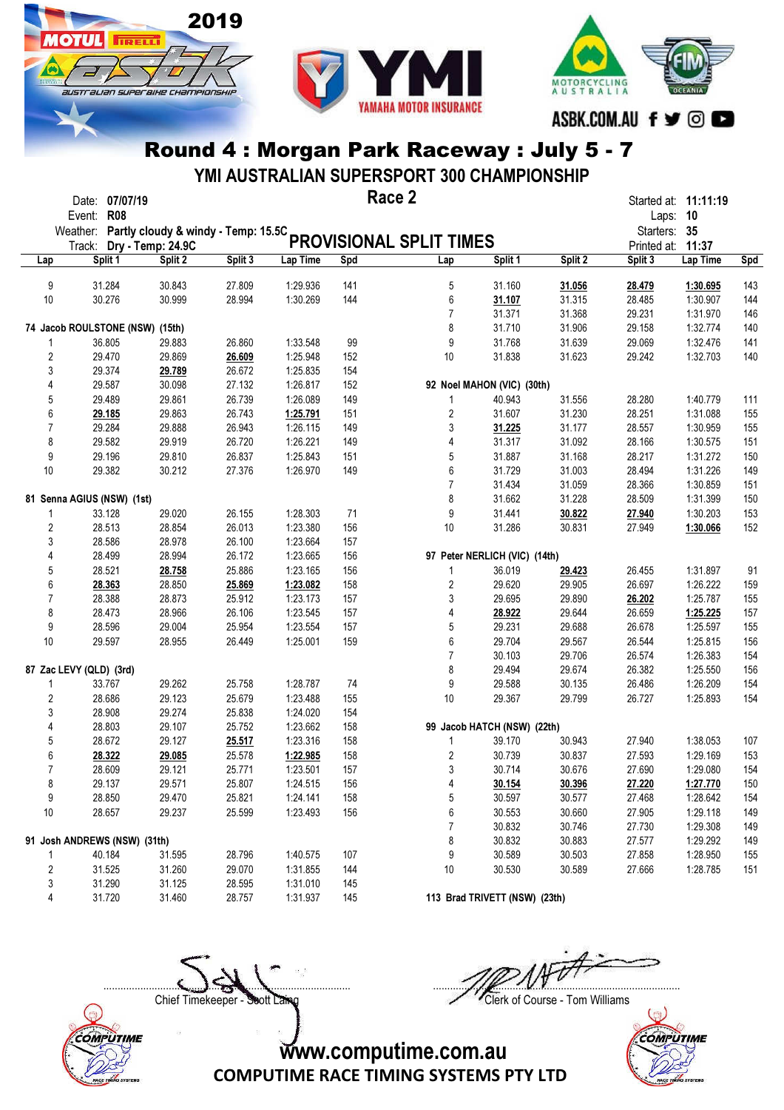

**OTHL** 

**TRELL** 

australian superaike championskik



#### Round 4 : Morgan Park Raceway : July 5 - 7

YMI AUSTRALIAN SUPERSPORT 300 CHAMPIONSHIP

|                         | Date: 07/07/19<br>Event: R08                 |         |         |          | Race 2 |                         |                               |         | Started at: 11:11:19<br>Laps: 10 |          |            |
|-------------------------|----------------------------------------------|---------|---------|----------|--------|-------------------------|-------------------------------|---------|----------------------------------|----------|------------|
|                         | Weather: Partly cloudy & windy - Temp: 15.5C |         |         |          |        |                         |                               |         | Starters: 35                     |          |            |
|                         | Track: Dry - Temp: 24.9C                     |         |         |          |        | PROVISIONAL SPLIT TIMES |                               |         | Printed at: 11:37                |          |            |
| Lap                     | Split 1                                      | Split 2 | Split 3 | Lap Time | Spd    | Lap                     | Split 1                       | Split 2 | Split 3                          | Lap Time | <b>Spd</b> |
| 9                       | 31.284                                       | 30.843  | 27.809  | 1:29.936 | 141    | 5                       | 31.160                        | 31.056  | 28.479                           | 1:30.695 | 143        |
| 10                      | 30.276                                       | 30.999  | 28.994  | 1:30.269 | 144    | 6                       | 31.107                        | 31.315  | 28.485                           | 1:30.907 | 144        |
|                         |                                              |         |         |          |        | $\overline{7}$          | 31.371                        | 31.368  | 29.231                           | 1:31.970 | 146        |
|                         | 74 Jacob ROULSTONE (NSW) (15th)              |         |         |          |        | 8                       | 31.710                        | 31.906  | 29.158                           | 1:32.774 | 140        |
| 1                       | 36.805                                       | 29.883  | 26.860  | 1:33.548 | 99     | 9                       | 31.768                        | 31.639  | 29.069                           | 1:32.476 | 141        |
| $\overline{2}$          | 29.470                                       | 29.869  | 26.609  | 1:25.948 | 152    | 10                      | 31.838                        | 31.623  | 29.242                           | 1:32.703 | 140        |
| 3                       | 29.374                                       | 29.789  | 26.672  | 1:25.835 | 154    |                         |                               |         |                                  |          |            |
| 4                       | 29.587                                       | 30.098  | 27.132  | 1:26.817 | 152    |                         | 92 Noel MAHON (VIC) (30th)    |         |                                  |          |            |
| 5                       | 29.489                                       | 29.861  | 26.739  | 1:26.089 | 149    | 1                       | 40.943                        | 31.556  | 28.280                           | 1:40.779 | 111        |
| 6                       | 29.185                                       | 29.863  | 26.743  | 1:25.791 | 151    | $\overline{\mathbf{c}}$ | 31.607                        | 31.230  | 28.251                           | 1:31.088 | 155        |
| $\overline{7}$          | 29.284                                       | 29.888  | 26.943  | 1:26.115 | 149    | 3                       | 31.225                        | 31.177  | 28.557                           | 1:30.959 | 155        |
| 8                       | 29.582                                       | 29.919  | 26.720  | 1:26.221 | 149    | 4                       | 31.317                        | 31.092  | 28.166                           | 1:30.575 | 151        |
| 9                       | 29.196                                       | 29.810  | 26.837  | 1:25.843 | 151    | 5                       | 31.887                        | 31.168  | 28.217                           | 1:31.272 | 150        |
| 10                      | 29.382                                       | 30.212  | 27.376  | 1:26.970 | 149    | 6                       | 31.729                        | 31.003  | 28.494                           | 1:31.226 | 149        |
|                         |                                              |         |         |          |        | $\overline{7}$          | 31.434                        | 31.059  | 28.366                           | 1:30.859 | 151        |
|                         |                                              |         |         |          |        | 8                       |                               |         |                                  | 1:31.399 |            |
|                         | 81 Senna AGIUS (NSW) (1st)                   |         |         |          |        |                         | 31.662                        | 31.228  | 28.509                           |          | 150        |
| 1                       | 33.128                                       | 29.020  | 26.155  | 1:28.303 | 71     | 9                       | 31.441                        | 30.822  | 27.940                           | 1:30.203 | 153        |
| 2                       | 28.513                                       | 28.854  | 26.013  | 1:23.380 | 156    | 10                      | 31.286                        | 30.831  | 27.949                           | 1:30.066 | 152        |
| 3                       | 28.586                                       | 28.978  | 26.100  | 1:23.664 | 157    |                         |                               |         |                                  |          |            |
| 4                       | 28.499                                       | 28.994  | 26.172  | 1:23.665 | 156    |                         | 97 Peter NERLICH (VIC) (14th) |         |                                  |          |            |
| 5                       | 28.521                                       | 28.758  | 25.886  | 1:23.165 | 156    | 1                       | 36.019                        | 29.423  | 26.455                           | 1:31.897 | 91         |
| 6                       | 28.363                                       | 28.850  | 25.869  | 1:23.082 | 158    | 2                       | 29.620                        | 29.905  | 26.697                           | 1:26.222 | 159        |
| 7                       | 28.388                                       | 28.873  | 25.912  | 1:23.173 | 157    | 3                       | 29.695                        | 29.890  | 26.202                           | 1:25.787 | 155        |
| 8                       | 28.473                                       | 28.966  | 26.106  | 1:23.545 | 157    | 4                       | 28.922                        | 29.644  | 26.659                           | 1:25.225 | 157        |
| 9                       | 28.596                                       | 29.004  | 25.954  | 1:23.554 | 157    | 5                       | 29.231                        | 29.688  | 26.678                           | 1:25.597 | 155        |
| 10                      | 29.597                                       | 28.955  | 26.449  | 1:25.001 | 159    | 6                       | 29.704                        | 29.567  | 26.544                           | 1:25.815 | 156        |
|                         |                                              |         |         |          |        | $\overline{7}$          | 30.103                        | 29.706  | 26.574                           | 1:26.383 | 154        |
|                         | 87 Zac LEVY (QLD) (3rd)                      |         |         |          |        | 8                       | 29.494                        | 29.674  | 26.382                           | 1:25.550 | 156        |
| 1                       | 33.767                                       | 29.262  | 25.758  | 1:28.787 | 74     | 9                       | 29.588                        | 30.135  | 26.486                           | 1:26.209 | 154        |
| $\overline{2}$          | 28.686                                       | 29.123  | 25.679  | 1:23.488 | 155    | 10                      | 29.367                        | 29.799  | 26.727                           | 1:25.893 | 154        |
| 3                       | 28.908                                       | 29.274  | 25.838  | 1:24.020 | 154    |                         |                               |         |                                  |          |            |
| 4                       | 28.803                                       | 29.107  | 25.752  | 1:23.662 | 158    |                         | 99 Jacob HATCH (NSW) (22th)   |         |                                  |          |            |
| 5                       | 28.672                                       | 29.127  | 25.517  | 1:23.316 | 158    | 1                       | 39.170                        | 30.943  | 27.940                           | 1:38.053 | 107        |
| 6                       | 28.322                                       | 29.085  | 25.578  | 1:22.985 | 158    | 2                       | 30.739                        | 30.837  | 27.593                           | 1:29.169 | 153        |
| $\overline{7}$          | 28.609                                       | 29.121  | 25.771  | 1:23.501 | 157    | 3                       | 30.714                        | 30.676  | 27.690                           | 1:29.080 | 154        |
| 8                       | 29.137                                       | 29.571  | 25.807  | 1:24.515 | 156    | 4                       | 30.154                        | 30.396  | 27.220                           | 1:27.770 | 150        |
| 9                       | 28.850                                       | 29.470  | 25.821  | 1:24.141 | 158    | 5                       | 30.597                        | 30.577  | 27.468                           | 1:28.642 | 154        |
| 10                      | 28.657                                       | 29.237  | 25.599  | 1:23.493 | 156    | 6                       | 30.553                        | 30.660  | 27.905                           | 1:29.118 | 149        |
|                         |                                              |         |         |          |        | 7                       | 30.832                        | 30.746  | 27.730                           | 1:29.308 | 149        |
|                         | 91 Josh ANDREWS (NSW) (31th)                 |         |         |          |        | 8                       | 30.832                        | 30.883  | 27.577                           | 1:29.292 | 149        |
| 1                       | 40.184                                       | 31.595  | 28.796  | 1:40.575 | 107    | 9                       | 30.589                        | 30.503  | 27.858                           | 1:28.950 | 155        |
| $\overline{\mathbf{c}}$ | 31.525                                       | 31.260  | 29.070  | 1:31.855 | 144    | 10                      | 30.530                        | 30.589  | 27.666                           | 1:28.785 | 151        |
| 3                       | 31.290                                       | 31.125  | 28.595  | 1:31.010 | 145    |                         |                               |         |                                  |          |            |
| 4                       | 31.720                                       | 31.460  | 28.757  | 1:31.937 | 145    |                         | 113 Brad TRIVETT (NSW) (23th) |         |                                  |          |            |
|                         |                                              |         |         |          |        |                         |                               |         |                                  |          |            |

 $\Box$ Chief Timekeeper - Soott Laing Chief Timekeeper - Soott Laing



COMPUTIME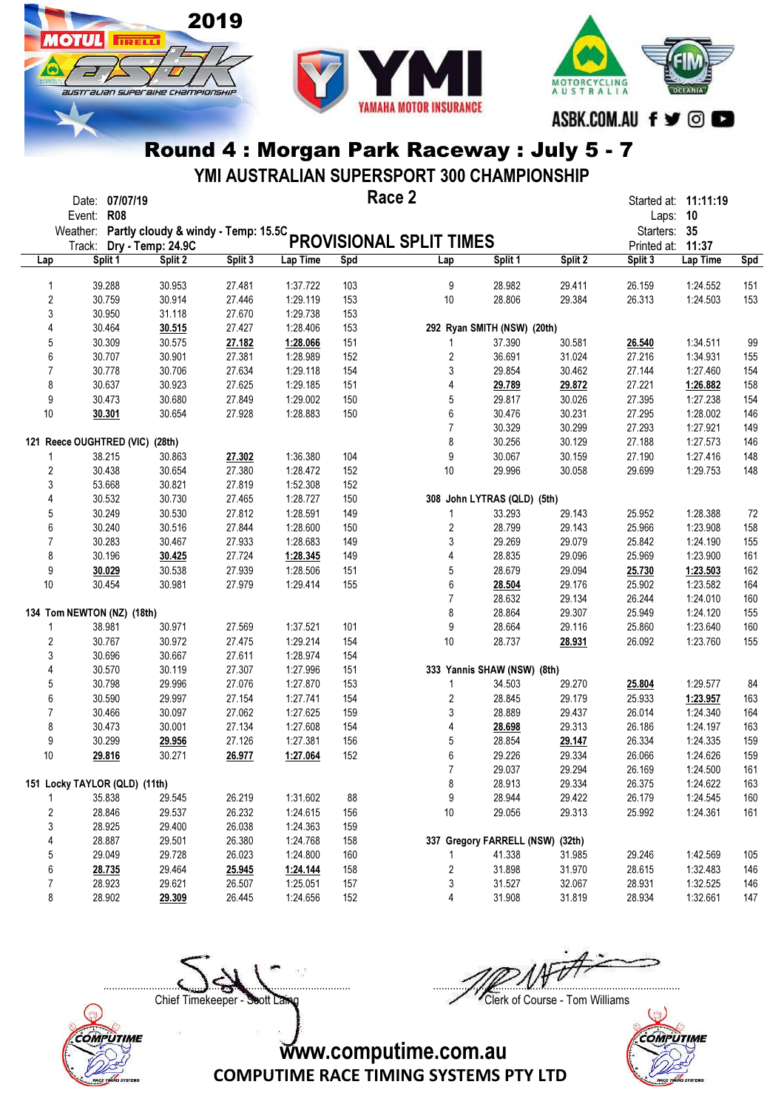

**ОТШ** 

**TRELL** 

australian superaike championskir



#### Round 4 : Morgan Park Raceway : July 5 - 7

YMI AUSTRALIAN SUPERSPORT 300 CHAMPIONSHIP

| Weather: Partly cloudy & windy - Temp: 15.5C<br>Starters: 35<br><b>PROVISIONAL SPLIT TIMES</b><br>Dry - Temp: 24.9C<br>Printed at: 11:37<br>Track:<br>Split 1<br>Split 3<br>Lap Time<br>Spd<br>Split 1<br>Split 2<br>Split 3<br>Lap Time<br>Split 2<br>Lap<br><b>Spd</b><br>Lap<br>39.288<br>30.953<br>27.481<br>1:37.722<br>103<br>9<br>28.982<br>29.411<br>26.159<br>1:24.552<br>151<br>1<br>$\overline{\mathbf{c}}$<br>30.914<br>27.446<br>29.384<br>153<br>30.759<br>1:29.119<br>153<br>10<br>28.806<br>26.313<br>1:24.503<br>3<br>31.118<br>30.950<br>27.670<br>1:29.738<br>153<br>4<br>30.515<br>27.427<br>1:28.406<br>292 Ryan SMITH (NSW) (20th)<br>30.464<br>153<br>5<br>30.309<br>30.575<br>27.182<br>151<br>37.390<br>30.581<br>1:34.511<br>99<br>1:28.066<br>26.540<br>1<br>6<br>$\overline{c}$<br>30.707<br>30.901<br>27.381<br>1:28.989<br>152<br>36.691<br>31.024<br>27.216<br>1:34.931<br>155<br>$\overline{7}$<br>30.706<br>27.634<br>3<br>30.778<br>1:29.118<br>29.854<br>30.462<br>27.144<br>1:27.460<br>154<br>154<br>8<br>27.625<br>4<br>158<br>30.637<br>30.923<br>1:29.185<br>151<br>29.789<br>29.872<br>27.221<br>1:26.882<br>5<br>9<br>30.680<br>27.849<br>1:29.002<br>29.817<br>30.026<br>154<br>30.473<br>150<br>27.395<br>1:27.238<br>6<br>30.231<br>10<br>30.654<br>27.928<br>1:28.883<br>150<br>30.476<br>27.295<br>1:28.002<br>146<br>30.301<br>$\overline{7}$<br>30.329<br>30.299<br>27.293<br>1:27.921<br>149<br>8<br>121 Reece OUGHTRED (VIC) (28th)<br>30.256<br>30.129<br>27.188<br>1:27.573<br>146<br>9<br>148<br>27.302<br>1:36.380<br>104<br>30.067<br>30.159<br>27.190<br>1:27.416<br>38.215<br>30.863<br>1<br>$\overline{\mathbf{c}}$<br>30.438<br>30.654<br>27.380<br>1:28.472<br>152<br>10<br>29.996<br>30.058<br>1:29.753<br>148<br>29.699<br>3<br>53.668<br>30.821<br>27.819<br>1:52.308<br>152<br>4<br>30.532<br>30.730<br>27.465<br>1:28.727<br>150<br>308 John LYTRAS (QLD) (5th)<br>5<br>30.530<br>27.812<br>30.249<br>1:28.591<br>149<br>29.143<br>25.952<br>1:28.388<br>72<br>1<br>33.293<br>6<br>30.516<br>$\overline{c}$<br>28.799<br>158<br>30.240<br>27.844<br>1:28.600<br>150<br>29.143<br>25.966<br>1:23.908<br>$\overline{7}$<br>3<br>29.269<br>30.283<br>30.467<br>27.933<br>29.079<br>155<br>1:28.683<br>149<br>25.842<br>1:24.190<br>4<br>8<br>30.196<br>27.724<br>28.835<br>29.096<br>25.969<br>1:23.900<br>161<br>30.425<br>1:28.345<br>149<br>27.939<br>5<br>28.679<br>9<br>30.538<br>1:28.506<br>151<br>29.094<br>25.730<br>1:23.503<br>162<br>30.029<br>10<br>6<br>29.176<br>164<br>30.454<br>30.981<br>27.979<br>1:29.414<br>155<br>28.504<br>25.902<br>1:23.582<br>$\overline{7}$<br>28.632<br>160<br>29.134<br>26.244<br>1:24.010<br>134 Tom NEWTON (NZ) (18th)<br>8<br>28.864<br>29.307<br>155<br>25.949<br>1:24.120<br>9<br>38.981<br>30.971<br>27.569<br>1:37.521<br>101<br>28.664<br>29.116<br>25.860<br>1:23.640<br>160<br>1<br>$\overline{\mathbf{c}}$<br>30.767<br>30.972<br>27.475<br>1:29.214<br>154<br>10<br>28.737<br>26.092<br>1:23.760<br>155<br>28.931<br>3<br>27.611<br>30.696<br>30.667<br>1:28.974<br>154<br>4<br>30.119<br>27.307<br>30.570<br>1:27.996<br>151<br>333 Yannis SHAW (NSW) (8th)<br>5<br>30.798<br>29.996<br>27.076<br>1:27.870<br>29.270<br>1:29.577<br>153<br>1<br>34.503<br>25.804<br>84<br>6<br>30.590<br>29.997<br>27.154<br>1:27.741<br>154<br>2<br>28.845<br>29.179<br>25.933<br>1:23.957<br>163<br>7<br>30.466<br>30.097<br>27.062<br>1:27.625<br>3<br>28.889<br>29.437<br>26.014<br>1:24.340<br>164<br>159<br>8<br>163<br>30.001<br>27.134<br>1:27.608<br>154<br>4<br>28.698<br>29.313<br>26.186<br>1:24.197<br>30.473<br>5<br>9<br>159<br>30.299<br>27.126<br>1:27.381<br>156<br>28.854<br>26.334<br>29.956<br>29.147<br>1:24.335<br>6<br>10<br>30.271<br>152<br>29.226<br>29.334<br>159<br>29.816<br>26.977<br>1:27.064<br>26.066<br>1:24.626<br>$\overline{7}$<br>29.037<br>29.294<br>161<br>26.169<br>1:24.500<br>151 Locky TAYLOR (QLD) (11th)<br>8<br>28.913<br>29.334<br>26.375<br>1:24.622<br>163<br>26.219<br>88<br>9<br>28.944<br>29.422<br>26.179<br>1:24.545<br>160<br>35.838<br>29.545<br>1:31.602<br>1<br>$\overline{2}$<br>28.846<br>26.232<br>10<br>161<br>29.537<br>1:24.615<br>156<br>29.056<br>29.313<br>25.992<br>1:24.361<br>3<br>28.925<br>29.400<br>26.038<br>1:24.363<br>159<br>4<br>28.887<br>29.501<br>26.380<br>1:24.768<br>337 Gregory FARRELL (NSW) (32th)<br>158<br>5<br>29.049<br>29.728<br>26.023<br>1:24.800<br>41.338<br>160<br>31.985<br>29.246<br>1:42.569<br>105<br>1<br>6<br>29.464<br>2<br>31.898<br>31.970<br>28.615<br>1:32.483<br>146<br>28.735<br>25.945<br>1:24.144<br>158<br>7<br>28.923<br>29.621<br>26.507<br>1:25.051<br>3<br>31.527<br>32.067<br>28.931<br>1:32.525<br>146<br>157<br>8<br>26.445<br>1:24.656<br>4<br>31.908<br>28.902<br>29.309<br>152<br>31.819<br>28.934<br>1:32.661<br>147 | Date: 07/07/19<br><b>R08</b><br>Event: |  |  | Race 2 |  | Started at: 11:11:19<br>Laps: 10 |  |
|-------------------------------------------------------------------------------------------------------------------------------------------------------------------------------------------------------------------------------------------------------------------------------------------------------------------------------------------------------------------------------------------------------------------------------------------------------------------------------------------------------------------------------------------------------------------------------------------------------------------------------------------------------------------------------------------------------------------------------------------------------------------------------------------------------------------------------------------------------------------------------------------------------------------------------------------------------------------------------------------------------------------------------------------------------------------------------------------------------------------------------------------------------------------------------------------------------------------------------------------------------------------------------------------------------------------------------------------------------------------------------------------------------------------------------------------------------------------------------------------------------------------------------------------------------------------------------------------------------------------------------------------------------------------------------------------------------------------------------------------------------------------------------------------------------------------------------------------------------------------------------------------------------------------------------------------------------------------------------------------------------------------------------------------------------------------------------------------------------------------------------------------------------------------------------------------------------------------------------------------------------------------------------------------------------------------------------------------------------------------------------------------------------------------------------------------------------------------------------------------------------------------------------------------------------------------------------------------------------------------------------------------------------------------------------------------------------------------------------------------------------------------------------------------------------------------------------------------------------------------------------------------------------------------------------------------------------------------------------------------------------------------------------------------------------------------------------------------------------------------------------------------------------------------------------------------------------------------------------------------------------------------------------------------------------------------------------------------------------------------------------------------------------------------------------------------------------------------------------------------------------------------------------------------------------------------------------------------------------------------------------------------------------------------------------------------------------------------------------------------------------------------------------------------------------------------------------------------------------------------------------------------------------------------------------------------------------------------------------------------------------------------------------------------------------------------------------------------------------------------------------------------------------------------------------------------------------------------------------------------------------------------------------------------------------------------------------------------------------------------------------------------------------------------------------------------------------------------------------------------------------------------------------------------------------------------------------------------------------------------------------------------------------------------------------------------------------------------------------------------------------------------------------------------------------------------------------------------------------------|----------------------------------------|--|--|--------|--|----------------------------------|--|
|                                                                                                                                                                                                                                                                                                                                                                                                                                                                                                                                                                                                                                                                                                                                                                                                                                                                                                                                                                                                                                                                                                                                                                                                                                                                                                                                                                                                                                                                                                                                                                                                                                                                                                                                                                                                                                                                                                                                                                                                                                                                                                                                                                                                                                                                                                                                                                                                                                                                                                                                                                                                                                                                                                                                                                                                                                                                                                                                                                                                                                                                                                                                                                                                                                                                                                                                                                                                                                                                                                                                                                                                                                                                                                                                                                                                                                                                                                                                                                                                                                                                                                                                                                                                                                                                                                                                                                                                                                                                                                                                                                                                                                                                                                                                                                                                                                                             |                                        |  |  |        |  |                                  |  |
|                                                                                                                                                                                                                                                                                                                                                                                                                                                                                                                                                                                                                                                                                                                                                                                                                                                                                                                                                                                                                                                                                                                                                                                                                                                                                                                                                                                                                                                                                                                                                                                                                                                                                                                                                                                                                                                                                                                                                                                                                                                                                                                                                                                                                                                                                                                                                                                                                                                                                                                                                                                                                                                                                                                                                                                                                                                                                                                                                                                                                                                                                                                                                                                                                                                                                                                                                                                                                                                                                                                                                                                                                                                                                                                                                                                                                                                                                                                                                                                                                                                                                                                                                                                                                                                                                                                                                                                                                                                                                                                                                                                                                                                                                                                                                                                                                                                             |                                        |  |  |        |  |                                  |  |
|                                                                                                                                                                                                                                                                                                                                                                                                                                                                                                                                                                                                                                                                                                                                                                                                                                                                                                                                                                                                                                                                                                                                                                                                                                                                                                                                                                                                                                                                                                                                                                                                                                                                                                                                                                                                                                                                                                                                                                                                                                                                                                                                                                                                                                                                                                                                                                                                                                                                                                                                                                                                                                                                                                                                                                                                                                                                                                                                                                                                                                                                                                                                                                                                                                                                                                                                                                                                                                                                                                                                                                                                                                                                                                                                                                                                                                                                                                                                                                                                                                                                                                                                                                                                                                                                                                                                                                                                                                                                                                                                                                                                                                                                                                                                                                                                                                                             |                                        |  |  |        |  |                                  |  |
|                                                                                                                                                                                                                                                                                                                                                                                                                                                                                                                                                                                                                                                                                                                                                                                                                                                                                                                                                                                                                                                                                                                                                                                                                                                                                                                                                                                                                                                                                                                                                                                                                                                                                                                                                                                                                                                                                                                                                                                                                                                                                                                                                                                                                                                                                                                                                                                                                                                                                                                                                                                                                                                                                                                                                                                                                                                                                                                                                                                                                                                                                                                                                                                                                                                                                                                                                                                                                                                                                                                                                                                                                                                                                                                                                                                                                                                                                                                                                                                                                                                                                                                                                                                                                                                                                                                                                                                                                                                                                                                                                                                                                                                                                                                                                                                                                                                             |                                        |  |  |        |  |                                  |  |
|                                                                                                                                                                                                                                                                                                                                                                                                                                                                                                                                                                                                                                                                                                                                                                                                                                                                                                                                                                                                                                                                                                                                                                                                                                                                                                                                                                                                                                                                                                                                                                                                                                                                                                                                                                                                                                                                                                                                                                                                                                                                                                                                                                                                                                                                                                                                                                                                                                                                                                                                                                                                                                                                                                                                                                                                                                                                                                                                                                                                                                                                                                                                                                                                                                                                                                                                                                                                                                                                                                                                                                                                                                                                                                                                                                                                                                                                                                                                                                                                                                                                                                                                                                                                                                                                                                                                                                                                                                                                                                                                                                                                                                                                                                                                                                                                                                                             |                                        |  |  |        |  |                                  |  |
|                                                                                                                                                                                                                                                                                                                                                                                                                                                                                                                                                                                                                                                                                                                                                                                                                                                                                                                                                                                                                                                                                                                                                                                                                                                                                                                                                                                                                                                                                                                                                                                                                                                                                                                                                                                                                                                                                                                                                                                                                                                                                                                                                                                                                                                                                                                                                                                                                                                                                                                                                                                                                                                                                                                                                                                                                                                                                                                                                                                                                                                                                                                                                                                                                                                                                                                                                                                                                                                                                                                                                                                                                                                                                                                                                                                                                                                                                                                                                                                                                                                                                                                                                                                                                                                                                                                                                                                                                                                                                                                                                                                                                                                                                                                                                                                                                                                             |                                        |  |  |        |  |                                  |  |
|                                                                                                                                                                                                                                                                                                                                                                                                                                                                                                                                                                                                                                                                                                                                                                                                                                                                                                                                                                                                                                                                                                                                                                                                                                                                                                                                                                                                                                                                                                                                                                                                                                                                                                                                                                                                                                                                                                                                                                                                                                                                                                                                                                                                                                                                                                                                                                                                                                                                                                                                                                                                                                                                                                                                                                                                                                                                                                                                                                                                                                                                                                                                                                                                                                                                                                                                                                                                                                                                                                                                                                                                                                                                                                                                                                                                                                                                                                                                                                                                                                                                                                                                                                                                                                                                                                                                                                                                                                                                                                                                                                                                                                                                                                                                                                                                                                                             |                                        |  |  |        |  |                                  |  |
|                                                                                                                                                                                                                                                                                                                                                                                                                                                                                                                                                                                                                                                                                                                                                                                                                                                                                                                                                                                                                                                                                                                                                                                                                                                                                                                                                                                                                                                                                                                                                                                                                                                                                                                                                                                                                                                                                                                                                                                                                                                                                                                                                                                                                                                                                                                                                                                                                                                                                                                                                                                                                                                                                                                                                                                                                                                                                                                                                                                                                                                                                                                                                                                                                                                                                                                                                                                                                                                                                                                                                                                                                                                                                                                                                                                                                                                                                                                                                                                                                                                                                                                                                                                                                                                                                                                                                                                                                                                                                                                                                                                                                                                                                                                                                                                                                                                             |                                        |  |  |        |  |                                  |  |
|                                                                                                                                                                                                                                                                                                                                                                                                                                                                                                                                                                                                                                                                                                                                                                                                                                                                                                                                                                                                                                                                                                                                                                                                                                                                                                                                                                                                                                                                                                                                                                                                                                                                                                                                                                                                                                                                                                                                                                                                                                                                                                                                                                                                                                                                                                                                                                                                                                                                                                                                                                                                                                                                                                                                                                                                                                                                                                                                                                                                                                                                                                                                                                                                                                                                                                                                                                                                                                                                                                                                                                                                                                                                                                                                                                                                                                                                                                                                                                                                                                                                                                                                                                                                                                                                                                                                                                                                                                                                                                                                                                                                                                                                                                                                                                                                                                                             |                                        |  |  |        |  |                                  |  |
|                                                                                                                                                                                                                                                                                                                                                                                                                                                                                                                                                                                                                                                                                                                                                                                                                                                                                                                                                                                                                                                                                                                                                                                                                                                                                                                                                                                                                                                                                                                                                                                                                                                                                                                                                                                                                                                                                                                                                                                                                                                                                                                                                                                                                                                                                                                                                                                                                                                                                                                                                                                                                                                                                                                                                                                                                                                                                                                                                                                                                                                                                                                                                                                                                                                                                                                                                                                                                                                                                                                                                                                                                                                                                                                                                                                                                                                                                                                                                                                                                                                                                                                                                                                                                                                                                                                                                                                                                                                                                                                                                                                                                                                                                                                                                                                                                                                             |                                        |  |  |        |  |                                  |  |
|                                                                                                                                                                                                                                                                                                                                                                                                                                                                                                                                                                                                                                                                                                                                                                                                                                                                                                                                                                                                                                                                                                                                                                                                                                                                                                                                                                                                                                                                                                                                                                                                                                                                                                                                                                                                                                                                                                                                                                                                                                                                                                                                                                                                                                                                                                                                                                                                                                                                                                                                                                                                                                                                                                                                                                                                                                                                                                                                                                                                                                                                                                                                                                                                                                                                                                                                                                                                                                                                                                                                                                                                                                                                                                                                                                                                                                                                                                                                                                                                                                                                                                                                                                                                                                                                                                                                                                                                                                                                                                                                                                                                                                                                                                                                                                                                                                                             |                                        |  |  |        |  |                                  |  |
|                                                                                                                                                                                                                                                                                                                                                                                                                                                                                                                                                                                                                                                                                                                                                                                                                                                                                                                                                                                                                                                                                                                                                                                                                                                                                                                                                                                                                                                                                                                                                                                                                                                                                                                                                                                                                                                                                                                                                                                                                                                                                                                                                                                                                                                                                                                                                                                                                                                                                                                                                                                                                                                                                                                                                                                                                                                                                                                                                                                                                                                                                                                                                                                                                                                                                                                                                                                                                                                                                                                                                                                                                                                                                                                                                                                                                                                                                                                                                                                                                                                                                                                                                                                                                                                                                                                                                                                                                                                                                                                                                                                                                                                                                                                                                                                                                                                             |                                        |  |  |        |  |                                  |  |
|                                                                                                                                                                                                                                                                                                                                                                                                                                                                                                                                                                                                                                                                                                                                                                                                                                                                                                                                                                                                                                                                                                                                                                                                                                                                                                                                                                                                                                                                                                                                                                                                                                                                                                                                                                                                                                                                                                                                                                                                                                                                                                                                                                                                                                                                                                                                                                                                                                                                                                                                                                                                                                                                                                                                                                                                                                                                                                                                                                                                                                                                                                                                                                                                                                                                                                                                                                                                                                                                                                                                                                                                                                                                                                                                                                                                                                                                                                                                                                                                                                                                                                                                                                                                                                                                                                                                                                                                                                                                                                                                                                                                                                                                                                                                                                                                                                                             |                                        |  |  |        |  |                                  |  |
|                                                                                                                                                                                                                                                                                                                                                                                                                                                                                                                                                                                                                                                                                                                                                                                                                                                                                                                                                                                                                                                                                                                                                                                                                                                                                                                                                                                                                                                                                                                                                                                                                                                                                                                                                                                                                                                                                                                                                                                                                                                                                                                                                                                                                                                                                                                                                                                                                                                                                                                                                                                                                                                                                                                                                                                                                                                                                                                                                                                                                                                                                                                                                                                                                                                                                                                                                                                                                                                                                                                                                                                                                                                                                                                                                                                                                                                                                                                                                                                                                                                                                                                                                                                                                                                                                                                                                                                                                                                                                                                                                                                                                                                                                                                                                                                                                                                             |                                        |  |  |        |  |                                  |  |
|                                                                                                                                                                                                                                                                                                                                                                                                                                                                                                                                                                                                                                                                                                                                                                                                                                                                                                                                                                                                                                                                                                                                                                                                                                                                                                                                                                                                                                                                                                                                                                                                                                                                                                                                                                                                                                                                                                                                                                                                                                                                                                                                                                                                                                                                                                                                                                                                                                                                                                                                                                                                                                                                                                                                                                                                                                                                                                                                                                                                                                                                                                                                                                                                                                                                                                                                                                                                                                                                                                                                                                                                                                                                                                                                                                                                                                                                                                                                                                                                                                                                                                                                                                                                                                                                                                                                                                                                                                                                                                                                                                                                                                                                                                                                                                                                                                                             |                                        |  |  |        |  |                                  |  |
|                                                                                                                                                                                                                                                                                                                                                                                                                                                                                                                                                                                                                                                                                                                                                                                                                                                                                                                                                                                                                                                                                                                                                                                                                                                                                                                                                                                                                                                                                                                                                                                                                                                                                                                                                                                                                                                                                                                                                                                                                                                                                                                                                                                                                                                                                                                                                                                                                                                                                                                                                                                                                                                                                                                                                                                                                                                                                                                                                                                                                                                                                                                                                                                                                                                                                                                                                                                                                                                                                                                                                                                                                                                                                                                                                                                                                                                                                                                                                                                                                                                                                                                                                                                                                                                                                                                                                                                                                                                                                                                                                                                                                                                                                                                                                                                                                                                             |                                        |  |  |        |  |                                  |  |
|                                                                                                                                                                                                                                                                                                                                                                                                                                                                                                                                                                                                                                                                                                                                                                                                                                                                                                                                                                                                                                                                                                                                                                                                                                                                                                                                                                                                                                                                                                                                                                                                                                                                                                                                                                                                                                                                                                                                                                                                                                                                                                                                                                                                                                                                                                                                                                                                                                                                                                                                                                                                                                                                                                                                                                                                                                                                                                                                                                                                                                                                                                                                                                                                                                                                                                                                                                                                                                                                                                                                                                                                                                                                                                                                                                                                                                                                                                                                                                                                                                                                                                                                                                                                                                                                                                                                                                                                                                                                                                                                                                                                                                                                                                                                                                                                                                                             |                                        |  |  |        |  |                                  |  |
|                                                                                                                                                                                                                                                                                                                                                                                                                                                                                                                                                                                                                                                                                                                                                                                                                                                                                                                                                                                                                                                                                                                                                                                                                                                                                                                                                                                                                                                                                                                                                                                                                                                                                                                                                                                                                                                                                                                                                                                                                                                                                                                                                                                                                                                                                                                                                                                                                                                                                                                                                                                                                                                                                                                                                                                                                                                                                                                                                                                                                                                                                                                                                                                                                                                                                                                                                                                                                                                                                                                                                                                                                                                                                                                                                                                                                                                                                                                                                                                                                                                                                                                                                                                                                                                                                                                                                                                                                                                                                                                                                                                                                                                                                                                                                                                                                                                             |                                        |  |  |        |  |                                  |  |
|                                                                                                                                                                                                                                                                                                                                                                                                                                                                                                                                                                                                                                                                                                                                                                                                                                                                                                                                                                                                                                                                                                                                                                                                                                                                                                                                                                                                                                                                                                                                                                                                                                                                                                                                                                                                                                                                                                                                                                                                                                                                                                                                                                                                                                                                                                                                                                                                                                                                                                                                                                                                                                                                                                                                                                                                                                                                                                                                                                                                                                                                                                                                                                                                                                                                                                                                                                                                                                                                                                                                                                                                                                                                                                                                                                                                                                                                                                                                                                                                                                                                                                                                                                                                                                                                                                                                                                                                                                                                                                                                                                                                                                                                                                                                                                                                                                                             |                                        |  |  |        |  |                                  |  |
|                                                                                                                                                                                                                                                                                                                                                                                                                                                                                                                                                                                                                                                                                                                                                                                                                                                                                                                                                                                                                                                                                                                                                                                                                                                                                                                                                                                                                                                                                                                                                                                                                                                                                                                                                                                                                                                                                                                                                                                                                                                                                                                                                                                                                                                                                                                                                                                                                                                                                                                                                                                                                                                                                                                                                                                                                                                                                                                                                                                                                                                                                                                                                                                                                                                                                                                                                                                                                                                                                                                                                                                                                                                                                                                                                                                                                                                                                                                                                                                                                                                                                                                                                                                                                                                                                                                                                                                                                                                                                                                                                                                                                                                                                                                                                                                                                                                             |                                        |  |  |        |  |                                  |  |
|                                                                                                                                                                                                                                                                                                                                                                                                                                                                                                                                                                                                                                                                                                                                                                                                                                                                                                                                                                                                                                                                                                                                                                                                                                                                                                                                                                                                                                                                                                                                                                                                                                                                                                                                                                                                                                                                                                                                                                                                                                                                                                                                                                                                                                                                                                                                                                                                                                                                                                                                                                                                                                                                                                                                                                                                                                                                                                                                                                                                                                                                                                                                                                                                                                                                                                                                                                                                                                                                                                                                                                                                                                                                                                                                                                                                                                                                                                                                                                                                                                                                                                                                                                                                                                                                                                                                                                                                                                                                                                                                                                                                                                                                                                                                                                                                                                                             |                                        |  |  |        |  |                                  |  |
|                                                                                                                                                                                                                                                                                                                                                                                                                                                                                                                                                                                                                                                                                                                                                                                                                                                                                                                                                                                                                                                                                                                                                                                                                                                                                                                                                                                                                                                                                                                                                                                                                                                                                                                                                                                                                                                                                                                                                                                                                                                                                                                                                                                                                                                                                                                                                                                                                                                                                                                                                                                                                                                                                                                                                                                                                                                                                                                                                                                                                                                                                                                                                                                                                                                                                                                                                                                                                                                                                                                                                                                                                                                                                                                                                                                                                                                                                                                                                                                                                                                                                                                                                                                                                                                                                                                                                                                                                                                                                                                                                                                                                                                                                                                                                                                                                                                             |                                        |  |  |        |  |                                  |  |
|                                                                                                                                                                                                                                                                                                                                                                                                                                                                                                                                                                                                                                                                                                                                                                                                                                                                                                                                                                                                                                                                                                                                                                                                                                                                                                                                                                                                                                                                                                                                                                                                                                                                                                                                                                                                                                                                                                                                                                                                                                                                                                                                                                                                                                                                                                                                                                                                                                                                                                                                                                                                                                                                                                                                                                                                                                                                                                                                                                                                                                                                                                                                                                                                                                                                                                                                                                                                                                                                                                                                                                                                                                                                                                                                                                                                                                                                                                                                                                                                                                                                                                                                                                                                                                                                                                                                                                                                                                                                                                                                                                                                                                                                                                                                                                                                                                                             |                                        |  |  |        |  |                                  |  |
|                                                                                                                                                                                                                                                                                                                                                                                                                                                                                                                                                                                                                                                                                                                                                                                                                                                                                                                                                                                                                                                                                                                                                                                                                                                                                                                                                                                                                                                                                                                                                                                                                                                                                                                                                                                                                                                                                                                                                                                                                                                                                                                                                                                                                                                                                                                                                                                                                                                                                                                                                                                                                                                                                                                                                                                                                                                                                                                                                                                                                                                                                                                                                                                                                                                                                                                                                                                                                                                                                                                                                                                                                                                                                                                                                                                                                                                                                                                                                                                                                                                                                                                                                                                                                                                                                                                                                                                                                                                                                                                                                                                                                                                                                                                                                                                                                                                             |                                        |  |  |        |  |                                  |  |
|                                                                                                                                                                                                                                                                                                                                                                                                                                                                                                                                                                                                                                                                                                                                                                                                                                                                                                                                                                                                                                                                                                                                                                                                                                                                                                                                                                                                                                                                                                                                                                                                                                                                                                                                                                                                                                                                                                                                                                                                                                                                                                                                                                                                                                                                                                                                                                                                                                                                                                                                                                                                                                                                                                                                                                                                                                                                                                                                                                                                                                                                                                                                                                                                                                                                                                                                                                                                                                                                                                                                                                                                                                                                                                                                                                                                                                                                                                                                                                                                                                                                                                                                                                                                                                                                                                                                                                                                                                                                                                                                                                                                                                                                                                                                                                                                                                                             |                                        |  |  |        |  |                                  |  |
|                                                                                                                                                                                                                                                                                                                                                                                                                                                                                                                                                                                                                                                                                                                                                                                                                                                                                                                                                                                                                                                                                                                                                                                                                                                                                                                                                                                                                                                                                                                                                                                                                                                                                                                                                                                                                                                                                                                                                                                                                                                                                                                                                                                                                                                                                                                                                                                                                                                                                                                                                                                                                                                                                                                                                                                                                                                                                                                                                                                                                                                                                                                                                                                                                                                                                                                                                                                                                                                                                                                                                                                                                                                                                                                                                                                                                                                                                                                                                                                                                                                                                                                                                                                                                                                                                                                                                                                                                                                                                                                                                                                                                                                                                                                                                                                                                                                             |                                        |  |  |        |  |                                  |  |
|                                                                                                                                                                                                                                                                                                                                                                                                                                                                                                                                                                                                                                                                                                                                                                                                                                                                                                                                                                                                                                                                                                                                                                                                                                                                                                                                                                                                                                                                                                                                                                                                                                                                                                                                                                                                                                                                                                                                                                                                                                                                                                                                                                                                                                                                                                                                                                                                                                                                                                                                                                                                                                                                                                                                                                                                                                                                                                                                                                                                                                                                                                                                                                                                                                                                                                                                                                                                                                                                                                                                                                                                                                                                                                                                                                                                                                                                                                                                                                                                                                                                                                                                                                                                                                                                                                                                                                                                                                                                                                                                                                                                                                                                                                                                                                                                                                                             |                                        |  |  |        |  |                                  |  |
|                                                                                                                                                                                                                                                                                                                                                                                                                                                                                                                                                                                                                                                                                                                                                                                                                                                                                                                                                                                                                                                                                                                                                                                                                                                                                                                                                                                                                                                                                                                                                                                                                                                                                                                                                                                                                                                                                                                                                                                                                                                                                                                                                                                                                                                                                                                                                                                                                                                                                                                                                                                                                                                                                                                                                                                                                                                                                                                                                                                                                                                                                                                                                                                                                                                                                                                                                                                                                                                                                                                                                                                                                                                                                                                                                                                                                                                                                                                                                                                                                                                                                                                                                                                                                                                                                                                                                                                                                                                                                                                                                                                                                                                                                                                                                                                                                                                             |                                        |  |  |        |  |                                  |  |
|                                                                                                                                                                                                                                                                                                                                                                                                                                                                                                                                                                                                                                                                                                                                                                                                                                                                                                                                                                                                                                                                                                                                                                                                                                                                                                                                                                                                                                                                                                                                                                                                                                                                                                                                                                                                                                                                                                                                                                                                                                                                                                                                                                                                                                                                                                                                                                                                                                                                                                                                                                                                                                                                                                                                                                                                                                                                                                                                                                                                                                                                                                                                                                                                                                                                                                                                                                                                                                                                                                                                                                                                                                                                                                                                                                                                                                                                                                                                                                                                                                                                                                                                                                                                                                                                                                                                                                                                                                                                                                                                                                                                                                                                                                                                                                                                                                                             |                                        |  |  |        |  |                                  |  |
|                                                                                                                                                                                                                                                                                                                                                                                                                                                                                                                                                                                                                                                                                                                                                                                                                                                                                                                                                                                                                                                                                                                                                                                                                                                                                                                                                                                                                                                                                                                                                                                                                                                                                                                                                                                                                                                                                                                                                                                                                                                                                                                                                                                                                                                                                                                                                                                                                                                                                                                                                                                                                                                                                                                                                                                                                                                                                                                                                                                                                                                                                                                                                                                                                                                                                                                                                                                                                                                                                                                                                                                                                                                                                                                                                                                                                                                                                                                                                                                                                                                                                                                                                                                                                                                                                                                                                                                                                                                                                                                                                                                                                                                                                                                                                                                                                                                             |                                        |  |  |        |  |                                  |  |
|                                                                                                                                                                                                                                                                                                                                                                                                                                                                                                                                                                                                                                                                                                                                                                                                                                                                                                                                                                                                                                                                                                                                                                                                                                                                                                                                                                                                                                                                                                                                                                                                                                                                                                                                                                                                                                                                                                                                                                                                                                                                                                                                                                                                                                                                                                                                                                                                                                                                                                                                                                                                                                                                                                                                                                                                                                                                                                                                                                                                                                                                                                                                                                                                                                                                                                                                                                                                                                                                                                                                                                                                                                                                                                                                                                                                                                                                                                                                                                                                                                                                                                                                                                                                                                                                                                                                                                                                                                                                                                                                                                                                                                                                                                                                                                                                                                                             |                                        |  |  |        |  |                                  |  |
|                                                                                                                                                                                                                                                                                                                                                                                                                                                                                                                                                                                                                                                                                                                                                                                                                                                                                                                                                                                                                                                                                                                                                                                                                                                                                                                                                                                                                                                                                                                                                                                                                                                                                                                                                                                                                                                                                                                                                                                                                                                                                                                                                                                                                                                                                                                                                                                                                                                                                                                                                                                                                                                                                                                                                                                                                                                                                                                                                                                                                                                                                                                                                                                                                                                                                                                                                                                                                                                                                                                                                                                                                                                                                                                                                                                                                                                                                                                                                                                                                                                                                                                                                                                                                                                                                                                                                                                                                                                                                                                                                                                                                                                                                                                                                                                                                                                             |                                        |  |  |        |  |                                  |  |
|                                                                                                                                                                                                                                                                                                                                                                                                                                                                                                                                                                                                                                                                                                                                                                                                                                                                                                                                                                                                                                                                                                                                                                                                                                                                                                                                                                                                                                                                                                                                                                                                                                                                                                                                                                                                                                                                                                                                                                                                                                                                                                                                                                                                                                                                                                                                                                                                                                                                                                                                                                                                                                                                                                                                                                                                                                                                                                                                                                                                                                                                                                                                                                                                                                                                                                                                                                                                                                                                                                                                                                                                                                                                                                                                                                                                                                                                                                                                                                                                                                                                                                                                                                                                                                                                                                                                                                                                                                                                                                                                                                                                                                                                                                                                                                                                                                                             |                                        |  |  |        |  |                                  |  |
|                                                                                                                                                                                                                                                                                                                                                                                                                                                                                                                                                                                                                                                                                                                                                                                                                                                                                                                                                                                                                                                                                                                                                                                                                                                                                                                                                                                                                                                                                                                                                                                                                                                                                                                                                                                                                                                                                                                                                                                                                                                                                                                                                                                                                                                                                                                                                                                                                                                                                                                                                                                                                                                                                                                                                                                                                                                                                                                                                                                                                                                                                                                                                                                                                                                                                                                                                                                                                                                                                                                                                                                                                                                                                                                                                                                                                                                                                                                                                                                                                                                                                                                                                                                                                                                                                                                                                                                                                                                                                                                                                                                                                                                                                                                                                                                                                                                             |                                        |  |  |        |  |                                  |  |
|                                                                                                                                                                                                                                                                                                                                                                                                                                                                                                                                                                                                                                                                                                                                                                                                                                                                                                                                                                                                                                                                                                                                                                                                                                                                                                                                                                                                                                                                                                                                                                                                                                                                                                                                                                                                                                                                                                                                                                                                                                                                                                                                                                                                                                                                                                                                                                                                                                                                                                                                                                                                                                                                                                                                                                                                                                                                                                                                                                                                                                                                                                                                                                                                                                                                                                                                                                                                                                                                                                                                                                                                                                                                                                                                                                                                                                                                                                                                                                                                                                                                                                                                                                                                                                                                                                                                                                                                                                                                                                                                                                                                                                                                                                                                                                                                                                                             |                                        |  |  |        |  |                                  |  |
|                                                                                                                                                                                                                                                                                                                                                                                                                                                                                                                                                                                                                                                                                                                                                                                                                                                                                                                                                                                                                                                                                                                                                                                                                                                                                                                                                                                                                                                                                                                                                                                                                                                                                                                                                                                                                                                                                                                                                                                                                                                                                                                                                                                                                                                                                                                                                                                                                                                                                                                                                                                                                                                                                                                                                                                                                                                                                                                                                                                                                                                                                                                                                                                                                                                                                                                                                                                                                                                                                                                                                                                                                                                                                                                                                                                                                                                                                                                                                                                                                                                                                                                                                                                                                                                                                                                                                                                                                                                                                                                                                                                                                                                                                                                                                                                                                                                             |                                        |  |  |        |  |                                  |  |
|                                                                                                                                                                                                                                                                                                                                                                                                                                                                                                                                                                                                                                                                                                                                                                                                                                                                                                                                                                                                                                                                                                                                                                                                                                                                                                                                                                                                                                                                                                                                                                                                                                                                                                                                                                                                                                                                                                                                                                                                                                                                                                                                                                                                                                                                                                                                                                                                                                                                                                                                                                                                                                                                                                                                                                                                                                                                                                                                                                                                                                                                                                                                                                                                                                                                                                                                                                                                                                                                                                                                                                                                                                                                                                                                                                                                                                                                                                                                                                                                                                                                                                                                                                                                                                                                                                                                                                                                                                                                                                                                                                                                                                                                                                                                                                                                                                                             |                                        |  |  |        |  |                                  |  |
|                                                                                                                                                                                                                                                                                                                                                                                                                                                                                                                                                                                                                                                                                                                                                                                                                                                                                                                                                                                                                                                                                                                                                                                                                                                                                                                                                                                                                                                                                                                                                                                                                                                                                                                                                                                                                                                                                                                                                                                                                                                                                                                                                                                                                                                                                                                                                                                                                                                                                                                                                                                                                                                                                                                                                                                                                                                                                                                                                                                                                                                                                                                                                                                                                                                                                                                                                                                                                                                                                                                                                                                                                                                                                                                                                                                                                                                                                                                                                                                                                                                                                                                                                                                                                                                                                                                                                                                                                                                                                                                                                                                                                                                                                                                                                                                                                                                             |                                        |  |  |        |  |                                  |  |
|                                                                                                                                                                                                                                                                                                                                                                                                                                                                                                                                                                                                                                                                                                                                                                                                                                                                                                                                                                                                                                                                                                                                                                                                                                                                                                                                                                                                                                                                                                                                                                                                                                                                                                                                                                                                                                                                                                                                                                                                                                                                                                                                                                                                                                                                                                                                                                                                                                                                                                                                                                                                                                                                                                                                                                                                                                                                                                                                                                                                                                                                                                                                                                                                                                                                                                                                                                                                                                                                                                                                                                                                                                                                                                                                                                                                                                                                                                                                                                                                                                                                                                                                                                                                                                                                                                                                                                                                                                                                                                                                                                                                                                                                                                                                                                                                                                                             |                                        |  |  |        |  |                                  |  |
|                                                                                                                                                                                                                                                                                                                                                                                                                                                                                                                                                                                                                                                                                                                                                                                                                                                                                                                                                                                                                                                                                                                                                                                                                                                                                                                                                                                                                                                                                                                                                                                                                                                                                                                                                                                                                                                                                                                                                                                                                                                                                                                                                                                                                                                                                                                                                                                                                                                                                                                                                                                                                                                                                                                                                                                                                                                                                                                                                                                                                                                                                                                                                                                                                                                                                                                                                                                                                                                                                                                                                                                                                                                                                                                                                                                                                                                                                                                                                                                                                                                                                                                                                                                                                                                                                                                                                                                                                                                                                                                                                                                                                                                                                                                                                                                                                                                             |                                        |  |  |        |  |                                  |  |
|                                                                                                                                                                                                                                                                                                                                                                                                                                                                                                                                                                                                                                                                                                                                                                                                                                                                                                                                                                                                                                                                                                                                                                                                                                                                                                                                                                                                                                                                                                                                                                                                                                                                                                                                                                                                                                                                                                                                                                                                                                                                                                                                                                                                                                                                                                                                                                                                                                                                                                                                                                                                                                                                                                                                                                                                                                                                                                                                                                                                                                                                                                                                                                                                                                                                                                                                                                                                                                                                                                                                                                                                                                                                                                                                                                                                                                                                                                                                                                                                                                                                                                                                                                                                                                                                                                                                                                                                                                                                                                                                                                                                                                                                                                                                                                                                                                                             |                                        |  |  |        |  |                                  |  |
|                                                                                                                                                                                                                                                                                                                                                                                                                                                                                                                                                                                                                                                                                                                                                                                                                                                                                                                                                                                                                                                                                                                                                                                                                                                                                                                                                                                                                                                                                                                                                                                                                                                                                                                                                                                                                                                                                                                                                                                                                                                                                                                                                                                                                                                                                                                                                                                                                                                                                                                                                                                                                                                                                                                                                                                                                                                                                                                                                                                                                                                                                                                                                                                                                                                                                                                                                                                                                                                                                                                                                                                                                                                                                                                                                                                                                                                                                                                                                                                                                                                                                                                                                                                                                                                                                                                                                                                                                                                                                                                                                                                                                                                                                                                                                                                                                                                             |                                        |  |  |        |  |                                  |  |
|                                                                                                                                                                                                                                                                                                                                                                                                                                                                                                                                                                                                                                                                                                                                                                                                                                                                                                                                                                                                                                                                                                                                                                                                                                                                                                                                                                                                                                                                                                                                                                                                                                                                                                                                                                                                                                                                                                                                                                                                                                                                                                                                                                                                                                                                                                                                                                                                                                                                                                                                                                                                                                                                                                                                                                                                                                                                                                                                                                                                                                                                                                                                                                                                                                                                                                                                                                                                                                                                                                                                                                                                                                                                                                                                                                                                                                                                                                                                                                                                                                                                                                                                                                                                                                                                                                                                                                                                                                                                                                                                                                                                                                                                                                                                                                                                                                                             |                                        |  |  |        |  |                                  |  |
|                                                                                                                                                                                                                                                                                                                                                                                                                                                                                                                                                                                                                                                                                                                                                                                                                                                                                                                                                                                                                                                                                                                                                                                                                                                                                                                                                                                                                                                                                                                                                                                                                                                                                                                                                                                                                                                                                                                                                                                                                                                                                                                                                                                                                                                                                                                                                                                                                                                                                                                                                                                                                                                                                                                                                                                                                                                                                                                                                                                                                                                                                                                                                                                                                                                                                                                                                                                                                                                                                                                                                                                                                                                                                                                                                                                                                                                                                                                                                                                                                                                                                                                                                                                                                                                                                                                                                                                                                                                                                                                                                                                                                                                                                                                                                                                                                                                             |                                        |  |  |        |  |                                  |  |
|                                                                                                                                                                                                                                                                                                                                                                                                                                                                                                                                                                                                                                                                                                                                                                                                                                                                                                                                                                                                                                                                                                                                                                                                                                                                                                                                                                                                                                                                                                                                                                                                                                                                                                                                                                                                                                                                                                                                                                                                                                                                                                                                                                                                                                                                                                                                                                                                                                                                                                                                                                                                                                                                                                                                                                                                                                                                                                                                                                                                                                                                                                                                                                                                                                                                                                                                                                                                                                                                                                                                                                                                                                                                                                                                                                                                                                                                                                                                                                                                                                                                                                                                                                                                                                                                                                                                                                                                                                                                                                                                                                                                                                                                                                                                                                                                                                                             |                                        |  |  |        |  |                                  |  |
|                                                                                                                                                                                                                                                                                                                                                                                                                                                                                                                                                                                                                                                                                                                                                                                                                                                                                                                                                                                                                                                                                                                                                                                                                                                                                                                                                                                                                                                                                                                                                                                                                                                                                                                                                                                                                                                                                                                                                                                                                                                                                                                                                                                                                                                                                                                                                                                                                                                                                                                                                                                                                                                                                                                                                                                                                                                                                                                                                                                                                                                                                                                                                                                                                                                                                                                                                                                                                                                                                                                                                                                                                                                                                                                                                                                                                                                                                                                                                                                                                                                                                                                                                                                                                                                                                                                                                                                                                                                                                                                                                                                                                                                                                                                                                                                                                                                             |                                        |  |  |        |  |                                  |  |

Chief Timekeeper - Soott Laing Chief Timekeeper - Soott Laing

 $\Box$ 



COMPUTIME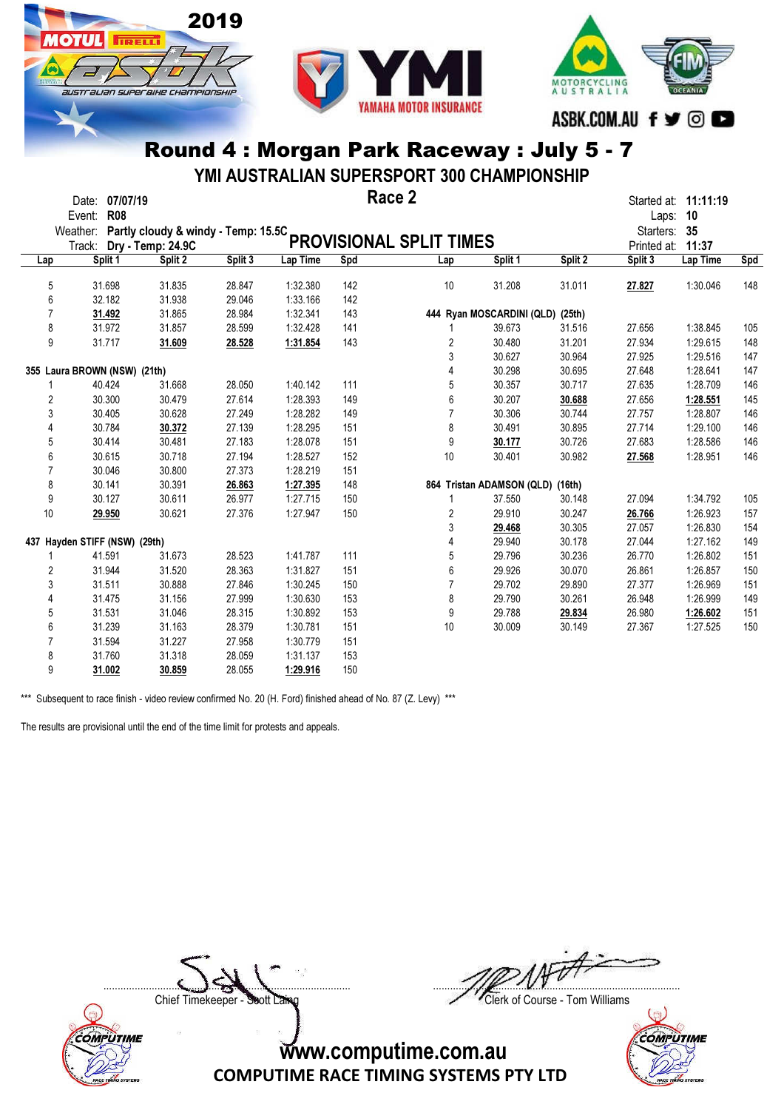



YMI AUSTRALIAN SUPERSPORT 300 CHAMPIONSHIP

|                | Date: 07/07/19<br><b>R08</b><br>Event:       |                   |         |          |     | Race 2                  |                                  |         | Laps:        | Started at: 11:11:19<br>10 |     |
|----------------|----------------------------------------------|-------------------|---------|----------|-----|-------------------------|----------------------------------|---------|--------------|----------------------------|-----|
|                | Weather: Partly cloudy & windy - Temp: 15.5C |                   |         |          |     |                         |                                  |         | Starters: 35 |                            |     |
|                | Track:                                       | Dry - Temp: 24.9C |         |          |     | PROVISIONAL SPLIT TIMES |                                  |         | Printed at:  | 11:37                      |     |
| Lap            | Split 1                                      | Split 2           | Split 3 | Lap Time | Spd | Lap                     | Split 1                          | Split 2 | Split 3      | Lap Time                   | Spd |
| 5              | 31.698                                       | 31.835            | 28.847  | 1:32.380 | 142 | 10                      | 31.208                           | 31.011  | 27.827       | 1:30.046                   | 148 |
| 6              | 32.182                                       | 31.938            | 29.046  | 1:33.166 | 142 |                         |                                  |         |              |                            |     |
| $\overline{7}$ | 31.492                                       | 31.865            | 28.984  | 1:32.341 | 143 |                         | 444 Ryan MOSCARDINI (QLD) (25th) |         |              |                            |     |
| 8              | 31.972                                       | 31.857            | 28.599  | 1:32.428 | 141 |                         | 39.673                           | 31.516  | 27.656       | 1:38.845                   | 105 |
| 9              | 31.717                                       | 31.609            | 28.528  | 1:31.854 | 143 | 2                       | 30.480                           | 31.201  | 27.934       | 1:29.615                   | 148 |
|                |                                              |                   |         |          |     | 3                       | 30.627                           | 30.964  | 27.925       | 1:29.516                   | 147 |
|                | 355 Laura BROWN (NSW) (21th)                 |                   |         |          |     | 4                       | 30.298                           | 30.695  | 27.648       | 1:28.641                   | 147 |
| 1              | 40.424                                       | 31.668            | 28.050  | 1:40.142 | 111 | 5                       | 30.357                           | 30.717  | 27.635       | 1:28.709                   | 146 |
| $\overline{2}$ | 30.300                                       | 30.479            | 27.614  | 1:28.393 | 149 | 6                       | 30.207                           | 30.688  | 27.656       | 1:28.551                   | 145 |
| 3              | 30.405                                       | 30.628            | 27.249  | 1:28.282 | 149 | $\overline{7}$          | 30.306                           | 30.744  | 27.757       | 1:28.807                   | 146 |
| 4              | 30.784                                       | 30.372            | 27.139  | 1:28.295 | 151 | 8                       | 30.491                           | 30.895  | 27.714       | 1:29.100                   | 146 |
| 5              | 30.414                                       | 30.481            | 27.183  | 1:28.078 | 151 | 9                       | 30.177                           | 30.726  | 27.683       | 1:28.586                   | 146 |
| 6              | 30.615                                       | 30.718            | 27.194  | 1:28.527 | 152 | 10                      | 30.401                           | 30.982  | 27.568       | 1:28.951                   | 146 |
| $\overline{7}$ | 30.046                                       | 30.800            | 27.373  | 1:28.219 | 151 |                         |                                  |         |              |                            |     |
| 8              | 30.141                                       | 30.391            | 26.863  | 1:27.395 | 148 |                         | 864 Tristan ADAMSON (QLD)        | (16th)  |              |                            |     |
| 9              | 30.127                                       | 30.611            | 26.977  | 1:27.715 | 150 | 1                       | 37.550                           | 30.148  | 27.094       | 1:34.792                   | 105 |
| 10             | 29.950                                       | 30.621            | 27.376  | 1:27.947 | 150 | $\overline{2}$          | 29.910                           | 30.247  | 26.766       | 1:26.923                   | 157 |
|                |                                              |                   |         |          |     | 3                       | 29.468                           | 30.305  | 27.057       | 1:26.830                   | 154 |
|                | 437 Hayden STIFF (NSW) (29th)                |                   |         |          |     | 4                       | 29.940                           | 30.178  | 27.044       | 1:27.162                   | 149 |
| 1              | 41.591                                       | 31.673            | 28.523  | 1:41.787 | 111 | 5                       | 29.796                           | 30.236  | 26.770       | 1:26.802                   | 151 |
| 2              | 31.944                                       | 31.520            | 28.363  | 1:31.827 | 151 | 6                       | 29.926                           | 30.070  | 26.861       | 1:26.857                   | 150 |
| 3              | 31.511                                       | 30.888            | 27.846  | 1:30.245 | 150 | $\overline{7}$          | 29.702                           | 29.890  | 27.377       | 1:26.969                   | 151 |
| 4              | 31.475                                       | 31.156            | 27.999  | 1:30.630 | 153 | 8                       | 29.790                           | 30.261  | 26.948       | 1:26.999                   | 149 |
| 5              | 31.531                                       | 31.046            | 28.315  | 1:30.892 | 153 | 9                       | 29.788                           | 29.834  | 26.980       | 1:26.602                   | 151 |
| 6              | 31.239                                       | 31.163            | 28.379  | 1:30.781 | 151 | 10                      | 30.009                           | 30.149  | 27.367       | 1:27.525                   | 150 |
| $\overline{7}$ | 31.594                                       | 31.227            | 27.958  | 1:30.779 | 151 |                         |                                  |         |              |                            |     |
| 8              | 31.760                                       | 31.318            | 28.059  | 1:31.137 | 153 |                         |                                  |         |              |                            |     |
| 9              | 31.002                                       | 30.859            | 28.055  | 1:29.916 | 150 |                         |                                  |         |              |                            |     |

\*\*\* Subsequent to race finish - video review confirmed No. 20 (H. Ford) finished ahead of No. 87 (Z. Levy) \*\*\*

2019

**TIRELLI** 

SUSTE ALIAN SUPEE BIHE CHAMPIONSHIP

The results are provisional until the end of the time limit for protests and appeals.

 $\Box$ 

**COMPUTIME** 

Chief Timekeeper - Soott Laing Chief Timekeeper - Soott Laing

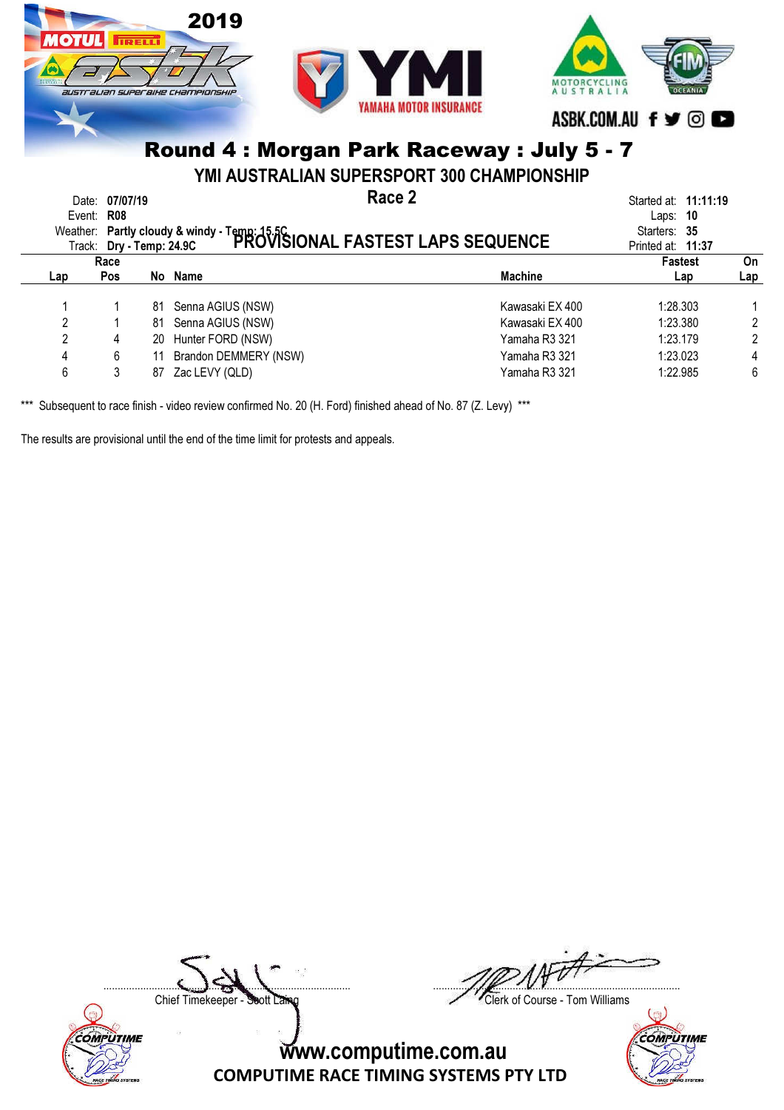

YMI AUSTRALIAN SUPERSPORT 300 CHAMPIONSHIP

| Event:         | 07/07/19<br>Date:<br><b>R08</b><br>Track: Dry - Temp: 24.9C |    | Race 2<br>Weather: Partly cloudy & windy - Temp: 15.5C<br>Track: Dry - Temp: 24.9C PROVISIONAL FASTEST LAPS SEQUENCE |                 | Started at: <b>11:11:19</b><br>- 10<br>Laps:<br>Starters: 35<br>Printed at: 11:37 |     |
|----------------|-------------------------------------------------------------|----|----------------------------------------------------------------------------------------------------------------------|-----------------|-----------------------------------------------------------------------------------|-----|
|                | Race                                                        |    |                                                                                                                      |                 | <b>Fastest</b>                                                                    | On  |
| Lap            | Pos                                                         |    | No Name                                                                                                              | <b>Machine</b>  | Lap                                                                               | Lap |
|                |                                                             |    | 81 Senna AGIUS (NSW)                                                                                                 | Kawasaki EX 400 | 1:28.303                                                                          |     |
| 2              |                                                             | 81 | Senna AGIUS (NSW)                                                                                                    | Kawasaki EX 400 | 1:23.380                                                                          | 2   |
| $\overline{2}$ | 4                                                           | 20 | Hunter FORD (NSW)                                                                                                    | Yamaha R3 321   | 1:23.179                                                                          | 2   |
| 4              | 6                                                           | 11 | Brandon DEMMERY (NSW)                                                                                                | Yamaha R3 321   | 1:23.023                                                                          | 4   |
| 6              |                                                             | 87 | Zac LEVY (QLD)                                                                                                       | Yamaha R3 321   | 1:22.985                                                                          | 6   |

\*\*\* Subsequent to race finish - video review confirmed No. 20 (H. Ford) finished ahead of No. 87 (Z. Levy) \*\*\*

The results are provisional until the end of the time limit for protests and appeals.

Chief Timekeeper - Soott Laing Chief Timekeeper - Soott Laing

COMPUTIME



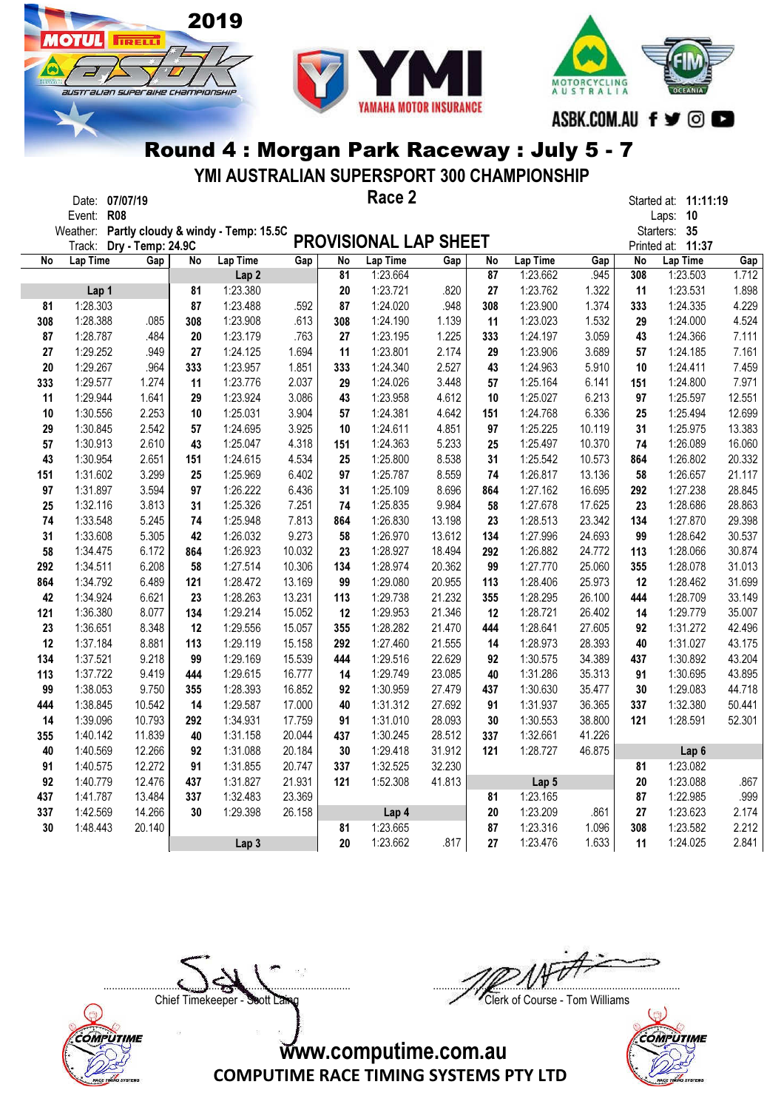

**OTHE** 

Г

**TRELL** 

austrauan superaixe championskir



#### Round 4 : Morgan Park Raceway : July 5 - 7

YMI AUSTRALIAN SUPERSPORT 300 CHAMPIONSHIP

|     | Date: 07/07/19       |                   |     |                                     |        |     | Race 2                |        |     |          |        |     | Started at: 11:11:19 |        |
|-----|----------------------|-------------------|-----|-------------------------------------|--------|-----|-----------------------|--------|-----|----------|--------|-----|----------------------|--------|
|     | <b>R08</b><br>Event: |                   |     |                                     |        |     |                       |        |     |          |        |     | Laps: 10             |        |
|     | Weather:             |                   |     | Partly cloudy & windy - Temp: 15.5C |        |     |                       |        |     |          |        |     | Starters: 35         |        |
|     | Track:               | Dry - Temp: 24.9C |     |                                     |        |     | PROVISIONAL LAP SHEET |        |     |          |        |     | Printed at: 11:37    |        |
| No  | Lap Time             | Gap               | No  | Lap Time                            | Gap    | No  | Lap Time              | Gap    | No  | Lap Time | Gap    | No  | Lap Time             | Gap    |
|     |                      |                   |     | Lap <sub>2</sub>                    |        | 81  | 1:23.664              |        | 87  | 1:23.662 | .945   | 308 | 1:23.503             | 1.712  |
|     | Lap 1                |                   | 81  | 1:23.380                            |        | 20  | 1:23.721              | .820   | 27  | 1:23.762 | 1.322  | 11  | 1:23.531             | 1.898  |
| 81  | 1:28.303             |                   | 87  | 1:23.488                            | .592   | 87  | 1:24.020              | .948   | 308 | 1:23.900 | 1.374  | 333 | 1:24.335             | 4.229  |
| 308 | 1:28.388             | .085              | 308 | 1:23.908                            | .613   | 308 | 1:24.190              | 1.139  | 11  | 1:23.023 | 1.532  | 29  | 1:24.000             | 4.524  |
| 87  | 1:28.787             | .484              | 20  | 1:23.179                            | .763   | 27  | 1:23.195              | 1.225  | 333 | 1:24.197 | 3.059  | 43  | 1:24.366             | 7.111  |
| 27  | 1:29.252             | .949              | 27  | 1:24.125                            | 1.694  | 11  | 1:23.801              | 2.174  | 29  | 1:23.906 | 3.689  | 57  | 1:24.185             | 7.161  |
| 20  | 1:29.267             | .964              | 333 | 1:23.957                            | 1.851  | 333 | 1:24.340              | 2.527  | 43  | 1:24.963 | 5.910  | 10  | 1:24.411             | 7.459  |
| 333 | 1:29.577             | 1.274             | 11  | 1:23.776                            | 2.037  | 29  | 1:24.026              | 3.448  | 57  | 1:25.164 | 6.141  | 151 | 1:24.800             | 7.971  |
| 11  | 1:29.944             | 1.641             | 29  | 1:23.924                            | 3.086  | 43  | 1:23.958              | 4.612  | 10  | 1:25.027 | 6.213  | 97  | 1:25.597             | 12.551 |
| 10  | 1:30.556             | 2.253             | 10  | 1:25.031                            | 3.904  | 57  | 1:24.381              | 4.642  | 151 | 1:24.768 | 6.336  | 25  | 1:25.494             | 12.699 |
| 29  | 1:30.845             | 2.542             | 57  | 1:24.695                            | 3.925  | 10  | 1:24.611              | 4.851  | 97  | 1:25.225 | 10.119 | 31  | 1:25.975             | 13.383 |
| 57  | 1:30.913             | 2.610             | 43  | 1:25.047                            | 4.318  | 151 | 1:24.363              | 5.233  | 25  | 1:25.497 | 10.370 | 74  | 1:26.089             | 16.060 |
| 43  | 1:30.954             | 2.651             | 151 | 1:24.615                            | 4.534  | 25  | 1:25.800              | 8.538  | 31  | 1:25.542 | 10.573 | 864 | 1:26.802             | 20.332 |
| 151 | 1:31.602             | 3.299             | 25  | 1:25.969                            | 6.402  | 97  | 1:25.787              | 8.559  | 74  | 1:26.817 | 13.136 | 58  | 1:26.657             | 21.117 |
| 97  | 1:31.897             | 3.594             | 97  | 1:26.222                            | 6.436  | 31  | 1:25.109              | 8.696  | 864 | 1:27.162 | 16.695 | 292 | 1:27.238             | 28.845 |
| 25  | 1:32.116             | 3.813             | 31  | 1:25.326                            | 7.251  | 74  | 1:25.835              | 9.984  | 58  | 1:27.678 | 17.625 | 23  | 1:28.686             | 28.863 |
| 74  | 1:33.548             | 5.245             | 74  | 1:25.948                            | 7.813  | 864 | 1:26.830              | 13.198 | 23  | 1:28.513 | 23.342 | 134 | 1:27.870             | 29.398 |
| 31  | 1:33.608             | 5.305             | 42  | 1:26.032                            | 9.273  | 58  | 1:26.970              | 13.612 | 134 | 1:27.996 | 24.693 | 99  | 1:28.642             | 30.537 |
| 58  | 1:34.475             | 6.172             | 864 | 1:26.923                            | 10.032 | 23  | 1:28.927              | 18.494 | 292 | 1:26.882 | 24.772 | 113 | 1:28.066             | 30.874 |
| 292 | 1:34.511             | 6.208             | 58  | 1:27.514                            | 10.306 | 134 | 1:28.974              | 20.362 | 99  | 1:27.770 | 25.060 | 355 | 1:28.078             | 31.013 |
| 864 | 1:34.792             | 6.489             | 121 | 1:28.472                            | 13.169 | 99  | 1:29.080              | 20.955 | 113 | 1:28.406 | 25.973 | 12  | 1:28.462             | 31.699 |
| 42  | 1:34.924             | 6.621             | 23  | 1:28.263                            | 13.231 | 113 | 1:29.738              | 21.232 | 355 | 1:28.295 | 26.100 | 444 | 1:28.709             | 33.149 |
| 121 | 1:36.380             | 8.077             | 134 | 1:29.214                            | 15.052 | 12  | 1:29.953              | 21.346 | 12  | 1:28.721 | 26.402 | 14  | 1:29.779             | 35.007 |
| 23  | 1:36.651             | 8.348             | 12  | 1:29.556                            | 15.057 | 355 | 1:28.282              | 21.470 | 444 | 1:28.641 | 27.605 | 92  | 1:31.272             | 42.496 |
| 12  | 1:37.184             | 8.881             | 113 | 1:29.119                            | 15.158 | 292 | 1:27.460              | 21.555 | 14  | 1:28.973 | 28.393 | 40  | 1:31.027             | 43.175 |
| 134 | 1:37.521             | 9.218             | 99  | 1:29.169                            | 15.539 | 444 | 1:29.516              | 22.629 | 92  | 1:30.575 | 34.389 | 437 | 1:30.892             | 43.204 |
| 113 | 1:37.722             | 9.419             | 444 | 1:29.615                            | 16.777 | 14  | 1:29.749              | 23.085 | 40  | 1:31.286 | 35.313 | 91  | 1:30.695             | 43.895 |
| 99  | 1:38.053             | 9.750             | 355 | 1:28.393                            | 16.852 | 92  | 1:30.959              | 27.479 | 437 | 1:30.630 | 35.477 | 30  | 1:29.083             | 44.718 |
| 444 | 1:38.845             | 10.542            | 14  | 1:29.587                            | 17.000 | 40  | 1:31.312              | 27.692 | 91  | 1:31.937 | 36.365 | 337 | 1:32.380             | 50.441 |
| 14  | 1:39.096             | 10.793            | 292 | 1:34.931                            | 17.759 | 91  | 1:31.010              | 28.093 | 30  | 1:30.553 | 38.800 | 121 | 1:28.591             | 52.301 |
| 355 | 1:40.142             | 11.839            | 40  | 1:31.158                            | 20.044 | 437 | 1:30.245              | 28.512 | 337 | 1:32.661 | 41.226 |     |                      |        |
| 40  | 1:40.569             | 12.266            | 92  | 1:31.088                            | 20.184 | 30  | 1:29.418              | 31.912 | 121 | 1:28.727 | 46.875 |     | Lap <sub>6</sub>     |        |
| 91  | 1:40.575             | 12.272            | 91  | 1:31.855                            | 20.747 | 337 | 1:32.525              | 32.230 |     |          |        | 81  | 1:23.082             |        |
| 92  | 1:40.779             | 12.476            | 437 | 1:31.827                            | 21.931 | 121 | 1:52.308              | 41.813 |     | Lap 5    |        | 20  | 1:23.088             | .867   |
| 437 | 1:41.787             | 13.484            | 337 | 1:32.483                            | 23.369 |     |                       |        | 81  | 1:23.165 |        | 87  | 1:22.985             | .999   |
| 337 | 1:42.569             | 14.266            | 30  | 1:29.398                            | 26.158 |     | Lap 4                 |        | 20  | 1:23.209 | .861   | 27  | 1:23.623             | 2.174  |
| 30  | 1:48.443             | 20.140            |     |                                     |        | 81  | 1:23.665              |        | 87  | 1:23.316 | 1.096  | 308 | 1:23.582             | 2.212  |
|     |                      |                   |     | Lap <sub>3</sub>                    |        | 20  | 1:23.662              | .817   | 27  | 1:23.476 | 1.633  | 11  | 1:24.025             | 2.841  |

COMPUTIME

 $\Box$ 

Chief Timekeeper - Soott Laing Chief Timekeeper - Soott Laing

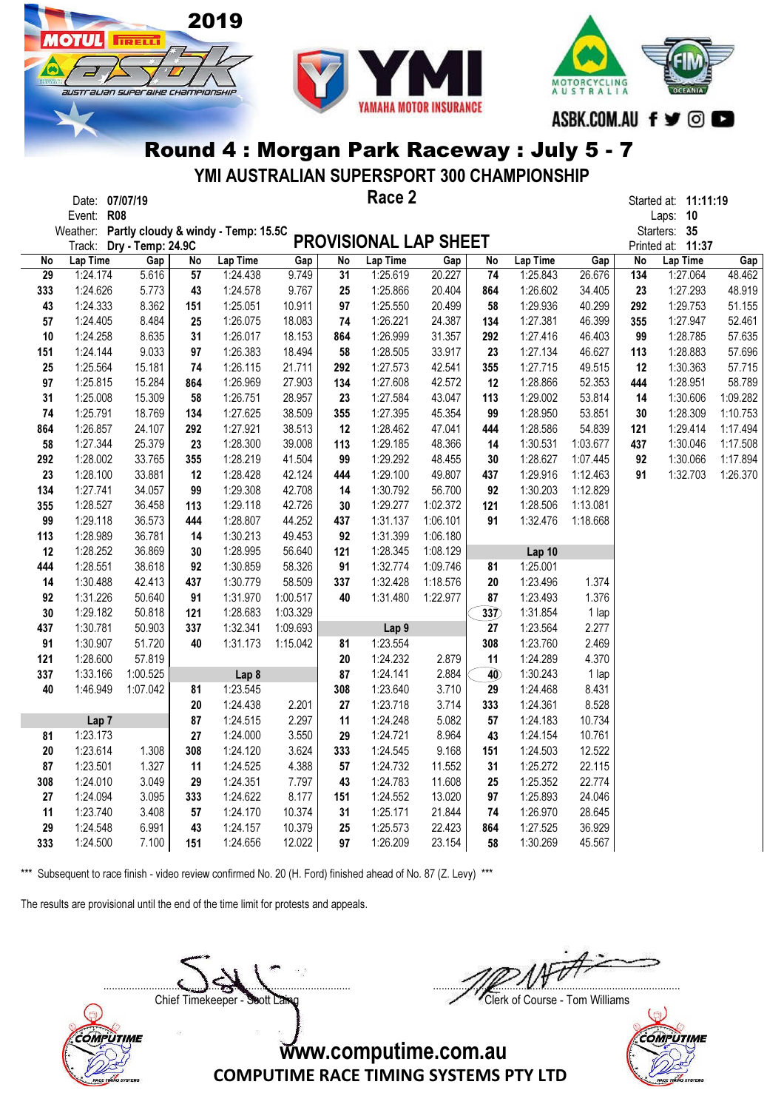

**TRELL** 

STT aLIAN SUPERBIHE CHAMPIONSHII



#### Round 4 : Morgan Park Raceway : July 5 - 7

YMI AUSTRALIAN SUPERSPORT 300 CHAMPIONSHIP

|     | Date: 07/07/19                               |          |     |          |          |            | Race 2                       |          |                  |          |          |     | Started at: 11:11:19 |          |
|-----|----------------------------------------------|----------|-----|----------|----------|------------|------------------------------|----------|------------------|----------|----------|-----|----------------------|----------|
|     | Event: R08                                   |          |     |          |          |            |                              |          |                  |          |          |     | Laps: 10             |          |
|     | Weather: Partly cloudy & windy - Temp: 15.5C |          |     |          |          |            |                              |          |                  |          |          |     | Starters: 35         |          |
|     | Track: Dry - Temp: 24.9C                     |          |     |          |          |            | <b>PROVISIONAL LAP SHEET</b> |          |                  |          |          |     | Printed at: 11:37    |          |
| No  | Lap Time                                     | Gap      | No  | Lap Time | Gap      | No         | Lap Time                     | Gap      | No               | Lap Time | Gap      | No  | Lap Time             | Gap      |
| 29  | 1:24.174                                     | 5.616    | 57  | 1:24.438 | 9.749    | 31         | 1:25.619                     | 20.227   | 74               | 1:25.843 | 26.676   | 134 | 1:27.064             | 48.462   |
| 333 | 1:24.626                                     | 5.773    | 43  | 1:24.578 | 9.767    | 25         | 1:25.866                     | 20.404   | 864              | 1:26.602 | 34.405   | 23  | 1:27.293             | 48.919   |
| 43  | 1:24.333                                     | 8.362    | 151 | 1:25.051 | 10.911   | 97         | 1:25.550                     | 20.499   | 58               | 1:29.936 | 40.299   | 292 | 1:29.753             | 51.155   |
| 57  | 1:24.405                                     | 8.484    | 25  | 1:26.075 | 18.083   | 74         | 1:26.221                     | 24.387   | 134              | 1:27.381 | 46.399   | 355 | 1:27.947             | 52.461   |
| 10  | 1:24.258                                     | 8.635    | 31  | 1:26.017 | 18.153   | 864        | 1:26.999                     | 31.357   | 292              | 1:27.416 | 46.403   | 99  | 1:28.785             | 57.635   |
| 151 | 1:24.144                                     | 9.033    | 97  | 1:26.383 | 18.494   | 58         | 1:28.505                     | 33.917   | 23               | 1:27.134 | 46.627   | 113 | 1:28.883             | 57.696   |
| 25  | 1:25.564                                     | 15.181   | 74  | 1:26.115 | 21.711   | 292        | 1:27.573                     | 42.541   | 355              | 1:27.715 | 49.515   | 12  | 1:30.363             | 57.715   |
| 97  | 1:25.815                                     | 15.284   | 864 | 1:26.969 | 27.903   | 134        | 1:27.608                     | 42.572   | 12               | 1:28.866 | 52.353   | 444 | 1:28.951             | 58.789   |
| 31  | 1:25.008                                     | 15.309   | 58  | 1:26.751 | 28.957   | 23         | 1:27.584                     | 43.047   | 113              | 1:29.002 | 53.814   | 14  | 1:30.606             | 1:09.282 |
| 74  | 1:25.791                                     | 18.769   | 134 | 1:27.625 | 38.509   | 355        | 1:27.395                     | 45.354   | 99               | 1:28.950 | 53.851   | 30  | 1:28.309             | 1:10.753 |
| 864 | 1:26.857                                     | 24.107   | 292 | 1:27.921 | 38.513   | 12         | 1:28.462                     | 47.041   | 444              | 1:28.586 | 54.839   | 121 | 1:29.414             | 1:17.494 |
| 58  | 1:27.344                                     | 25.379   | 23  | 1:28.300 | 39.008   | 113        | 1:29.185                     | 48.366   | 14               | 1:30.531 | 1:03.677 | 437 | 1:30.046             | 1:17.508 |
| 292 | 1:28.002                                     | 33.765   | 355 | 1:28.219 | 41.504   | 99         | 1:29.292                     | 48.455   | 30               | 1:28.627 | 1:07.445 | 92  | 1:30.066             | 1:17.894 |
| 23  | 1:28.100                                     | 33.881   | 12  | 1:28.428 | 42.124   | 444        | 1:29.100                     | 49.807   | 437              | 1:29.916 | 1:12.463 | 91  | 1:32.703             | 1:26.370 |
| 134 | 1:27.741                                     | 34.057   | 99  | 1:29.308 | 42.708   | 14         | 1:30.792                     | 56.700   | 92               | 1:30.203 | 1:12.829 |     |                      |          |
| 355 | 1:28.527                                     | 36.458   | 113 | 1:29.118 | 42.726   | 30         | 1:29.277                     | 1:02.372 | 121              | 1:28.506 | 1:13.081 |     |                      |          |
| 99  | 1:29.118                                     | 36.573   | 444 | 1:28.807 | 44.252   | 437        | 1:31.137                     | 1:06.101 | 91               | 1:32.476 | 1:18.668 |     |                      |          |
| 113 | 1:28.989                                     | 36.781   | 14  | 1:30.213 | 49.453   | 92         | 1:31.399                     | 1:06.180 |                  |          |          |     |                      |          |
| 12  | 1:28.252                                     | 36.869   | 30  | 1:28.995 | 56.640   | 121        | 1:28.345                     | 1:08.129 |                  | Lap 10   |          |     |                      |          |
| 444 | 1:28.551                                     | 38.618   | 92  | 1:30.859 | 58.326   | 91         | 1:32.774                     | 1:09.746 | 81               | 1:25.001 |          |     |                      |          |
| 14  | 1:30.488                                     | 42.413   | 437 | 1:30.779 | 58.509   | 337        | 1:32.428                     | 1:18.576 | 20               | 1:23.496 | 1.374    |     |                      |          |
| 92  | 1:31.226                                     | 50.640   | 91  | 1:31.970 | 1:00.517 | 40         | 1:31.480                     | 1:22.977 | 87               | 1:23.493 | 1.376    |     |                      |          |
| 30  | 1:29.182                                     | 50.818   | 121 | 1:28.683 | 1:03.329 |            |                              |          | $\overline{337}$ | 1:31.854 | 1 lap    |     |                      |          |
| 437 | 1:30.781                                     | 50.903   | 337 | 1:32.341 | 1:09.693 |            | Lap 9                        |          | 27               | 1:23.564 | 2.277    |     |                      |          |
| 91  | 1:30.907                                     | 51.720   | 40  | 1:31.173 | 1:15.042 | 81         | 1:23.554                     |          | 308              | 1:23.760 | 2.469    |     |                      |          |
| 121 | 1:28.600                                     | 57.819   |     |          |          | ${\bf 20}$ | 1:24.232                     | 2.879    | 11               | 1:24.289 | 4.370    |     |                      |          |
| 337 | 1:33.166                                     | 1:00.525 |     | Lap 8    |          | 87         | 1:24.141                     | 2.884    | 40               | 1:30.243 | 1 lap    |     |                      |          |
| 40  | 1:46.949                                     | 1:07.042 | 81  | 1:23.545 |          | 308        | 1:23.640                     | 3.710    | 29               | 1:24.468 | 8.431    |     |                      |          |
|     |                                              |          | 20  | 1:24.438 | 2.201    | 27         | 1:23.718                     | 3.714    | 333              | 1:24.361 | 8.528    |     |                      |          |
|     | Lap <sub>7</sub>                             |          | 87  | 1:24.515 | 2.297    | 11         | 1:24.248                     | 5.082    | 57               | 1:24.183 | 10.734   |     |                      |          |
| 81  | 1:23.173                                     |          | 27  | 1:24.000 | 3.550    | 29         | 1:24.721                     | 8.964    | 43               | 1:24.154 | 10.761   |     |                      |          |
| 20  | 1:23.614                                     | 1.308    | 308 | 1:24.120 | 3.624    | 333        | 1:24.545                     | 9.168    | 151              | 1:24.503 | 12.522   |     |                      |          |
| 87  | 1:23.501                                     | 1.327    | 11  | 1:24.525 | 4.388    | 57         | 1:24.732                     | 11.552   | 31               | 1:25.272 | 22.115   |     |                      |          |
| 308 | 1:24.010                                     | 3.049    | 29  | 1:24.351 | 7.797    | 43         | 1:24.783                     | 11.608   | 25               | 1:25.352 | 22.774   |     |                      |          |
| 27  | 1:24.094                                     | 3.095    | 333 | 1:24.622 | 8.177    | 151        | 1:24.552                     | 13.020   | 97               | 1:25.893 | 24.046   |     |                      |          |
| 11  | 1:23.740                                     | 3.408    | 57  | 1:24.170 | 10.374   | 31         | 1:25.171                     | 21.844   | 74               | 1:26.970 | 28.645   |     |                      |          |
| 29  | 1:24.548                                     | 6.991    | 43  | 1:24.157 | 10.379   | 25         | 1:25.573                     | 22.423   | 864              | 1:27.525 | 36.929   |     |                      |          |
| 333 | 1:24.500                                     | 7.100    | 151 | 1:24.656 | 12.022   | 97         | 1:26.209                     | 23.154   | 58               | 1:30.269 | 45.567   |     |                      |          |

\*\*\* Subsequent to race finish - video review confirmed No. 20 (H. Ford) finished ahead of No. 87 (Z. Levy) \*\*\*

The results are provisional until the end of the time limit for protests and appeals.

**COMPUTIME** 

Chief Timekeeper - Soott Laing Chief Timekeeper - Soott Laing

 $\Box$ 

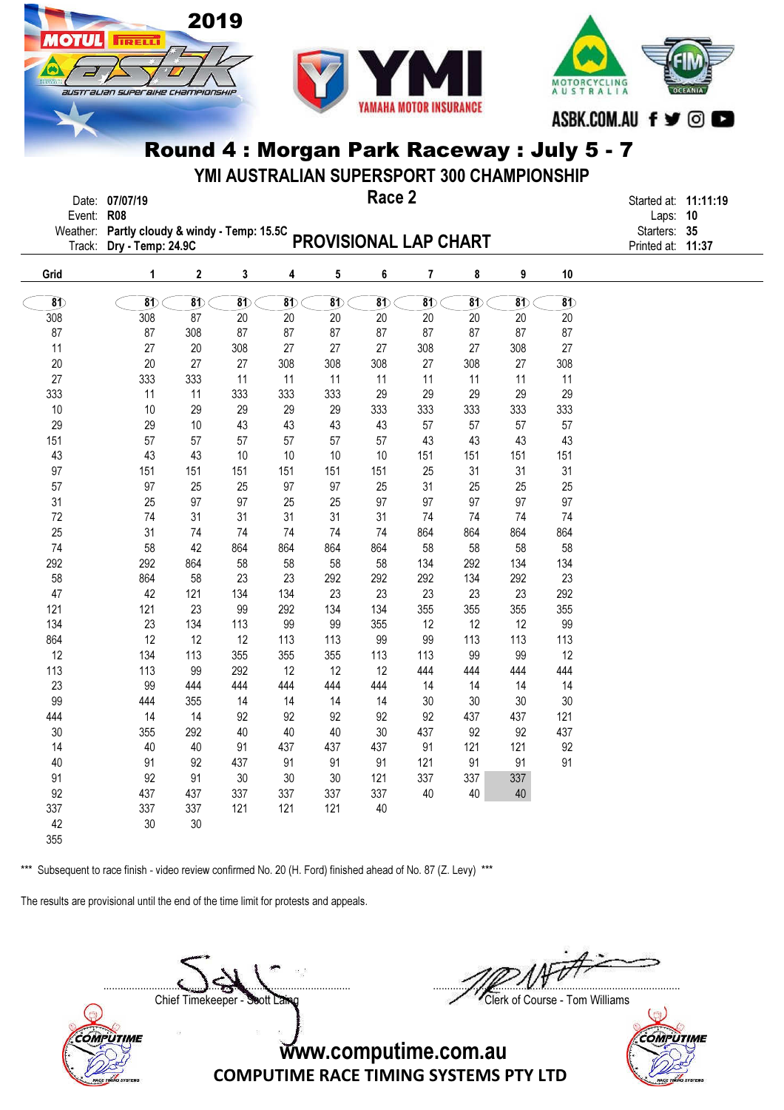



YMI AUSTRALIAN SUPERSPORT 300 CHAMPIONSHIP

|              | Date: 07/07/19 | Race 2                                                             | Started at: 11:11:19 |  |
|--------------|----------------|--------------------------------------------------------------------|----------------------|--|
| Event: $R08$ |                |                                                                    | Laps: $10$           |  |
|              |                |                                                                    | Starters: 35         |  |
|              |                | Weather: Partly cloudy & windy - Temp: 15.5C PROVISIONAL LAP CHART | Printed at: 11:37    |  |
|              |                |                                                                    |                      |  |

| Grid     | 1        | 2                                   | 3                        | 4        | 5        | 6        | 7        | 8                        | 9                  | 10                           |
|----------|----------|-------------------------------------|--------------------------|----------|----------|----------|----------|--------------------------|--------------------|------------------------------|
| $\delta$ | $\delta$ | $\overline{\boldsymbol{\text{81}}}$ | $\overline{\mathbf{81}}$ | $\delta$ | $\delta$ | $\delta$ | $\delta$ | $\overline{\mathbf{81}}$ | $\overline{\bf 8}$ | $\overline{\boldsymbol{30}}$ |
| 308      | 308      | 87                                  | 20                       | 20       | 20       | 20       | 20       | 20                       | 20                 | 20                           |
| 87       | 87       | 308                                 | 87                       | 87       | 87       | 87       | 87       | 87                       | 87                 | 87                           |
| 11       | 27       | 20                                  | 308                      | 27       | 27       | 27       | 308      | 27                       | 308                | 27                           |
| 20       | 20       | 27                                  | 27                       | 308      | 308      | 308      | 27       | 308                      | 27                 | 308                          |
| 27       | 333      | 333                                 | 11                       | 11       | 11       | 11       | 11       | 11                       | 11                 | 11                           |
| 333      | 11       | 11                                  | 333                      | 333      | 333      | 29       | 29       | 29                       | 29                 | 29                           |
| 10       | 10       | 29                                  | 29                       | 29       | 29       | 333      | 333      | 333                      | 333                | 333                          |
| 29       | 29       | 10                                  | 43                       | 43       | 43       | 43       | 57       | 57                       | 57                 | 57                           |
| 151      | 57       | 57                                  | 57                       | 57       | 57       | 57       | 43       | 43                       | 43                 | 43                           |
| 43       | 43       | 43                                  | 10                       | 10       | 10       | 10       | 151      | 151                      | 151                | 151                          |
| 97       | 151      | 151                                 | 151                      | 151      | 151      | 151      | 25       | 31                       | 31                 | 31                           |
| 57       | 97       | 25                                  | 25                       | 97       | 97       | 25       | 31       | 25                       | 25                 | 25                           |
| 31       | 25       | 97                                  | 97                       | 25       | 25       | 97       | 97       | 97                       | 97                 | 97                           |
| 72       | 74       | 31                                  | 31                       | 31       | 31       | 31       | 74       | 74                       | 74                 | 74                           |
| 25       | 31       | 74                                  | 74                       | 74       | 74       | 74       | 864      | 864                      | 864                | 864                          |
| 74       | 58       | 42                                  | 864                      | 864      | 864      | 864      | 58       | 58                       | 58                 | 58                           |
| 292      | 292      | 864                                 | 58                       | 58       | 58       | 58       | 134      | 292                      | 134                | 134                          |
| 58       | 864      | 58                                  | 23                       | 23       | 292      | 292      | 292      | 134                      | 292                | 23                           |
| 47       | 42       | 121                                 | 134                      | 134      | 23       | 23       | 23       | 23                       | 23                 | 292                          |
| 121      | 121      | 23                                  | 99                       | 292      | 134      | 134      | 355      | 355                      | 355                | 355                          |
| 134      | 23       | 134                                 | 113                      | 99       | 99       | 355      | 12       | 12                       | 12                 | 99                           |
| 864      | 12       | 12                                  | 12                       | 113      | 113      | 99       | 99       | 113                      | 113                | 113                          |
| 12       | 134      | 113                                 | 355                      | 355      | 355      | 113      | 113      | 99                       | 99                 | 12                           |
| 113      | 113      | 99                                  | 292                      | 12       | 12       | 12       | 444      | 444                      | 444                | 444                          |
| 23       | 99       | 444                                 | 444                      | 444      | 444      | 444      | 14       | 14                       | 14                 | 14                           |
| 99       | 444      | 355                                 | 14                       | 14       | 14       | 14       | 30       | 30                       | 30                 | 30                           |
| 444      | 14       | 14                                  | 92                       | 92       | 92       | 92       | 92       | 437                      | 437                | 121                          |
| 30       | 355      | 292                                 | 40                       | 40       | 40       | 30       | 437      | 92                       | 92                 | 437                          |
| 14       | 40       | 40                                  | 91                       | 437      | 437      | 437      | 91       | 121                      | 121                | 92                           |
| 40       | 91       | 92                                  | 437                      | 91       | 91       | 91       | 121      | 91                       | 91                 | 91                           |
| 91       | 92       | 91                                  | 30                       | 30       | 30       | 121      | 337      | 337                      | 337                |                              |
| 92       | 437      | 437                                 | 337                      | 337      | 337      | 337      | 40       | 40                       | 40                 |                              |
| 337      | 337      | 337                                 | 121                      | 121      | 121      | 40       |          |                          |                    |                              |
| 42       | 30       | 30                                  |                          |          |          |          |          |                          |                    |                              |

355

COMPUTIME

\*\*\* Subsequent to race finish - video review confirmed No. 20 (H. Ford) finished ahead of No. 87 (Z. Levy) \*\*\*

The results are provisional until the end of the time limit for protests and appeals.

**IRELL** 

Chief Timekeeper - Soott Laing Chief Timekeeper - Soott Laing

 $\Box$ 

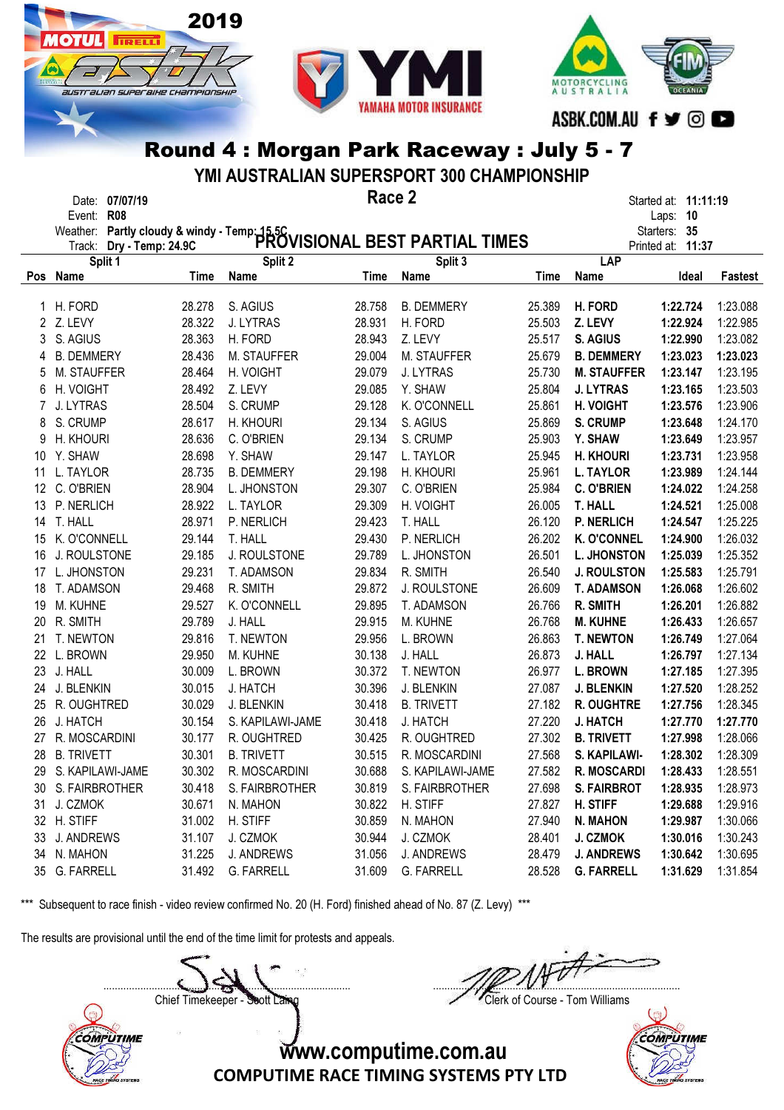

**IRELL** 

SUSTE ALIAN SUPEE BIHE CHAMPIONSHIP



# Round 4 : Morgan Park Raceway : July 5 - 7

YMI AUSTRALIAN SUPERSPORT 300 CHAMPIONSHIP

|                   | Date: 07/07/19                      |             |                   | Race 2 |                                                                                                         |        |                    | Started at: <b>11:11:19</b> |          |
|-------------------|-------------------------------------|-------------|-------------------|--------|---------------------------------------------------------------------------------------------------------|--------|--------------------|-----------------------------|----------|
|                   | <b>R08</b><br>Event:                |             |                   |        |                                                                                                         |        |                    | 10<br>Laps:                 |          |
|                   |                                     |             |                   |        | Weather: Partly cloudy & windy - Temp: 15.5C<br>Track: Drv - Temp: 24.9C PROVISIONAL BEST PARTIAL TIMES |        |                    | Starters: 35                |          |
|                   | Track: Dry - Temp: 24.9C<br>Split 1 |             | Split 2           |        | Split 3                                                                                                 |        | LAP                | Printed at: 11:37           |          |
|                   | Pos Name                            | <b>Time</b> | <b>Name</b>       | Time   | <b>Name</b>                                                                                             | Time   | Name               | Ideal                       | Fastest  |
|                   |                                     |             |                   |        |                                                                                                         |        |                    |                             |          |
| 1                 | H. FORD                             | 28.278      | S. AGIUS          | 28.758 | <b>B. DEMMERY</b>                                                                                       | 25.389 | H. FORD            | 1:22.724                    | 1:23.088 |
|                   | 2 Z. LEVY                           | 28.322      | J. LYTRAS         | 28.931 | H. FORD                                                                                                 | 25.503 | Z. LEVY            | 1:22.924                    | 1:22.985 |
|                   | S. AGIUS                            | 28.363      | H. FORD           | 28.943 | Z. LEVY                                                                                                 | 25.517 | S. AGIUS           | 1:22.990                    | 1:23.082 |
| 4                 | <b>B. DEMMERY</b>                   | 28.436      | M. STAUFFER       | 29.004 | M. STAUFFER                                                                                             | 25.679 | <b>B. DEMMERY</b>  | 1:23.023                    | 1:23.023 |
| 5                 | M. STAUFFER                         | 28.464      | H. VOIGHT         | 29.079 | J. LYTRAS                                                                                               | 25.730 | <b>M. STAUFFER</b> | 1:23.147                    | 1:23.195 |
| 6                 | H. VOIGHT                           | 28.492      | Z. LEVY           | 29.085 | Y. SHAW                                                                                                 | 25.804 | <b>J. LYTRAS</b>   | 1:23.165                    | 1:23.503 |
| 7                 | J. LYTRAS                           | 28.504      | S. CRUMP          | 29.128 | K. O'CONNELL                                                                                            | 25.861 | <b>H. VOIGHT</b>   | 1:23.576                    | 1:23.906 |
| 8                 | S. CRUMP                            | 28.617      | H. KHOURI         | 29.134 | S. AGIUS                                                                                                | 25.869 | <b>S. CRUMP</b>    | 1:23.648                    | 1:24.170 |
| 9                 | H. KHOURI                           | 28.636      | C. O'BRIEN        | 29.134 | S. CRUMP                                                                                                | 25.903 | Y. SHAW            | 1:23.649                    | 1:23.957 |
| 10                | Y. SHAW                             | 28.698      | Y. SHAW           | 29.147 | L. TAYLOR                                                                                               | 25.945 | H. KHOURI          | 1:23.731                    | 1:23.958 |
| 11                | L. TAYLOR                           | 28.735      | <b>B. DEMMERY</b> | 29.198 | H. KHOURI                                                                                               | 25.961 | <b>L. TAYLOR</b>   | 1:23.989                    | 1:24.144 |
| $12 \overline{ }$ | C. O'BRIEN                          | 28.904      | L. JHONSTON       | 29.307 | C. O'BRIEN                                                                                              | 25.984 | <b>C. O'BRIEN</b>  | 1:24.022                    | 1:24.258 |
| 13                | P. NERLICH                          | 28.922      | L. TAYLOR         | 29.309 | H. VOIGHT                                                                                               | 26.005 | <b>T. HALL</b>     | 1:24.521                    | 1:25.008 |
| 14                | T. HALL                             | 28.971      | P. NERLICH        | 29.423 | T. HALL                                                                                                 | 26.120 | <b>P. NERLICH</b>  | 1:24.547                    | 1:25.225 |
| 15                | K. O'CONNELL                        | 29.144      | T. HALL           | 29.430 | P. NERLICH                                                                                              | 26.202 | <b>K. O'CONNEL</b> | 1:24.900                    | 1:26.032 |
| 16                | J. ROULSTONE                        | 29.185      | J. ROULSTONE      | 29.789 | L. JHONSTON                                                                                             | 26.501 | L. JHONSTON        | 1:25.039                    | 1:25.352 |
| 17                | L. JHONSTON                         | 29.231      | T. ADAMSON        | 29.834 | R. SMITH                                                                                                | 26.540 | <b>J. ROULSTON</b> | 1:25.583                    | 1:25.791 |
| 18                | T. ADAMSON                          | 29.468      | R. SMITH          | 29.872 | J. ROULSTONE                                                                                            | 26.609 | <b>T. ADAMSON</b>  | 1:26.068                    | 1:26.602 |
| 19                | M. KUHNE                            | 29.527      | K. O'CONNELL      | 29.895 | T. ADAMSON                                                                                              | 26.766 | R. SMITH           | 1:26.201                    | 1:26.882 |
| 20                | R. SMITH                            | 29.789      | J. HALL           | 29.915 | M. KUHNE                                                                                                | 26.768 | <b>M. KUHNE</b>    | 1:26.433                    | 1:26.657 |
| 21                | T. NEWTON                           | 29.816      | T. NEWTON         | 29.956 | L. BROWN                                                                                                | 26.863 | <b>T. NEWTON</b>   | 1:26.749                    | 1:27.064 |
| 22                | L. BROWN                            | 29.950      | M. KUHNE          | 30.138 | J. HALL                                                                                                 | 26.873 | J. HALL            | 1:26.797                    | 1:27.134 |
| 23                | J. HALL                             | 30.009      | L. BROWN          | 30.372 | T. NEWTON                                                                                               | 26.977 | <b>L. BROWN</b>    | 1:27.185                    | 1:27.395 |
| 24                | J. BLENKIN                          | 30.015      | J. HATCH          | 30.396 | J. BLENKIN                                                                                              | 27.087 | <b>J. BLENKIN</b>  | 1:27.520                    | 1:28.252 |
| 25                | R. OUGHTRED                         | 30.029      | J. BLENKIN        | 30.418 | <b>B. TRIVETT</b>                                                                                       | 27.182 | R. OUGHTRE         | 1:27.756                    | 1:28.345 |
| 26                | J. HATCH                            | 30.154      | S. KAPILAWI-JAME  | 30.418 | J. HATCH                                                                                                | 27.220 | <b>J. HATCH</b>    | 1:27.770                    | 1:27.770 |
| 27                | R. MOSCARDINI                       | 30.177      | R. OUGHTRED       | 30.425 | R. OUGHTRED                                                                                             | 27.302 | <b>B. TRIVETT</b>  | 1:27.998                    | 1:28.066 |
| 28                | <b>B. TRIVETT</b>                   | 30.301      | <b>B. TRIVETT</b> | 30.515 | R. MOSCARDINI                                                                                           | 27.568 | S. KAPILAWI-       | 1:28.302                    | 1:28.309 |
| 29                | S. KAPILAWI-JAME                    | 30.302      | R. MOSCARDINI     | 30.688 | S. KAPILAWI-JAME                                                                                        | 27.582 | <b>R. MOSCARDI</b> | 1:28.433                    | 1:28.551 |
|                   | 30 S. FAIRBROTHER                   | 30.418      | S. FAIRBROTHER    | 30.819 | S. FAIRBROTHER                                                                                          | 27.698 | <b>S. FAIRBROT</b> | 1:28.935                    | 1:28.973 |
| 31                | J. CZMOK                            | 30.671      | N. MAHON          | 30.822 | H. STIFF                                                                                                | 27.827 | H. STIFF           | 1:29.688                    | 1:29.916 |
|                   | 32 H. STIFF                         | 31.002      | H. STIFF          | 30.859 | N. MAHON                                                                                                | 27.940 | <b>N. MAHON</b>    | 1:29.987                    | 1:30.066 |
| 33                | J. ANDREWS                          | 31.107      | J. CZMOK          | 30.944 | J. CZMOK                                                                                                | 28.401 | J. CZMOK           | 1:30.016                    | 1:30.243 |
|                   | 34 N. MAHON                         | 31.225      | <b>J. ANDREWS</b> | 31.056 | J. ANDREWS                                                                                              | 28.479 | <b>J. ANDREWS</b>  | 1:30.642                    | 1:30.695 |
|                   | 35 G. FARRELL                       | 31.492      | G. FARRELL        | 31.609 | <b>G. FARRELL</b>                                                                                       | 28.528 | <b>G. FARRELL</b>  | 1:31.629                    | 1:31.854 |

\*\*\* Subsequent to race finish - video review confirmed No. 20 (H. Ford) finished ahead of No. 87 (Z. Levy) \*\*\*

The results are provisional until the end of the time limit for protests and appeals.

 $\Box$ Chief Timekeeper - Soott Laing Chief Timekeeper - Soott Laing **COMPUTIME** www.computime.com.au



COMPUTIME RACE TIMING SYSTEMS PTY LTD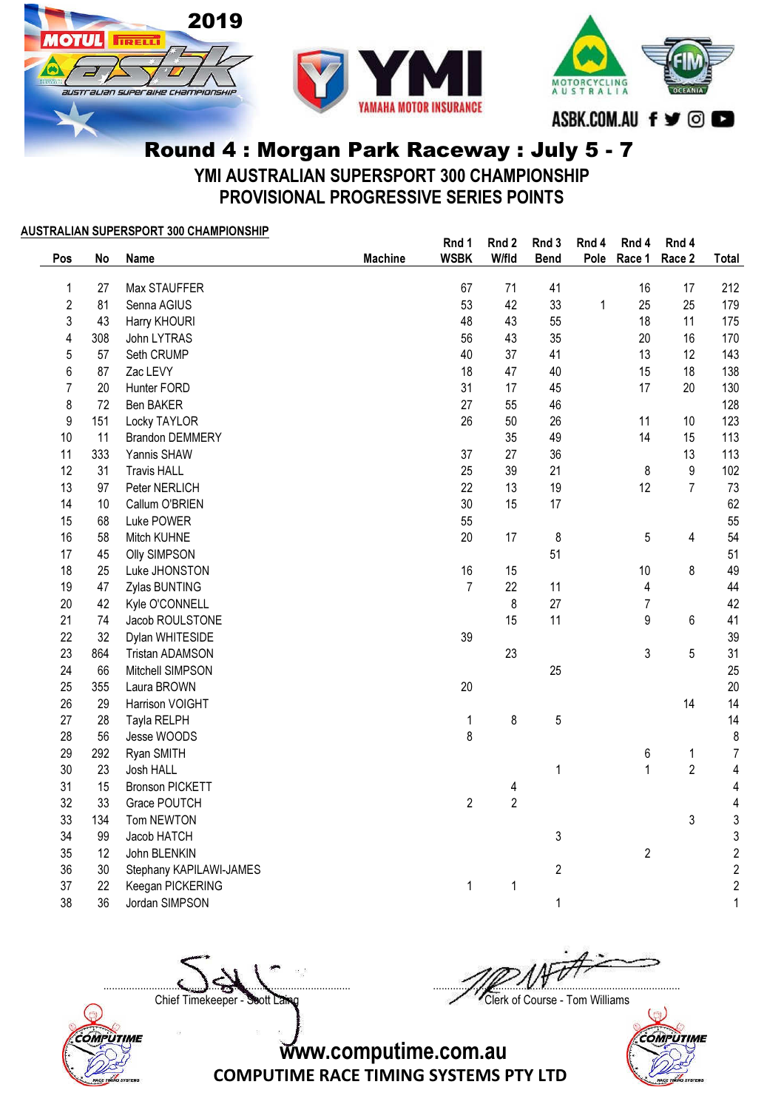





YMI AUSTRALIAN SUPERSPORT 300 CHAMPIONSHIP

PROVISIONAL PROGRESSIVE SERIES POINTS

#### AUSTRALIAN SUPERSPORT 300 CHAMPIONSHIP

| Pos            | No  | Name                    | <b>Machine</b> | Rnd 1<br><b>WSBK</b> | Rnd 2<br>W/fld | Rnd 3<br><b>Bend</b> | Rnd 4<br>Pole | Rnd 4<br>Race 1 | Rnd 4<br>Race 2  | Total                   |
|----------------|-----|-------------------------|----------------|----------------------|----------------|----------------------|---------------|-----------------|------------------|-------------------------|
|                |     |                         |                |                      |                |                      |               |                 |                  |                         |
| 1              | 27  | Max STAUFFER            |                | 67                   | 71             | 41                   |               | 16              | 17               | 212                     |
| $\overline{c}$ | 81  | Senna AGIUS             |                | 53                   | 42             | 33                   | 1             | 25              | 25               | 179                     |
| 3              | 43  | Harry KHOURI            |                | 48                   | 43             | 55                   |               | 18              | 11               | 175                     |
| 4              | 308 | John LYTRAS             |                | 56                   | 43             | 35                   |               | 20              | 16               | 170                     |
| 5              | 57  | Seth CRUMP              |                | 40                   | 37             | 41                   |               | 13              | 12               | 143                     |
| 6              | 87  | Zac LEVY                |                | 18                   | 47             | 40                   |               | 15              | 18               | 138                     |
| $\overline{7}$ | 20  | Hunter FORD             |                | 31                   | 17             | 45                   |               | 17              | 20               | 130                     |
| 8              | 72  | <b>Ben BAKER</b>        |                | 27                   | 55             | 46                   |               |                 |                  | 128                     |
| 9              | 151 | Locky TAYLOR            |                | 26                   | 50             | 26                   |               | 11              | 10               | 123                     |
| 10             | 11  | <b>Brandon DEMMERY</b>  |                |                      | 35             | 49                   |               | 14              | 15               | 113                     |
| 11             | 333 | Yannis SHAW             |                | 37                   | 27             | 36                   |               |                 | 13               | 113                     |
| 12             | 31  | <b>Travis HALL</b>      |                | 25                   | 39             | 21                   |               | 8               | $\boldsymbol{9}$ | 102                     |
| 13             | 97  | Peter NERLICH           |                | 22                   | 13             | 19                   |               | 12              | $\overline{7}$   | 73                      |
| 14             | 10  | Callum O'BRIEN          |                | 30                   | 15             | 17                   |               |                 |                  | 62                      |
| 15             | 68  | Luke POWER              |                | 55                   |                |                      |               |                 |                  | 55                      |
| 16             | 58  | Mitch KUHNE             |                | 20                   | 17             | 8                    |               | 5               | 4                | 54                      |
| 17             | 45  | <b>Olly SIMPSON</b>     |                |                      |                | 51                   |               |                 |                  | 51                      |
| 18             | 25  | Luke JHONSTON           |                | 16                   | 15             |                      |               | 10              | 8                | 49                      |
| 19             | 47  | Zylas BUNTING           |                | $\overline{7}$       | 22             | 11                   |               | 4               |                  | 44                      |
| 20             | 42  | Kyle O'CONNELL          |                |                      | 8              | 27                   |               | $\overline{7}$  |                  | 42                      |
| 21             | 74  | Jacob ROULSTONE         |                |                      | 15             | 11                   |               | 9               | $6\phantom{a}$   | 41                      |
| 22             | 32  | Dylan WHITESIDE         |                | 39                   |                |                      |               |                 |                  | 39                      |
| 23             | 864 | <b>Tristan ADAMSON</b>  |                |                      | 23             |                      |               | 3               | 5                | 31                      |
| 24             | 66  | Mitchell SIMPSON        |                |                      |                | 25                   |               |                 |                  | 25                      |
| 25             | 355 | Laura BROWN             |                | 20                   |                |                      |               |                 |                  | 20                      |
| 26             | 29  | Harrison VOIGHT         |                |                      |                |                      |               |                 | 14               | 14                      |
| 27             | 28  | Tayla RELPH             |                | 1                    | 8              | 5                    |               |                 |                  | 14                      |
| 28             | 56  | Jesse WOODS             |                | 8                    |                |                      |               |                 |                  | 8                       |
| 29             | 292 | Ryan SMITH              |                |                      |                |                      |               | 6               | $\mathbf 1$      | $\overline{7}$          |
| 30             | 23  | Josh HALL               |                |                      |                | $\mathbf{1}$         |               | $\mathbf{1}$    | $\overline{2}$   | $\overline{\mathbf{4}}$ |
| 31             | 15  | <b>Bronson PICKETT</b>  |                |                      | 4              |                      |               |                 |                  | $\overline{4}$          |
| 32             | 33  | Grace POUTCH            |                | $\overline{2}$       | $\overline{2}$ |                      |               |                 |                  | $\overline{\mathbf{4}}$ |
| 33             | 134 | Tom NEWTON              |                |                      |                |                      |               |                 | 3                | 3                       |
| 34             | 99  | Jacob HATCH             |                |                      |                | 3                    |               |                 |                  | 3                       |
| 35             | 12  | John BLENKIN            |                |                      |                |                      |               | $\overline{c}$  |                  | $\overline{\mathbf{c}}$ |
| 36             | 30  | Stephany KAPILAWI-JAMES |                |                      |                | $\overline{c}$       |               |                 |                  | $\overline{\mathbf{c}}$ |
| 37             | 22  | Keegan PICKERING        |                | $\mathbf{1}$         | 1              |                      |               |                 |                  | $\overline{\mathbf{c}}$ |
| 38             | 36  | Jordan SIMPSON          |                |                      |                | 1                    |               |                 |                  | $\mathbf{1}$            |

Chief Timekeeper - Soott Laing Chief Timekeeper - Soott Laing

COMPUTIME

 $\Box$ 



www.computime.com.au

COMPUTIME RACE TIMING SYSTEMS PTY LTD